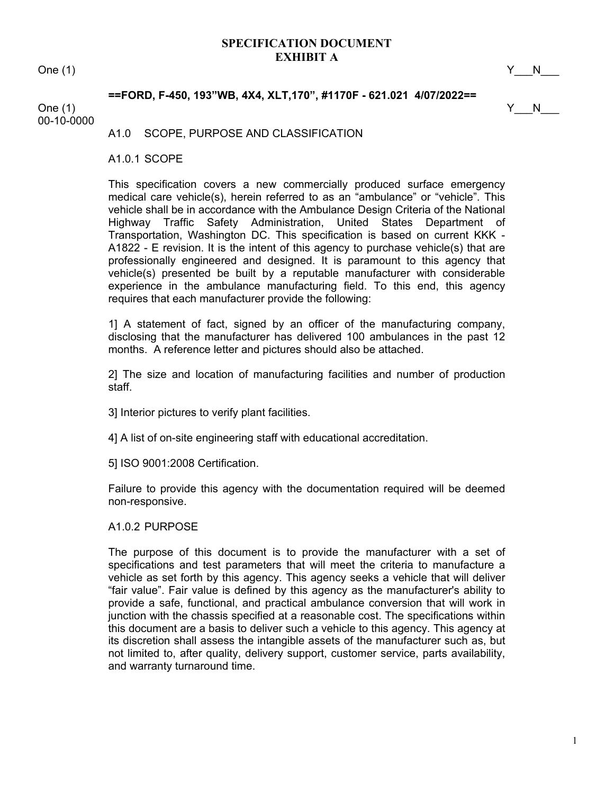# One (1)  $Y_N$  N

# **==FORD, F-450, 193"WB, 4X4, XLT,170", #1170F - 621.021 4/07/2022==**

One (1)  $Y_N$  N

00-10-0000

A1.0 SCOPE, PURPOSE AND CLASSIFICATION

A1.0.1 SCOPE

This specification covers a new commercially produced surface emergency medical care vehicle(s), herein referred to as an "ambulance" or "vehicle". This vehicle shall be in accordance with the Ambulance Design Criteria of the National Highway Traffic Safety Administration, United States Department of Transportation, Washington DC. This specification is based on current KKK - A1822 - E revision. It is the intent of this agency to purchase vehicle(s) that are professionally engineered and designed. It is paramount to this agency that vehicle(s) presented be built by a reputable manufacturer with considerable experience in the ambulance manufacturing field. To this end, this agency requires that each manufacturer provide the following:

1] A statement of fact, signed by an officer of the manufacturing company, disclosing that the manufacturer has delivered 100 ambulances in the past 12 months. A reference letter and pictures should also be attached.

2] The size and location of manufacturing facilities and number of production staff.

3] Interior pictures to verify plant facilities.

4] A list of on-site engineering staff with educational accreditation.

5] ISO 9001:2008 Certification.

Failure to provide this agency with the documentation required will be deemed non-responsive.

# A1.0.2 PURPOSE

The purpose of this document is to provide the manufacturer with a set of specifications and test parameters that will meet the criteria to manufacture a vehicle as set forth by this agency. This agency seeks a vehicle that will deliver "fair value". Fair value is defined by this agency as the manufacturer's ability to provide a safe, functional, and practical ambulance conversion that will work in junction with the chassis specified at a reasonable cost. The specifications within this document are a basis to deliver such a vehicle to this agency. This agency at its discretion shall assess the intangible assets of the manufacturer such as, but not limited to, after quality, delivery support, customer service, parts availability, and warranty turnaround time.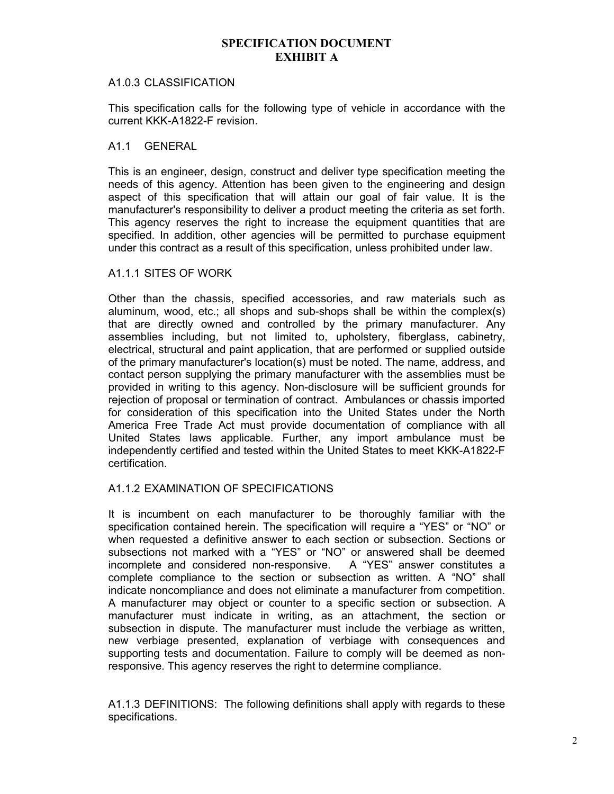# A1.0.3 CLASSIFICATION

This specification calls for the following type of vehicle in accordance with the current KKK-A1822-F revision.

### A1.1 GENERAL

This is an engineer, design, construct and deliver type specification meeting the needs of this agency. Attention has been given to the engineering and design aspect of this specification that will attain our goal of fair value. It is the manufacturer's responsibility to deliver a product meeting the criteria as set forth. This agency reserves the right to increase the equipment quantities that are specified. In addition, other agencies will be permitted to purchase equipment under this contract as a result of this specification, unless prohibited under law.

# A1.1.1 SITES OF WORK

Other than the chassis, specified accessories, and raw materials such as aluminum, wood, etc.; all shops and sub-shops shall be within the complex(s) that are directly owned and controlled by the primary manufacturer. Any assemblies including, but not limited to, upholstery, fiberglass, cabinetry, electrical, structural and paint application, that are performed or supplied outside of the primary manufacturer's location(s) must be noted. The name, address, and contact person supplying the primary manufacturer with the assemblies must be provided in writing to this agency. Non-disclosure will be sufficient grounds for rejection of proposal or termination of contract. Ambulances or chassis imported for consideration of this specification into the United States under the North America Free Trade Act must provide documentation of compliance with all United States laws applicable. Further, any import ambulance must be independently certified and tested within the United States to meet KKK-A1822-F certification.

# A1.1.2 EXAMINATION OF SPECIFICATIONS

It is incumbent on each manufacturer to be thoroughly familiar with the specification contained herein. The specification will require a "YES" or "NO" or when requested a definitive answer to each section or subsection. Sections or subsections not marked with a "YES" or "NO" or answered shall be deemed incomplete and considered non-responsive. A "YES" answer constitutes a complete compliance to the section or subsection as written. A "NO" shall indicate noncompliance and does not eliminate a manufacturer from competition. A manufacturer may object or counter to a specific section or subsection. A manufacturer must indicate in writing, as an attachment, the section or subsection in dispute. The manufacturer must include the verbiage as written, new verbiage presented, explanation of verbiage with consequences and supporting tests and documentation. Failure to comply will be deemed as nonresponsive. This agency reserves the right to determine compliance.

A1.1.3 DEFINITIONS: The following definitions shall apply with regards to these specifications.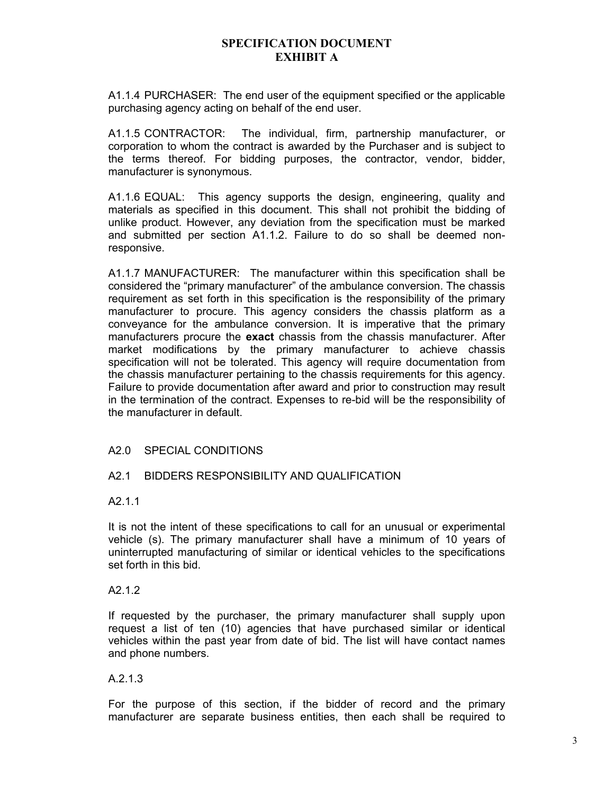A1.1.4 PURCHASER: The end user of the equipment specified or the applicable purchasing agency acting on behalf of the end user.

A1.1.5 CONTRACTOR: The individual, firm, partnership manufacturer, or corporation to whom the contract is awarded by the Purchaser and is subject to the terms thereof. For bidding purposes, the contractor, vendor, bidder, manufacturer is synonymous.

A1.1.6 EQUAL: This agency supports the design, engineering, quality and materials as specified in this document. This shall not prohibit the bidding of unlike product. However, any deviation from the specification must be marked and submitted per section A1.1.2. Failure to do so shall be deemed nonresponsive.

A1.1.7 MANUFACTURER: The manufacturer within this specification shall be considered the "primary manufacturer" of the ambulance conversion. The chassis requirement as set forth in this specification is the responsibility of the primary manufacturer to procure. This agency considers the chassis platform as a conveyance for the ambulance conversion. It is imperative that the primary manufacturers procure the **exact** chassis from the chassis manufacturer. After market modifications by the primary manufacturer to achieve chassis specification will not be tolerated. This agency will require documentation from the chassis manufacturer pertaining to the chassis requirements for this agency. Failure to provide documentation after award and prior to construction may result in the termination of the contract. Expenses to re-bid will be the responsibility of the manufacturer in default.

# A2.0 SPECIAL CONDITIONS

# A2.1 BIDDERS RESPONSIBILITY AND QUALIFICATION

#### A2.1.1

It is not the intent of these specifications to call for an unusual or experimental vehicle (s). The primary manufacturer shall have a minimum of 10 years of uninterrupted manufacturing of similar or identical vehicles to the specifications set forth in this bid.

#### A2.1.2

If requested by the purchaser, the primary manufacturer shall supply upon request a list of ten (10) agencies that have purchased similar or identical vehicles within the past year from date of bid. The list will have contact names and phone numbers.

# A.2.1.3

For the purpose of this section, if the bidder of record and the primary manufacturer are separate business entities, then each shall be required to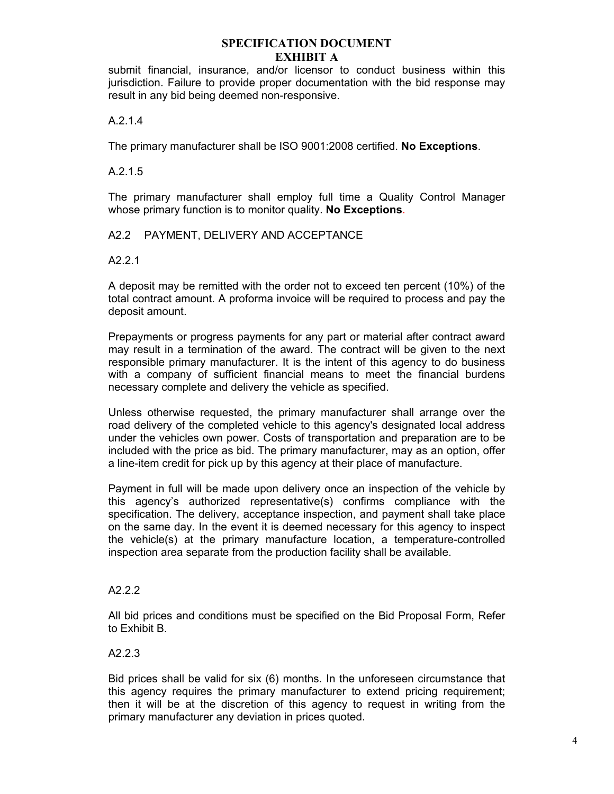submit financial, insurance, and/or licensor to conduct business within this jurisdiction. Failure to provide proper documentation with the bid response may result in any bid being deemed non-responsive.

# A.2.1.4

The primary manufacturer shall be ISO 9001:2008 certified. **No Exceptions**.

# A.2.1.5

The primary manufacturer shall employ full time a Quality Control Manager whose primary function is to monitor quality. **No Exceptions**.

# A2.2 PAYMENT, DELIVERY AND ACCEPTANCE

# A2.2.1

A deposit may be remitted with the order not to exceed ten percent (10%) of the total contract amount. A proforma invoice will be required to process and pay the deposit amount.

Prepayments or progress payments for any part or material after contract award may result in a termination of the award. The contract will be given to the next responsible primary manufacturer. It is the intent of this agency to do business with a company of sufficient financial means to meet the financial burdens necessary complete and delivery the vehicle as specified.

Unless otherwise requested, the primary manufacturer shall arrange over the road delivery of the completed vehicle to this agency's designated local address under the vehicles own power. Costs of transportation and preparation are to be included with the price as bid. The primary manufacturer, may as an option, offer a line-item credit for pick up by this agency at their place of manufacture.

Payment in full will be made upon delivery once an inspection of the vehicle by this agency's authorized representative(s) confirms compliance with the specification. The delivery, acceptance inspection, and payment shall take place on the same day. In the event it is deemed necessary for this agency to inspect the vehicle(s) at the primary manufacture location, a temperature-controlled inspection area separate from the production facility shall be available.

# A2.2.2

All bid prices and conditions must be specified on the Bid Proposal Form, Refer to Exhibit B.

# A2.2.3

Bid prices shall be valid for six (6) months. In the unforeseen circumstance that this agency requires the primary manufacturer to extend pricing requirement; then it will be at the discretion of this agency to request in writing from the primary manufacturer any deviation in prices quoted.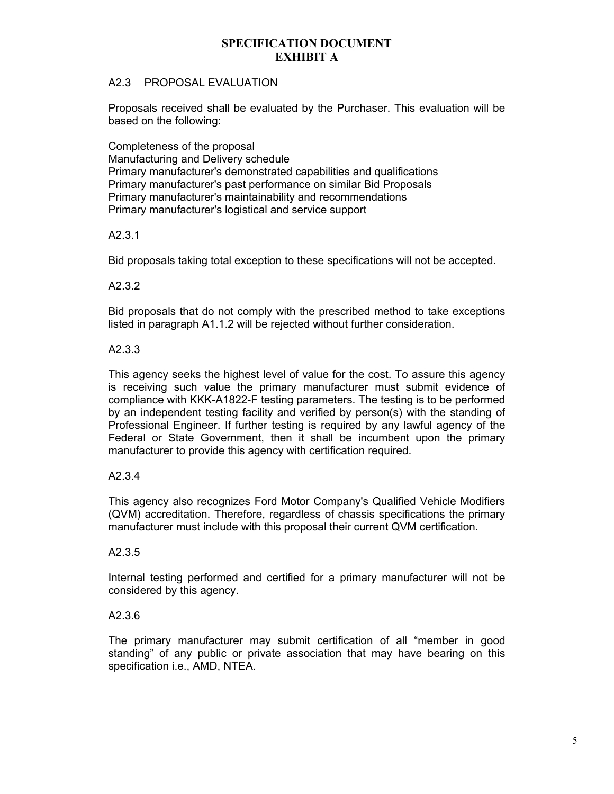# A2.3 PROPOSAL EVALUATION

Proposals received shall be evaluated by the Purchaser. This evaluation will be based on the following:

Completeness of the proposal Manufacturing and Delivery schedule Primary manufacturer's demonstrated capabilities and qualifications Primary manufacturer's past performance on similar Bid Proposals Primary manufacturer's maintainability and recommendations Primary manufacturer's logistical and service support

# A2.3.1

Bid proposals taking total exception to these specifications will not be accepted.

# A2.3.2

Bid proposals that do not comply with the prescribed method to take exceptions listed in paragraph A1.1.2 will be rejected without further consideration.

# A2.3.3

This agency seeks the highest level of value for the cost. To assure this agency is receiving such value the primary manufacturer must submit evidence of compliance with KKK-A1822-F testing parameters. The testing is to be performed by an independent testing facility and verified by person(s) with the standing of Professional Engineer. If further testing is required by any lawful agency of the Federal or State Government, then it shall be incumbent upon the primary manufacturer to provide this agency with certification required.

# A2.3.4

This agency also recognizes Ford Motor Company's Qualified Vehicle Modifiers (QVM) accreditation. Therefore, regardless of chassis specifications the primary manufacturer must include with this proposal their current QVM certification.

#### A2.3.5

Internal testing performed and certified for a primary manufacturer will not be considered by this agency.

#### A2.3.6

The primary manufacturer may submit certification of all "member in good standing" of any public or private association that may have bearing on this specification i.e., AMD, NTEA.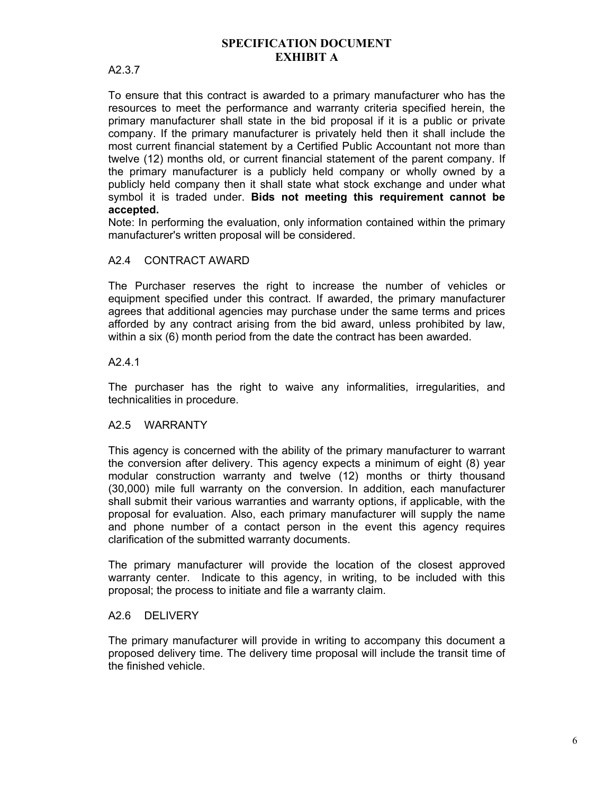# A2.3.7

To ensure that this contract is awarded to a primary manufacturer who has the resources to meet the performance and warranty criteria specified herein, the primary manufacturer shall state in the bid proposal if it is a public or private company. If the primary manufacturer is privately held then it shall include the most current financial statement by a Certified Public Accountant not more than twelve (12) months old, or current financial statement of the parent company. If the primary manufacturer is a publicly held company or wholly owned by a publicly held company then it shall state what stock exchange and under what symbol it is traded under. **Bids not meeting this requirement cannot be accepted.**

Note: In performing the evaluation, only information contained within the primary manufacturer's written proposal will be considered.

# A2.4 CONTRACT AWARD

The Purchaser reserves the right to increase the number of vehicles or equipment specified under this contract. If awarded, the primary manufacturer agrees that additional agencies may purchase under the same terms and prices afforded by any contract arising from the bid award, unless prohibited by law, within a six (6) month period from the date the contract has been awarded.

#### A2.4.1

The purchaser has the right to waive any informalities, irregularities, and technicalities in procedure.

# A2.5 WARRANTY

This agency is concerned with the ability of the primary manufacturer to warrant the conversion after delivery. This agency expects a minimum of eight (8) year modular construction warranty and twelve (12) months or thirty thousand (30,000) mile full warranty on the conversion. In addition, each manufacturer shall submit their various warranties and warranty options, if applicable, with the proposal for evaluation. Also, each primary manufacturer will supply the name and phone number of a contact person in the event this agency requires clarification of the submitted warranty documents.

The primary manufacturer will provide the location of the closest approved warranty center. Indicate to this agency, in writing, to be included with this proposal; the process to initiate and file a warranty claim.

#### A2.6 DELIVERY

The primary manufacturer will provide in writing to accompany this document a proposed delivery time. The delivery time proposal will include the transit time of the finished vehicle.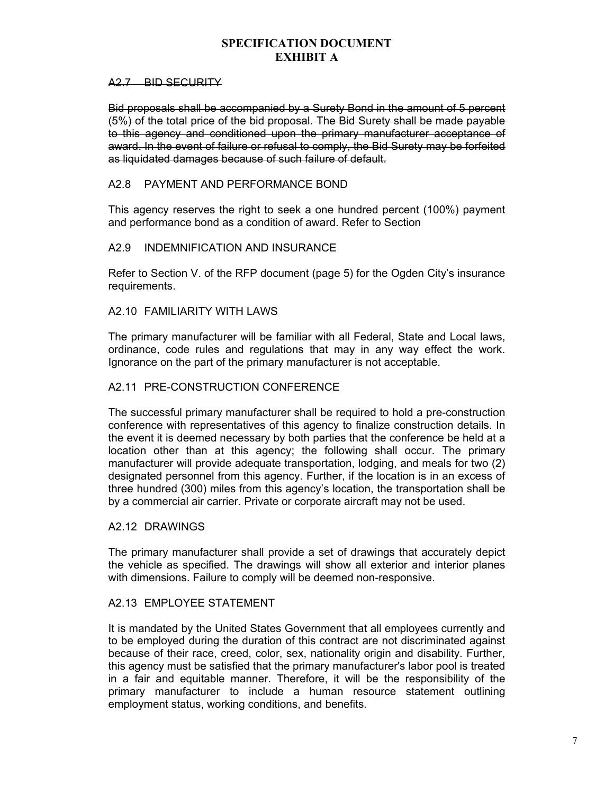#### A<sub>2.7</sub> BID SECURITY

Bid proposals shall be accompanied by a Surety Bond in the amount of 5 percent (5%) of the total price of the bid proposal. The Bid Surety shall be made payable to this agency and conditioned upon the primary manufacturer acceptance of award. In the event of failure or refusal to comply, the Bid Surety may be forfeited as liquidated damages because of such failure of default.

# A2.8 PAYMENT AND PERFORMANCE BOND

This agency reserves the right to seek a one hundred percent (100%) payment and performance bond as a condition of award. Refer to Section

# A2.9 INDEMNIFICATION AND INSURANCE

Refer to Section V. of the RFP document (page 5) for the Ogden City's insurance requirements.

# A2.10 FAMILIARITY WITH LAWS

The primary manufacturer will be familiar with all Federal, State and Local laws, ordinance, code rules and regulations that may in any way effect the work. Ignorance on the part of the primary manufacturer is not acceptable.

#### A2.11 PRE-CONSTRUCTION CONFERENCE

The successful primary manufacturer shall be required to hold a pre-construction conference with representatives of this agency to finalize construction details. In the event it is deemed necessary by both parties that the conference be held at a location other than at this agency; the following shall occur. The primary manufacturer will provide adequate transportation, lodging, and meals for two (2) designated personnel from this agency. Further, if the location is in an excess of three hundred (300) miles from this agency's location, the transportation shall be by a commercial air carrier. Private or corporate aircraft may not be used.

#### A2.12 DRAWINGS

The primary manufacturer shall provide a set of drawings that accurately depict the vehicle as specified. The drawings will show all exterior and interior planes with dimensions. Failure to comply will be deemed non-responsive.

# A2.13 EMPLOYEE STATEMENT

It is mandated by the United States Government that all employees currently and to be employed during the duration of this contract are not discriminated against because of their race, creed, color, sex, nationality origin and disability. Further, this agency must be satisfied that the primary manufacturer's labor pool is treated in a fair and equitable manner. Therefore, it will be the responsibility of the primary manufacturer to include a human resource statement outlining employment status, working conditions, and benefits.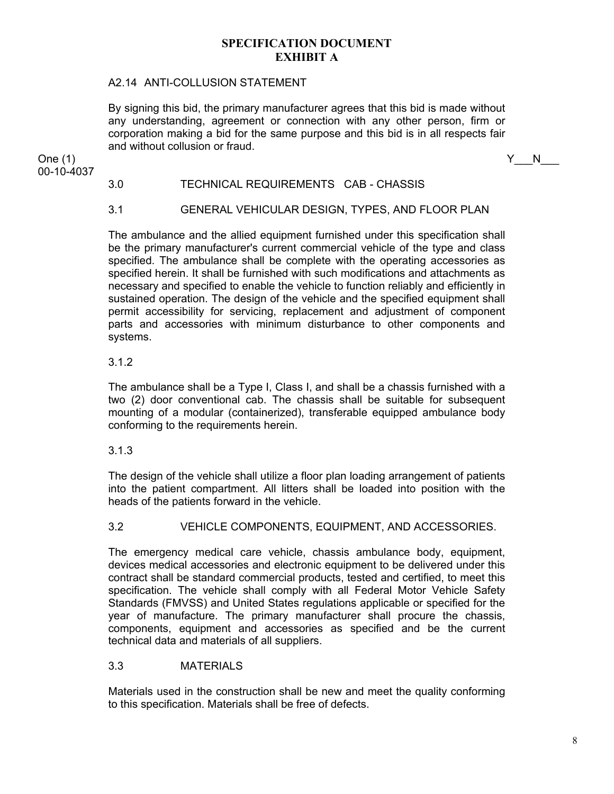# A2.14 ANTI-COLLUSION STATEMENT

By signing this bid, the primary manufacturer agrees that this bid is made without any understanding, agreement or connection with any other person, firm or corporation making a bid for the same purpose and this bid is in all respects fair and without collusion or fraud.

One (1)  $Y_N$  N

3.0 TECHNICAL REQUIREMENTS CAB - CHASSIS

# 3.1 GENERAL VEHICULAR DESIGN, TYPES, AND FLOOR PLAN

The ambulance and the allied equipment furnished under this specification shall be the primary manufacturer's current commercial vehicle of the type and class specified. The ambulance shall be complete with the operating accessories as specified herein. It shall be furnished with such modifications and attachments as necessary and specified to enable the vehicle to function reliably and efficiently in sustained operation. The design of the vehicle and the specified equipment shall permit accessibility for servicing, replacement and adjustment of component parts and accessories with minimum disturbance to other components and systems.

#### 3.1.2

00-10-4037

The ambulance shall be a Type I, Class I, and shall be a chassis furnished with a two (2) door conventional cab. The chassis shall be suitable for subsequent mounting of a modular (containerized), transferable equipped ambulance body conforming to the requirements herein.

#### 3.1.3

The design of the vehicle shall utilize a floor plan loading arrangement of patients into the patient compartment. All litters shall be loaded into position with the heads of the patients forward in the vehicle.

#### 3.2 VEHICLE COMPONENTS, EQUIPMENT, AND ACCESSORIES.

The emergency medical care vehicle, chassis ambulance body, equipment, devices medical accessories and electronic equipment to be delivered under this contract shall be standard commercial products, tested and certified, to meet this specification. The vehicle shall comply with all Federal Motor Vehicle Safety Standards (FMVSS) and United States regulations applicable or specified for the year of manufacture. The primary manufacturer shall procure the chassis, components, equipment and accessories as specified and be the current technical data and materials of all suppliers.

#### 3.3 MATERIALS

Materials used in the construction shall be new and meet the quality conforming to this specification. Materials shall be free of defects.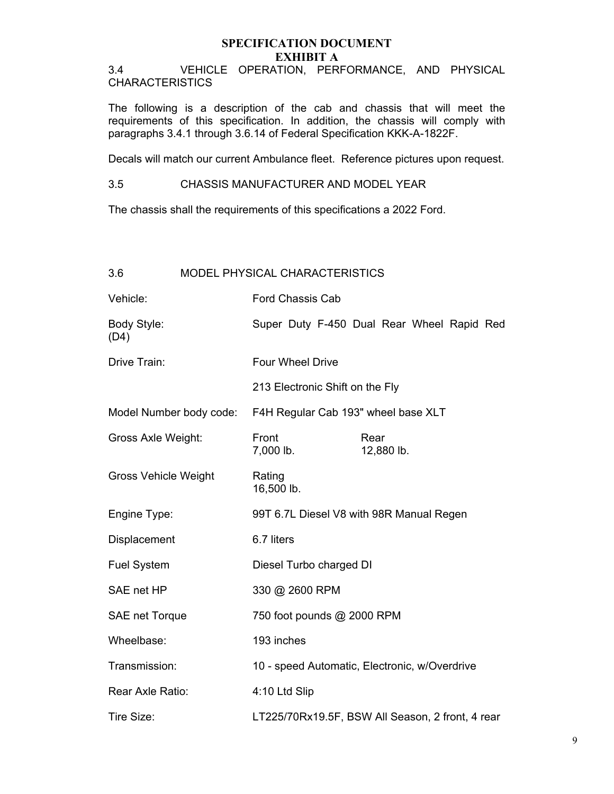3.4 VEHICLE OPERATION, PERFORMANCE, AND PHYSICAL CHARACTERISTICS

The following is a description of the cab and chassis that will meet the requirements of this specification. In addition, the chassis will comply with paragraphs 3.4.1 through 3.6.14 of Federal Specification KKK-A-1822F.

Decals will match our current Ambulance fleet. Reference pictures upon request.

3.5 CHASSIS MANUFACTURER AND MODEL YEAR

The chassis shall the requirements of this specifications a 2022 Ford.

| 3.6                         | <b>MODEL PHYSICAL CHARACTERISTICS</b> |                                          |  |  |      |            |                                                  |  |
|-----------------------------|---------------------------------------|------------------------------------------|--|--|------|------------|--------------------------------------------------|--|
| Vehicle:                    |                                       | <b>Ford Chassis Cab</b>                  |  |  |      |            |                                                  |  |
| Body Style:<br>(D4)         |                                       |                                          |  |  |      |            | Super Duty F-450 Dual Rear Wheel Rapid Red       |  |
| Drive Train:                |                                       | <b>Four Wheel Drive</b>                  |  |  |      |            |                                                  |  |
|                             |                                       | 213 Electronic Shift on the Fly          |  |  |      |            |                                                  |  |
| Model Number body code:     |                                       | F4H Regular Cab 193" wheel base XLT      |  |  |      |            |                                                  |  |
| Gross Axle Weight:          |                                       | Front<br>7,000 lb.                       |  |  | Rear | 12,880 lb. |                                                  |  |
| <b>Gross Vehicle Weight</b> |                                       | Rating<br>16,500 lb.                     |  |  |      |            |                                                  |  |
| Engine Type:                |                                       | 99T 6.7L Diesel V8 with 98R Manual Regen |  |  |      |            |                                                  |  |
| Displacement                |                                       | 6.7 liters                               |  |  |      |            |                                                  |  |
| <b>Fuel System</b>          |                                       | Diesel Turbo charged DI                  |  |  |      |            |                                                  |  |
| SAE net HP                  |                                       | 330 @ 2600 RPM                           |  |  |      |            |                                                  |  |
| <b>SAE net Torque</b>       |                                       | 750 foot pounds @ 2000 RPM               |  |  |      |            |                                                  |  |
| Wheelbase:                  |                                       | 193 inches                               |  |  |      |            |                                                  |  |
| Transmission:               |                                       |                                          |  |  |      |            | 10 - speed Automatic, Electronic, w/Overdrive    |  |
| Rear Axle Ratio:            |                                       | 4:10 Ltd Slip                            |  |  |      |            |                                                  |  |
| Tire Size:                  |                                       |                                          |  |  |      |            | LT225/70Rx19.5F, BSW All Season, 2 front, 4 rear |  |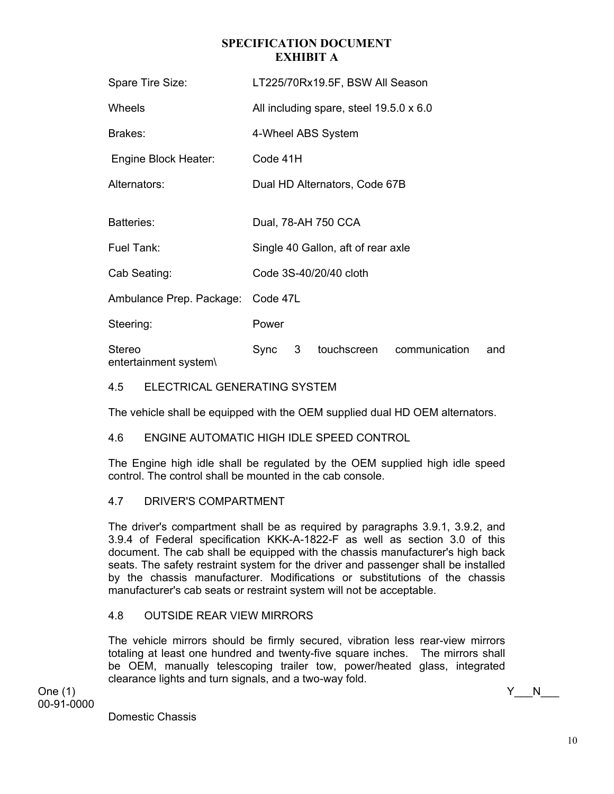| Spare Tire Size:                |                                         |   | LT225/70Rx19.5F, BSW All Season    |               |     |  |  |
|---------------------------------|-----------------------------------------|---|------------------------------------|---------------|-----|--|--|
| Wheels                          | All including spare, steel 19.5.0 x 6.0 |   |                                    |               |     |  |  |
| Brakes:                         |                                         |   | 4-Wheel ABS System                 |               |     |  |  |
| Engine Block Heater:            | Code 41H                                |   |                                    |               |     |  |  |
| Alternators:                    |                                         |   | Dual HD Alternators, Code 67B      |               |     |  |  |
| <b>Batteries:</b>               |                                         |   | Dual, 78-AH 750 CCA                |               |     |  |  |
| Fuel Tank:                      |                                         |   | Single 40 Gallon, aft of rear axle |               |     |  |  |
| Cab Seating:                    |                                         |   | Code 3S-40/20/40 cloth             |               |     |  |  |
| Ambulance Prep. Package:        | Code 47L                                |   |                                    |               |     |  |  |
| Steering:                       | Power                                   |   |                                    |               |     |  |  |
| Stereo<br>entertainment system\ | Sync                                    | 3 | touchscreen                        | communication | and |  |  |

# 4.5 ELECTRICAL GENERATING SYSTEM

The vehicle shall be equipped with the OEM supplied dual HD OEM alternators.

# 4.6 ENGINE AUTOMATIC HIGH IDLE SPEED CONTROL

The Engine high idle shall be regulated by the OEM supplied high idle speed control. The control shall be mounted in the cab console.

# 4.7 DRIVER'S COMPARTMENT

The driver's compartment shall be as required by paragraphs 3.9.1, 3.9.2, and 3.9.4 of Federal specification KKK-A-1822-F as well as section 3.0 of this document. The cab shall be equipped with the chassis manufacturer's high back seats. The safety restraint system for the driver and passenger shall be installed by the chassis manufacturer. Modifications or substitutions of the chassis manufacturer's cab seats or restraint system will not be acceptable.

# 4.8 OUTSIDE REAR VIEW MIRRORS

The vehicle mirrors should be firmly secured, vibration less rear-view mirrors totaling at least one hundred and twenty-five square inches. The mirrors shall be OEM, manually telescoping trailer tow, power/heated glass, integrated clearance lights and turn signals, and a two-way fold.

One (1)  $Y_N$  N 00-91-0000

Domestic Chassis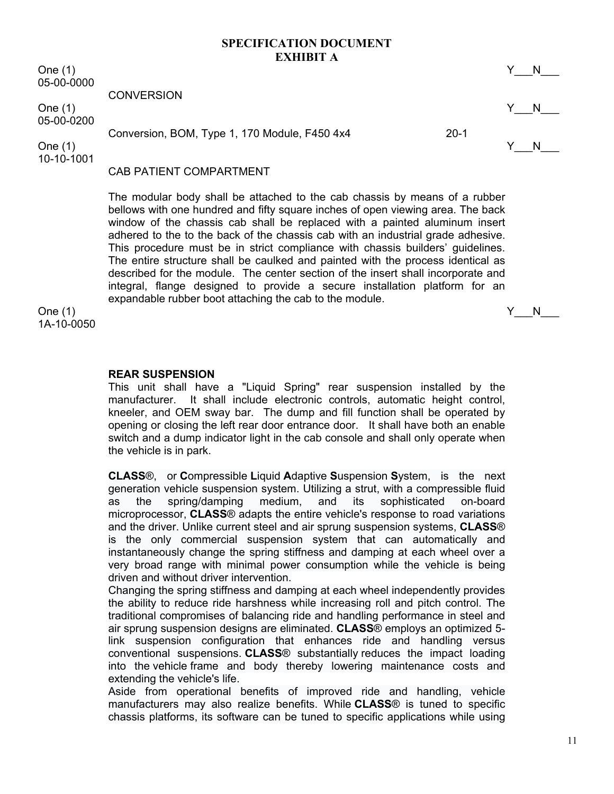One (1)  $Y_N$  N 05-00-0000

**CONVERSION** 

One (1)  $Y_N$  N 05-00-0200

Conversion, BOM, Type 1, 170 Module, F450 4x4 20-1

One (1)  $Y_N$  N 10-10-1001

# CAB PATIENT COMPARTMENT

The modular body shall be attached to the cab chassis by means of a rubber bellows with one hundred and fifty square inches of open viewing area. The back window of the chassis cab shall be replaced with a painted aluminum insert adhered to the to the back of the chassis cab with an industrial grade adhesive. This procedure must be in strict compliance with chassis builders' guidelines. The entire structure shall be caulked and painted with the process identical as described for the module. The center section of the insert shall incorporate and integral, flange designed to provide a secure installation platform for an expandable rubber boot attaching the cab to the module.

One (1)  $Y_N$  N 1A-10-0050

#### **REAR SUSPENSION**

This unit shall have a "Liquid Spring" rear suspension installed by the manufacturer. It shall include electronic controls, automatic height control, kneeler, and OEM sway bar. The dump and fill function shall be operated by opening or closing the left rear door entrance door. It shall have both an enable switch and a dump indicator light in the cab console and shall only operate when the vehicle is in park.

**CLASS**®, or **C**ompressible **L**iquid **A**daptive **S**uspension **S**ystem, is the next generation vehicle suspension system. Utilizing a strut, with a compressible fluid as the spring/damping medium, and its sophisticated on-board microprocessor, **CLASS**® adapts the entire vehicle's response to road variations and the driver. Unlike current steel and air sprung suspension systems, **CLASS**® is the only commercial suspension system that can automatically and instantaneously change the spring stiffness and damping at each wheel over a very broad range with minimal power consumption while the vehicle is being driven and without driver intervention.

Changing the spring stiffness and damping at each wheel independently provides the ability to reduce ride harshness while increasing roll and pitch control. The traditional compromises of balancing ride and handling performance in steel and air sprung suspension designs are eliminated. **CLASS**® employs an optimized 5 link suspension configuration that enhances ride and handling versus conventional suspensions. **CLASS**® substantially reduces the impact loading into the vehicle frame and body thereby lowering maintenance costs and extending the vehicle's life.

Aside from operational benefits of improved ride and handling, vehicle manufacturers may also realize benefits. While **CLASS**® is tuned to specific chassis platforms, its software can be tuned to specific applications while using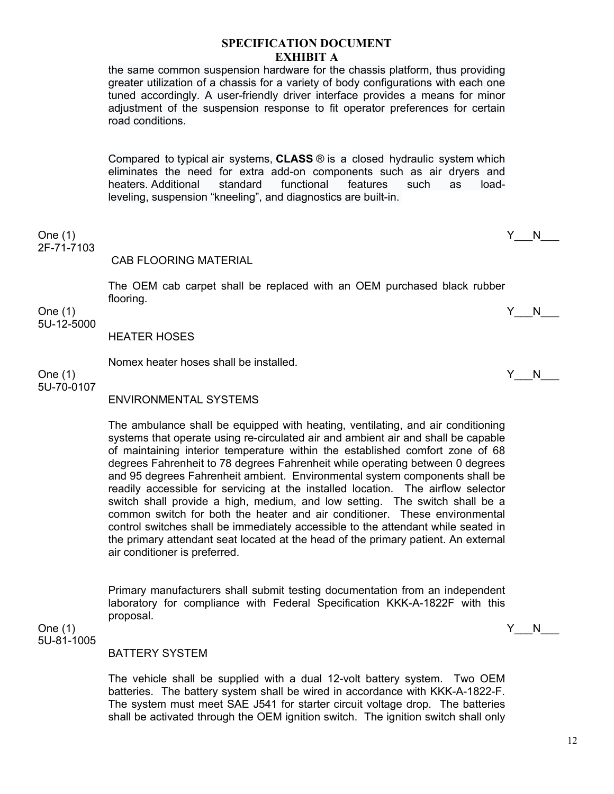the same common suspension hardware for the chassis platform, thus providing greater utilization of a chassis for a variety of body configurations with each one tuned accordingly. A user-friendly driver interface provides a means for minor adjustment of the suspension response to fit operator preferences for certain road conditions.

Compared to typical air systems, **CLASS** ® is a closed hydraulic system which eliminates the need for extra add-on components such as air dryers and heaters. Additional standard functional features such as loadleveling, suspension "kneeling", and diagnostics are built-in.

One (1)  $Y_N$  N 2F-71-7103

### CAB FLOORING MATERIAL

The OEM cab carpet shall be replaced with an OEM purchased black rubber flooring.

One (1)  $Y_N$  N 5U-12-5000

HEATER HOSES

Nomex heater hoses shall be installed.

One (1)  $Y_N$  N 5U-70-0107

ENVIRONMENTAL SYSTEMS

The ambulance shall be equipped with heating, ventilating, and air conditioning systems that operate using re-circulated air and ambient air and shall be capable of maintaining interior temperature within the established comfort zone of 68 degrees Fahrenheit to 78 degrees Fahrenheit while operating between 0 degrees and 95 degrees Fahrenheit ambient. Environmental system components shall be readily accessible for servicing at the installed location. The airflow selector switch shall provide a high, medium, and low setting. The switch shall be a common switch for both the heater and air conditioner. These environmental control switches shall be immediately accessible to the attendant while seated in the primary attendant seat located at the head of the primary patient. An external air conditioner is preferred.

Primary manufacturers shall submit testing documentation from an independent laboratory for compliance with Federal Specification KKK-A-1822F with this proposal.

One (1)  $Y_N$  N 5U-81-1005

#### BATTERY SYSTEM

The vehicle shall be supplied with a dual 12-volt battery system. Two OEM batteries. The battery system shall be wired in accordance with KKK-A-1822-F. The system must meet SAE J541 for starter circuit voltage drop. The batteries shall be activated through the OEM ignition switch. The ignition switch shall only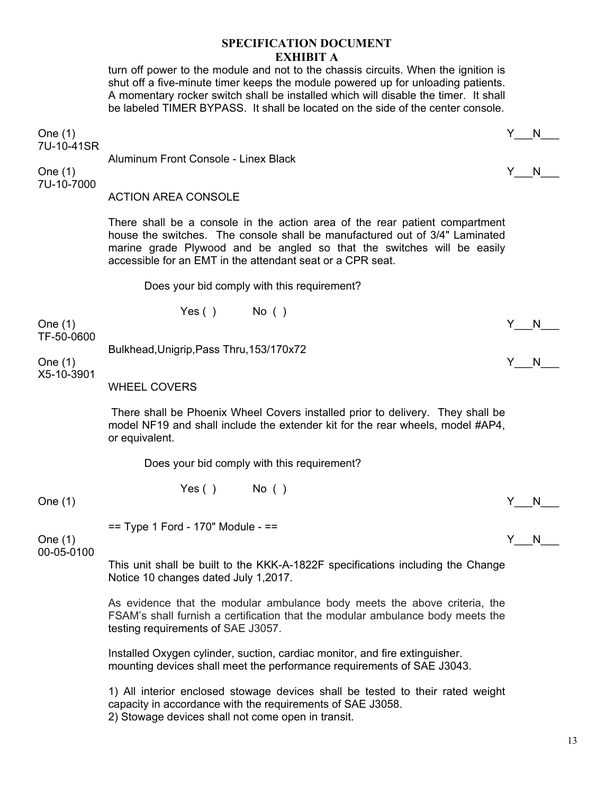turn off power to the module and not to the chassis circuits. When the ignition is shut off a five-minute timer keeps the module powered up for unloading patients. A momentary rocker switch shall be installed which will disable the timer. It shall be labeled TIMER BYPASS. It shall be located on the side of the center console.

One (1)  $Y_N$  N

7U-10-41SR Aluminum Front Console - Linex Black One (1)  $Y_N$  N 7U-10-7000 ACTION AREA CONSOLE There shall be a console in the action area of the rear patient compartment house the switches. The console shall be manufactured out of 3/4" Laminated marine grade Plywood and be angled so that the switches will be easily accessible for an EMT in the attendant seat or a CPR seat. Does your bid comply with this requirement? Yes ( ) No ( ) One (1)  $Y_N$ TF-50-0600 Bulkhead,Unigrip,Pass Thru,153/170x72 One (1)  $Y_N$  N X5-10-3901 WHEEL COVERS There shall be Phoenix Wheel Covers installed prior to delivery. They shall be model NF19 and shall include the extender kit for the rear wheels, model #AP4, or equivalent. Does your bid comply with this requirement?  $Yes()$  No ( ) One (1)  $Y_N$  N  $==$  Type 1 Ford - 170" Module -  $==$ One (1)  $Y_N$  N 00-05-0100 This unit shall be built to the KKK-A-1822F specifications including the Change Notice 10 changes dated July 1,2017. As evidence that the modular ambulance body meets the above criteria, the FSAM's shall furnish a certification that the modular ambulance body meets the testing requirements of SAE J3057. Installed Oxygen cylinder, suction, cardiac monitor, and fire extinguisher. mounting devices shall meet the performance requirements of SAE J3043.

1) All interior enclosed stowage devices shall be tested to their rated weight capacity in accordance with the requirements of SAE J3058. 2) Stowage devices shall not come open in transit.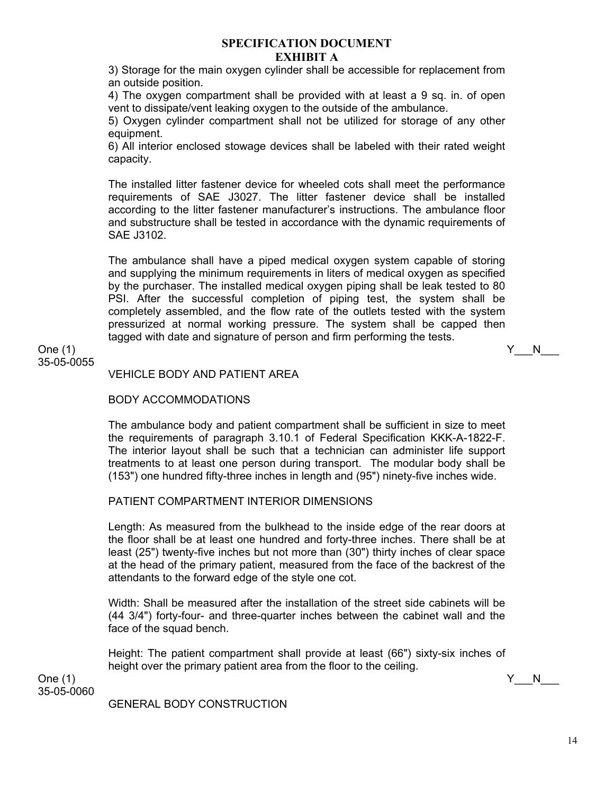3) Storage for the main oxygen cylinder shall be accessible for replacement from an outside position.

4) The oxygen compartment shall be provided with at least a 9 sq. in. of open vent to dissipate/vent leaking oxygen to the outside of the ambulance.

5) Oxygen cylinder compartment shall not be utilized for storage of any other equipment.

6) All interior enclosed stowage devices shall be labeled with their rated weight capacity.

The installed litter fastener device for wheeled cots shall meet the performance requirements of SAE J3027. The litter fastener device shall be installed according to the litter fastener manufacturer's instructions. The ambulance floor and substructure shall be tested in accordance with the dynamic requirements of SAE J3102.

The ambulance shall have a piped medical oxygen system capable of storing and supplying the minimum requirements in liters of medical oxygen as specified by the purchaser. The installed medical oxygen piping shall be leak tested to 80 PSI. After the successful completion of piping test, the system shall be completely assembled, and the flow rate of the outlets tested with the system pressurized at normal working pressure. The system shall be capped then tagged with date and signature of person and firm performing the tests.

One (1)  $Y_N$  N 35-05-0055

VEHICLE BODY AND PATIENT AREA

### BODY ACCOMMODATIONS

The ambulance body and patient compartment shall be sufficient in size to meet the requirements of paragraph 3.10.1 of Federal Specification KKK-A-1822-F. The interior layout shall be such that a technician can administer life support treatments to at least one person during transport. The modular body shall be (153") one hundred fifty-three inches in length and (95") ninety-five inches wide.

# PATIENT COMPARTMENT INTERIOR DIMENSIONS

Length: As measured from the bulkhead to the inside edge of the rear doors at the floor shall be at least one hundred and forty-three inches. There shall be at least (25") twenty-five inches but not more than (30") thirty inches of clear space at the head of the primary patient, measured from the face of the backrest of the attendants to the forward edge of the style one cot.

Width: Shall be measured after the installation of the street side cabinets will be (44 3/4") forty-four- and three-quarter inches between the cabinet wall and the face of the squad bench.

Height: The patient compartment shall provide at least (66") sixty-six inches of height over the primary patient area from the floor to the ceiling.

One (1)  $Y_N$  N 35-05-0060

#### GENERAL BODY CONSTRUCTION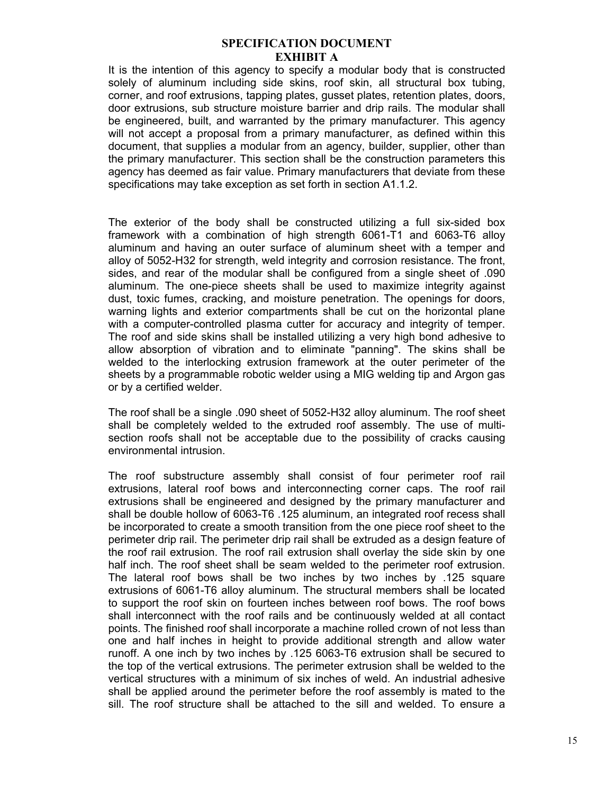It is the intention of this agency to specify a modular body that is constructed solely of aluminum including side skins, roof skin, all structural box tubing, corner, and roof extrusions, tapping plates, gusset plates, retention plates, doors, door extrusions, sub structure moisture barrier and drip rails. The modular shall be engineered, built, and warranted by the primary manufacturer. This agency will not accept a proposal from a primary manufacturer, as defined within this document, that supplies a modular from an agency, builder, supplier, other than the primary manufacturer. This section shall be the construction parameters this agency has deemed as fair value. Primary manufacturers that deviate from these specifications may take exception as set forth in section A1.1.2.

The exterior of the body shall be constructed utilizing a full six-sided box framework with a combination of high strength 6061-T1 and 6063-T6 alloy aluminum and having an outer surface of aluminum sheet with a temper and alloy of 5052-H32 for strength, weld integrity and corrosion resistance. The front, sides, and rear of the modular shall be configured from a single sheet of .090 aluminum. The one-piece sheets shall be used to maximize integrity against dust, toxic fumes, cracking, and moisture penetration. The openings for doors, warning lights and exterior compartments shall be cut on the horizontal plane with a computer-controlled plasma cutter for accuracy and integrity of temper. The roof and side skins shall be installed utilizing a very high bond adhesive to allow absorption of vibration and to eliminate "panning". The skins shall be welded to the interlocking extrusion framework at the outer perimeter of the sheets by a programmable robotic welder using a MIG welding tip and Argon gas or by a certified welder.

The roof shall be a single .090 sheet of 5052-H32 alloy aluminum. The roof sheet shall be completely welded to the extruded roof assembly. The use of multisection roofs shall not be acceptable due to the possibility of cracks causing environmental intrusion.

The roof substructure assembly shall consist of four perimeter roof rail extrusions, lateral roof bows and interconnecting corner caps. The roof rail extrusions shall be engineered and designed by the primary manufacturer and shall be double hollow of 6063-T6 .125 aluminum, an integrated roof recess shall be incorporated to create a smooth transition from the one piece roof sheet to the perimeter drip rail. The perimeter drip rail shall be extruded as a design feature of the roof rail extrusion. The roof rail extrusion shall overlay the side skin by one half inch. The roof sheet shall be seam welded to the perimeter roof extrusion. The lateral roof bows shall be two inches by two inches by .125 square extrusions of 6061-T6 alloy aluminum. The structural members shall be located to support the roof skin on fourteen inches between roof bows. The roof bows shall interconnect with the roof rails and be continuously welded at all contact points. The finished roof shall incorporate a machine rolled crown of not less than one and half inches in height to provide additional strength and allow water runoff. A one inch by two inches by .125 6063-T6 extrusion shall be secured to the top of the vertical extrusions. The perimeter extrusion shall be welded to the vertical structures with a minimum of six inches of weld. An industrial adhesive shall be applied around the perimeter before the roof assembly is mated to the sill. The roof structure shall be attached to the sill and welded. To ensure a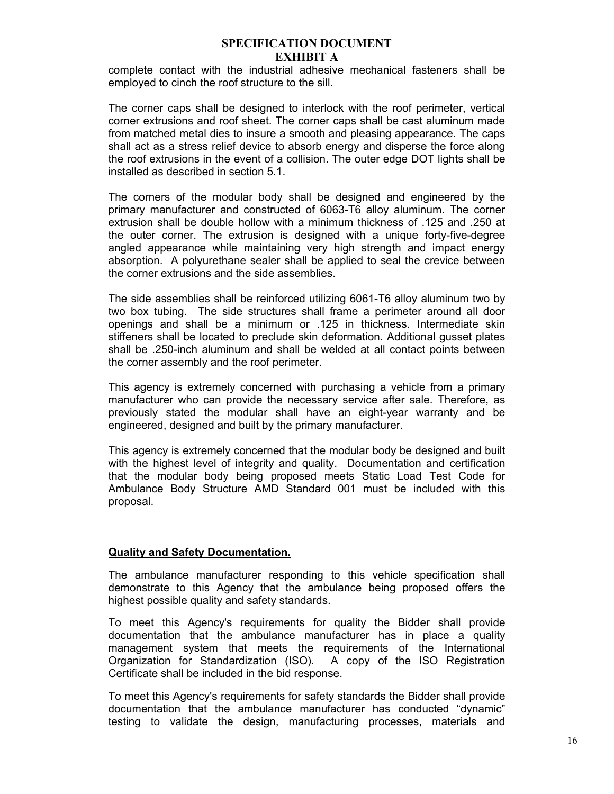complete contact with the industrial adhesive mechanical fasteners shall be employed to cinch the roof structure to the sill.

The corner caps shall be designed to interlock with the roof perimeter, vertical corner extrusions and roof sheet. The corner caps shall be cast aluminum made from matched metal dies to insure a smooth and pleasing appearance. The caps shall act as a stress relief device to absorb energy and disperse the force along the roof extrusions in the event of a collision. The outer edge DOT lights shall be installed as described in section 5.1.

The corners of the modular body shall be designed and engineered by the primary manufacturer and constructed of 6063-T6 alloy aluminum. The corner extrusion shall be double hollow with a minimum thickness of .125 and .250 at the outer corner. The extrusion is designed with a unique forty-five-degree angled appearance while maintaining very high strength and impact energy absorption. A polyurethane sealer shall be applied to seal the crevice between the corner extrusions and the side assemblies.

The side assemblies shall be reinforced utilizing 6061-T6 alloy aluminum two by two box tubing. The side structures shall frame a perimeter around all door openings and shall be a minimum or .125 in thickness. Intermediate skin stiffeners shall be located to preclude skin deformation. Additional gusset plates shall be .250-inch aluminum and shall be welded at all contact points between the corner assembly and the roof perimeter.

This agency is extremely concerned with purchasing a vehicle from a primary manufacturer who can provide the necessary service after sale. Therefore, as previously stated the modular shall have an eight-year warranty and be engineered, designed and built by the primary manufacturer.

This agency is extremely concerned that the modular body be designed and built with the highest level of integrity and quality. Documentation and certification that the modular body being proposed meets Static Load Test Code for Ambulance Body Structure AMD Standard 001 must be included with this proposal.

#### **Quality and Safety Documentation.**

The ambulance manufacturer responding to this vehicle specification shall demonstrate to this Agency that the ambulance being proposed offers the highest possible quality and safety standards.

To meet this Agency's requirements for quality the Bidder shall provide documentation that the ambulance manufacturer has in place a quality management system that meets the requirements of the International Organization for Standardization (ISO). A copy of the ISO Registration Certificate shall be included in the bid response.

To meet this Agency's requirements for safety standards the Bidder shall provide documentation that the ambulance manufacturer has conducted "dynamic" testing to validate the design, manufacturing processes, materials and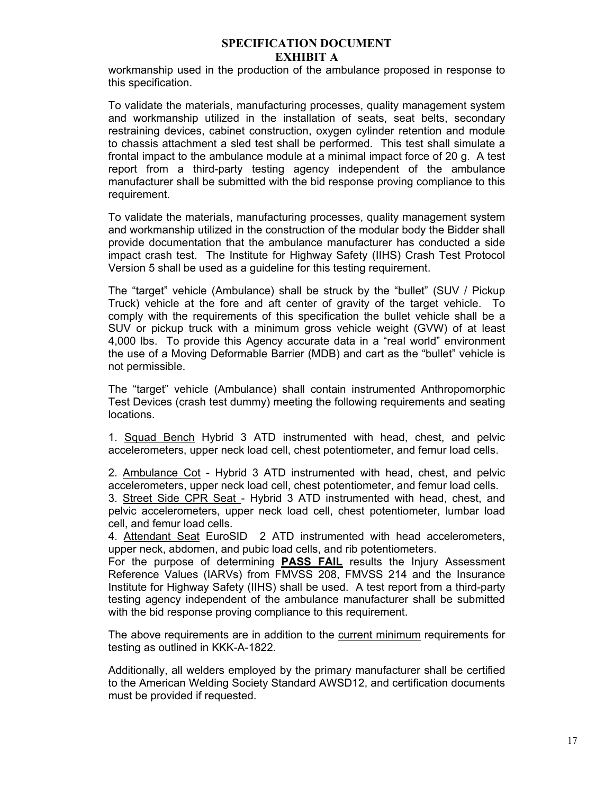workmanship used in the production of the ambulance proposed in response to this specification.

To validate the materials, manufacturing processes, quality management system and workmanship utilized in the installation of seats, seat belts, secondary restraining devices, cabinet construction, oxygen cylinder retention and module to chassis attachment a sled test shall be performed. This test shall simulate a frontal impact to the ambulance module at a minimal impact force of 20 g. A test report from a third-party testing agency independent of the ambulance manufacturer shall be submitted with the bid response proving compliance to this requirement.

To validate the materials, manufacturing processes, quality management system and workmanship utilized in the construction of the modular body the Bidder shall provide documentation that the ambulance manufacturer has conducted a side impact crash test. The Institute for Highway Safety (IIHS) Crash Test Protocol Version 5 shall be used as a guideline for this testing requirement.

The "target" vehicle (Ambulance) shall be struck by the "bullet" (SUV / Pickup Truck) vehicle at the fore and aft center of gravity of the target vehicle. To comply with the requirements of this specification the bullet vehicle shall be a SUV or pickup truck with a minimum gross vehicle weight (GVW) of at least 4,000 lbs. To provide this Agency accurate data in a "real world" environment the use of a Moving Deformable Barrier (MDB) and cart as the "bullet" vehicle is not permissible.

The "target" vehicle (Ambulance) shall contain instrumented Anthropomorphic Test Devices (crash test dummy) meeting the following requirements and seating locations.

 1. Squad Bench Hybrid 3 ATD instrumented with head, chest, and pelvic accelerometers, upper neck load cell, chest potentiometer, and femur load cells.

2. Ambulance Cot - Hybrid 3 ATD instrumented with head, chest, and pelvic accelerometers, upper neck load cell, chest potentiometer, and femur load cells. 3. Street Side CPR Seat - Hybrid 3 ATD instrumented with head, chest, and pelvic accelerometers, upper neck load cell, chest potentiometer, lumbar load cell, and femur load cells.

4. Attendant Seat EuroSID 2 ATD instrumented with head accelerometers, upper neck, abdomen, and pubic load cells, and rib potentiometers.

For the purpose of determining **PASS FAIL** results the Injury Assessment Reference Values (IARVs) from FMVSS 208, FMVSS 214 and the Insurance Institute for Highway Safety (IIHS) shall be used. A test report from a third-party testing agency independent of the ambulance manufacturer shall be submitted with the bid response proving compliance to this requirement.

The above requirements are in addition to the current minimum requirements for testing as outlined in KKK-A-1822.

Additionally, all welders employed by the primary manufacturer shall be certified to the American Welding Society Standard AWSD12, and certification documents must be provided if requested.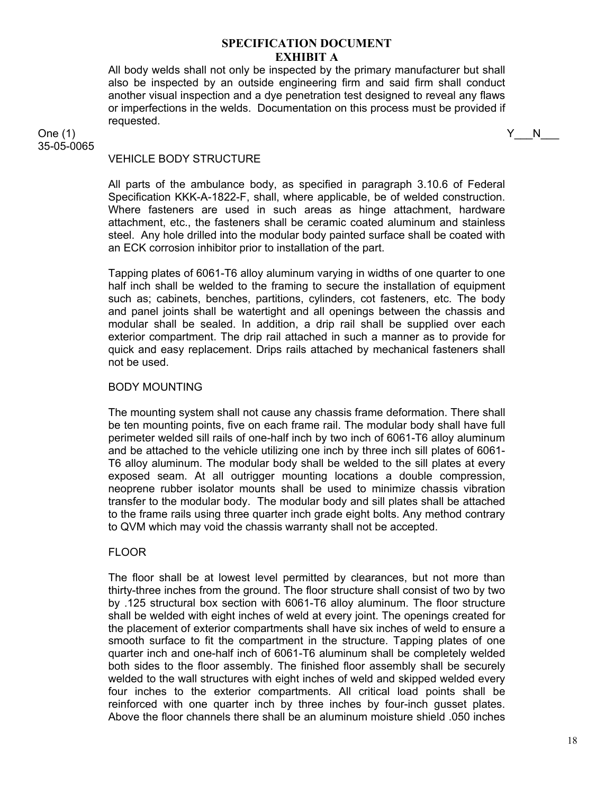All body welds shall not only be inspected by the primary manufacturer but shall also be inspected by an outside engineering firm and said firm shall conduct another visual inspection and a dye penetration test designed to reveal any flaws or imperfections in the welds. Documentation on this process must be provided if requested.

One (1)  $Y_N$  N 35-05-0065

# VEHICLE BODY STRUCTURE

All parts of the ambulance body, as specified in paragraph 3.10.6 of Federal Specification KKK-A-1822-F, shall, where applicable, be of welded construction. Where fasteners are used in such areas as hinge attachment, hardware attachment, etc., the fasteners shall be ceramic coated aluminum and stainless steel. Any hole drilled into the modular body painted surface shall be coated with an ECK corrosion inhibitor prior to installation of the part.

Tapping plates of 6061-T6 alloy aluminum varying in widths of one quarter to one half inch shall be welded to the framing to secure the installation of equipment such as; cabinets, benches, partitions, cylinders, cot fasteners, etc. The body and panel joints shall be watertight and all openings between the chassis and modular shall be sealed. In addition, a drip rail shall be supplied over each exterior compartment. The drip rail attached in such a manner as to provide for quick and easy replacement. Drips rails attached by mechanical fasteners shall not be used.

# BODY MOUNTING

The mounting system shall not cause any chassis frame deformation. There shall be ten mounting points, five on each frame rail. The modular body shall have full perimeter welded sill rails of one-half inch by two inch of 6061-T6 alloy aluminum and be attached to the vehicle utilizing one inch by three inch sill plates of 6061- T6 alloy aluminum. The modular body shall be welded to the sill plates at every exposed seam. At all outrigger mounting locations a double compression, neoprene rubber isolator mounts shall be used to minimize chassis vibration transfer to the modular body. The modular body and sill plates shall be attached to the frame rails using three quarter inch grade eight bolts. Any method contrary to QVM which may void the chassis warranty shall not be accepted.

# FLOOR

The floor shall be at lowest level permitted by clearances, but not more than thirty-three inches from the ground. The floor structure shall consist of two by two by .125 structural box section with 6061-T6 alloy aluminum. The floor structure shall be welded with eight inches of weld at every joint. The openings created for the placement of exterior compartments shall have six inches of weld to ensure a smooth surface to fit the compartment in the structure. Tapping plates of one quarter inch and one-half inch of 6061-T6 aluminum shall be completely welded both sides to the floor assembly. The finished floor assembly shall be securely welded to the wall structures with eight inches of weld and skipped welded every four inches to the exterior compartments. All critical load points shall be reinforced with one quarter inch by three inches by four-inch gusset plates. Above the floor channels there shall be an aluminum moisture shield .050 inches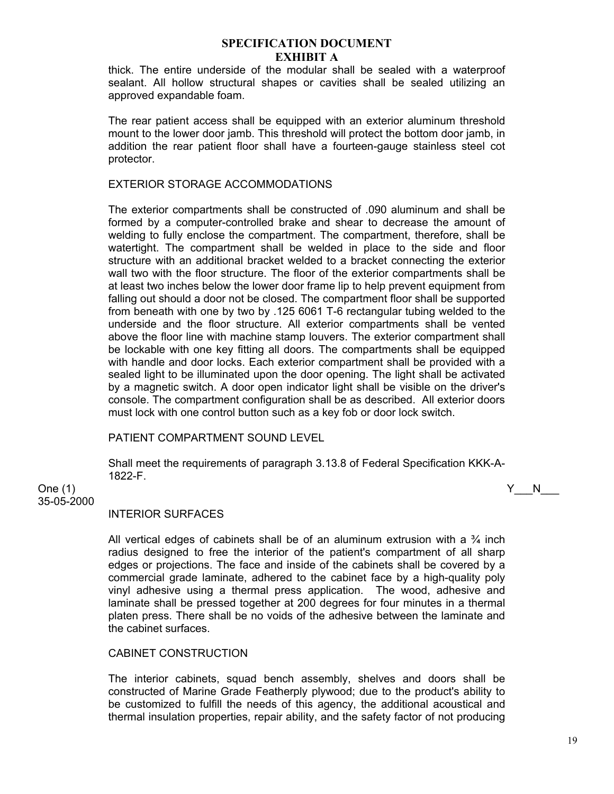thick. The entire underside of the modular shall be sealed with a waterproof sealant. All hollow structural shapes or cavities shall be sealed utilizing an approved expandable foam.

The rear patient access shall be equipped with an exterior aluminum threshold mount to the lower door jamb. This threshold will protect the bottom door jamb, in addition the rear patient floor shall have a fourteen-gauge stainless steel cot protector.

# EXTERIOR STORAGE ACCOMMODATIONS

The exterior compartments shall be constructed of .090 aluminum and shall be formed by a computer-controlled brake and shear to decrease the amount of welding to fully enclose the compartment. The compartment, therefore, shall be watertight. The compartment shall be welded in place to the side and floor structure with an additional bracket welded to a bracket connecting the exterior wall two with the floor structure. The floor of the exterior compartments shall be at least two inches below the lower door frame lip to help prevent equipment from falling out should a door not be closed. The compartment floor shall be supported from beneath with one by two by .125 6061 T-6 rectangular tubing welded to the underside and the floor structure. All exterior compartments shall be vented above the floor line with machine stamp louvers. The exterior compartment shall be lockable with one key fitting all doors. The compartments shall be equipped with handle and door locks. Each exterior compartment shall be provided with a sealed light to be illuminated upon the door opening. The light shall be activated by a magnetic switch. A door open indicator light shall be visible on the driver's console. The compartment configuration shall be as described. All exterior doors must lock with one control button such as a key fob or door lock switch.

# PATIENT COMPARTMENT SOUND LEVEL

Shall meet the requirements of paragraph 3.13.8 of Federal Specification KKK-A-1822-F.

One (1)  $Y_N$  N

35-05-2000

#### INTERIOR SURFACES

All vertical edges of cabinets shall be of an aluminum extrusion with a  $\frac{3}{4}$  inch radius designed to free the interior of the patient's compartment of all sharp edges or projections. The face and inside of the cabinets shall be covered by a commercial grade laminate, adhered to the cabinet face by a high-quality poly vinyl adhesive using a thermal press application. The wood, adhesive and laminate shall be pressed together at 200 degrees for four minutes in a thermal platen press. There shall be no voids of the adhesive between the laminate and the cabinet surfaces.

# CABINET CONSTRUCTION

The interior cabinets, squad bench assembly, shelves and doors shall be constructed of Marine Grade Featherply plywood; due to the product's ability to be customized to fulfill the needs of this agency, the additional acoustical and thermal insulation properties, repair ability, and the safety factor of not producing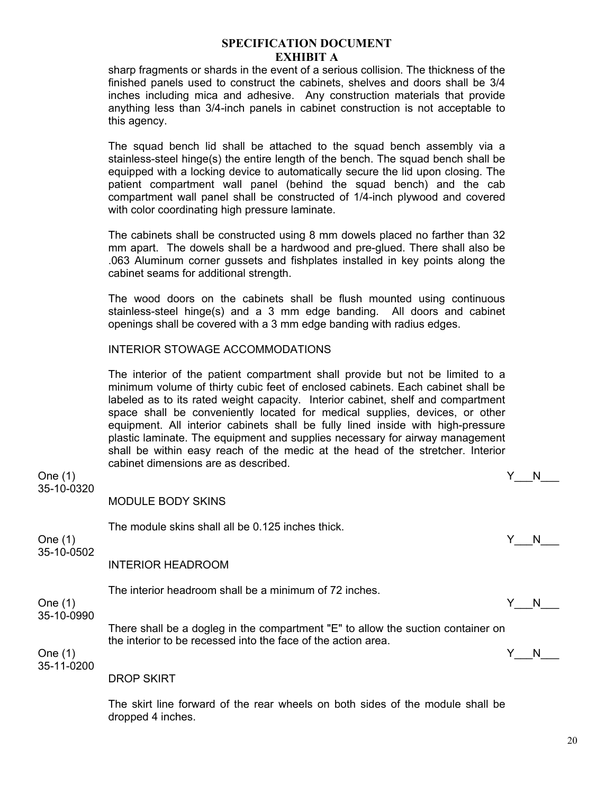sharp fragments or shards in the event of a serious collision. The thickness of the finished panels used to construct the cabinets, shelves and doors shall be 3/4 inches including mica and adhesive. Any construction materials that provide anything less than 3/4-inch panels in cabinet construction is not acceptable to this agency.

The squad bench lid shall be attached to the squad bench assembly via a stainless-steel hinge(s) the entire length of the bench. The squad bench shall be equipped with a locking device to automatically secure the lid upon closing. The patient compartment wall panel (behind the squad bench) and the cab compartment wall panel shall be constructed of 1/4-inch plywood and covered with color coordinating high pressure laminate.

The cabinets shall be constructed using 8 mm dowels placed no farther than 32 mm apart. The dowels shall be a hardwood and pre-glued. There shall also be .063 Aluminum corner gussets and fishplates installed in key points along the cabinet seams for additional strength.

The wood doors on the cabinets shall be flush mounted using continuous stainless-steel hinge(s) and a 3 mm edge banding. All doors and cabinet openings shall be covered with a 3 mm edge banding with radius edges.

# INTERIOR STOWAGE ACCOMMODATIONS

dropped 4 inches.

The interior of the patient compartment shall provide but not be limited to a minimum volume of thirty cubic feet of enclosed cabinets. Each cabinet shall be labeled as to its rated weight capacity. Interior cabinet, shelf and compartment space shall be conveniently located for medical supplies, devices, or other equipment. All interior cabinets shall be fully lined inside with high-pressure plastic laminate. The equipment and supplies necessary for airway management shall be within easy reach of the medic at the head of the stretcher. Interior cabinet dimensions are as described.

One (1) Y\_\_\_N\_\_\_ 35-10-0320 MODULE BODY SKINS The module skins shall all be 0.125 inches thick. One (1)  $Y_N$  N 35-10-0502 INTERIOR HEADROOM The interior headroom shall be a minimum of 72 inches. One (1)  $Y_N$  N 35-10-0990 There shall be a dogleg in the compartment "E" to allow the suction container on the interior to be recessed into the face of the action area. One (1)  $Y_N$  N 35-11-0200 DROP SKIRT The skirt line forward of the rear wheels on both sides of the module shall be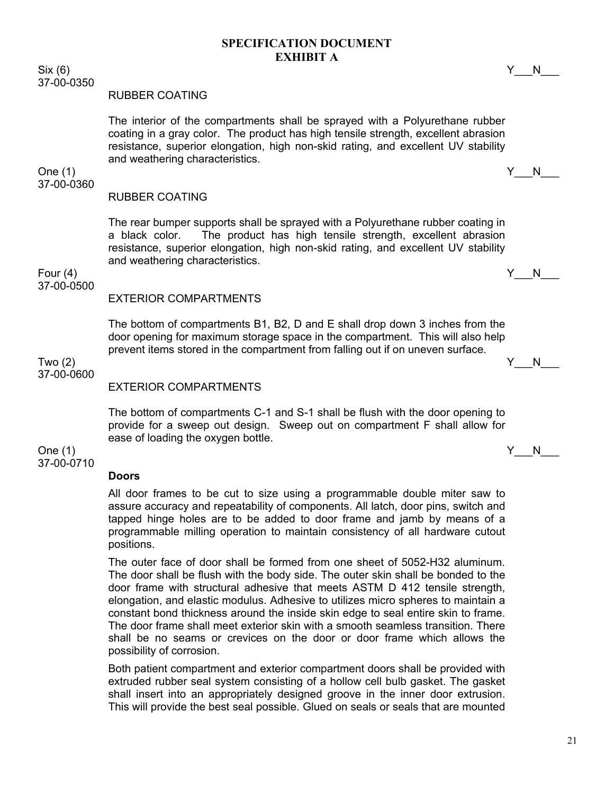$\text{Six } (6)$  Y\_\_\_N\_\_\_ 37-00-0350

#### RUBBER COATING

The interior of the compartments shall be sprayed with a Polyurethane rubber coating in a gray color. The product has high tensile strength, excellent abrasion resistance, superior elongation, high non-skid rating, and excellent UV stability and weathering characteristics.

# 37-00-0360

#### RUBBER COATING

The rear bumper supports shall be sprayed with a Polyurethane rubber coating in a black color. The product has high tensile strength, excellent abrasion resistance, superior elongation, high non-skid rating, and excellent UV stability and weathering characteristics.

Four (4)  $\begin{array}{ccccc} \text{Four (4)} & & \text{Y} & \text{N} \end{array}$ 37-00-0500

#### EXTERIOR COMPARTMENTS

The bottom of compartments B1, B2, D and E shall drop down 3 inches from the door opening for maximum storage space in the compartment. This will also help prevent items stored in the compartment from falling out if on uneven surface.

Two (2)  $\begin{array}{ccccc} \text{Two (2)} & & \text{if} & \text{No} \end{array}$ 37-00-0600

# EXTERIOR COMPARTMENTS

The bottom of compartments C-1 and S-1 shall be flush with the door opening to provide for a sweep out design. Sweep out on compartment F shall allow for ease of loading the oxygen bottle.

One (1)  $Y_N$  N 37-00-0710

#### **Doors**

All door frames to be cut to size using a programmable double miter saw to assure accuracy and repeatability of components. All latch, door pins, switch and tapped hinge holes are to be added to door frame and jamb by means of a programmable milling operation to maintain consistency of all hardware cutout positions.

The outer face of door shall be formed from one sheet of 5052-H32 aluminum. The door shall be flush with the body side. The outer skin shall be bonded to the door frame with structural adhesive that meets ASTM D 412 tensile strength, elongation, and elastic modulus. Adhesive to utilizes micro spheres to maintain a constant bond thickness around the inside skin edge to seal entire skin to frame. The door frame shall meet exterior skin with a smooth seamless transition. There shall be no seams or crevices on the door or door frame which allows the possibility of corrosion.

Both patient compartment and exterior compartment doors shall be provided with extruded rubber seal system consisting of a hollow cell bulb gasket. The gasket shall insert into an appropriately designed groove in the inner door extrusion. This will provide the best seal possible. Glued on seals or seals that are mounted

One (1)  $Y_N$  N

21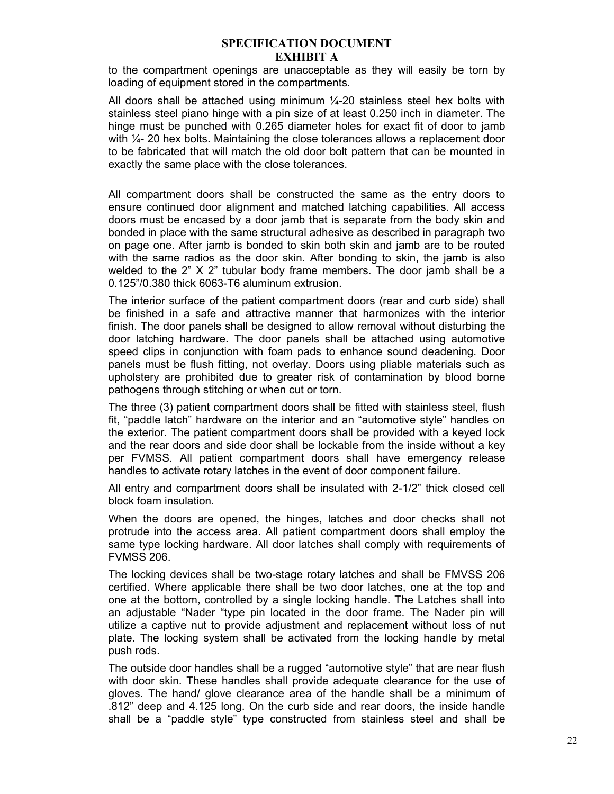to the compartment openings are unacceptable as they will easily be torn by loading of equipment stored in the compartments.

All doors shall be attached using minimum  $\frac{1}{4}$ -20 stainless steel hex bolts with stainless steel piano hinge with a pin size of at least 0.250 inch in diameter. The hinge must be punched with 0.265 diameter holes for exact fit of door to jamb with  $\frac{1}{4}$ - 20 hex bolts. Maintaining the close tolerances allows a replacement door to be fabricated that will match the old door bolt pattern that can be mounted in exactly the same place with the close tolerances.

All compartment doors shall be constructed the same as the entry doors to ensure continued door alignment and matched latching capabilities. All access doors must be encased by a door jamb that is separate from the body skin and bonded in place with the same structural adhesive as described in paragraph two on page one. After jamb is bonded to skin both skin and jamb are to be routed with the same radios as the door skin. After bonding to skin, the jamb is also welded to the  $2$ "  $X$   $2$ " tubular body frame members. The door jamb shall be a 0.125"/0.380 thick 6063-T6 aluminum extrusion.

The interior surface of the patient compartment doors (rear and curb side) shall be finished in a safe and attractive manner that harmonizes with the interior finish. The door panels shall be designed to allow removal without disturbing the door latching hardware. The door panels shall be attached using automotive speed clips in conjunction with foam pads to enhance sound deadening. Door panels must be flush fitting, not overlay. Doors using pliable materials such as upholstery are prohibited due to greater risk of contamination by blood borne pathogens through stitching or when cut or torn.

The three (3) patient compartment doors shall be fitted with stainless steel, flush fit, "paddle latch" hardware on the interior and an "automotive style" handles on the exterior. The patient compartment doors shall be provided with a keyed lock and the rear doors and side door shall be lockable from the inside without a key per FVMSS. All patient compartment doors shall have emergency release handles to activate rotary latches in the event of door component failure.

All entry and compartment doors shall be insulated with 2-1/2" thick closed cell block foam insulation.

When the doors are opened, the hinges, latches and door checks shall not protrude into the access area. All patient compartment doors shall employ the same type locking hardware. All door latches shall comply with requirements of FVMSS 206.

The locking devices shall be two-stage rotary latches and shall be FMVSS 206 certified. Where applicable there shall be two door latches, one at the top and one at the bottom, controlled by a single locking handle. The Latches shall into an adjustable "Nader "type pin located in the door frame. The Nader pin will utilize a captive nut to provide adjustment and replacement without loss of nut plate. The locking system shall be activated from the locking handle by metal push rods.

The outside door handles shall be a rugged "automotive style" that are near flush with door skin. These handles shall provide adequate clearance for the use of gloves. The hand/ glove clearance area of the handle shall be a minimum of .812" deep and 4.125 long. On the curb side and rear doors, the inside handle shall be a "paddle style" type constructed from stainless steel and shall be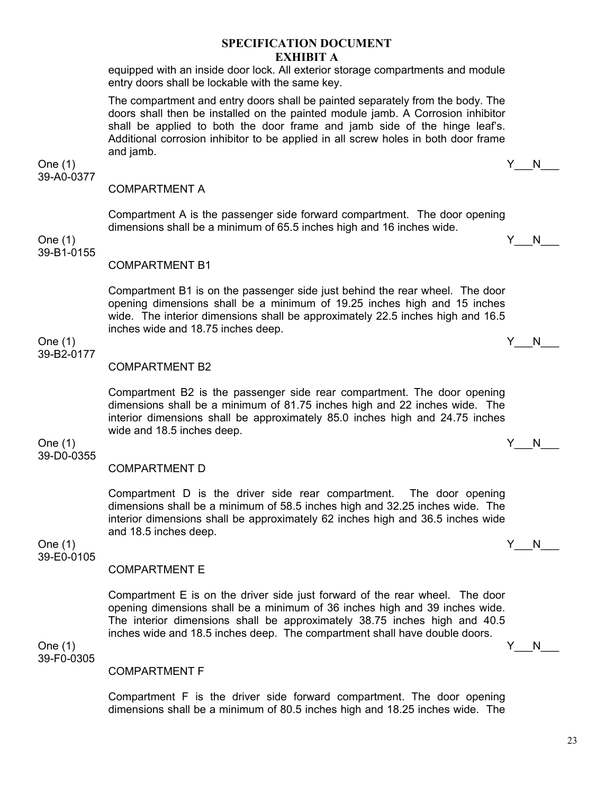equipped with an inside door lock. All exterior storage compartments and module entry doors shall be lockable with the same key.

The compartment and entry doors shall be painted separately from the body. The doors shall then be installed on the painted module jamb. A Corrosion inhibitor shall be applied to both the door frame and jamb side of the hinge leaf's. Additional corrosion inhibitor to be applied in all screw holes in both door frame and jamb.

One (1)  $Y_N$ 39-A0-0377

# COMPARTMENT A

Compartment A is the passenger side forward compartment. The door opening dimensions shall be a minimum of 65.5 inches high and 16 inches wide.

One (1)  $Y_N$  N 39-B1-0155

COMPARTMENT B1

Compartment B1 is on the passenger side just behind the rear wheel. The door opening dimensions shall be a minimum of 19.25 inches high and 15 inches wide. The interior dimensions shall be approximately 22.5 inches high and 16.5 inches wide and 18.75 inches deep.

# 39-B2-0177

COMPARTMENT B2

Compartment B2 is the passenger side rear compartment. The door opening dimensions shall be a minimum of 81.75 inches high and 22 inches wide. The interior dimensions shall be approximately 85.0 inches high and 24.75 inches wide and 18.5 inches deep.

One (1)  $Y_N$  N 39-D0-0355

# COMPARTMENT D

Compartment D is the driver side rear compartment. The door opening dimensions shall be a minimum of 58.5 inches high and 32.25 inches wide. The interior dimensions shall be approximately 62 inches high and 36.5 inches wide and 18.5 inches deep.

One (1)  $Y_N$  N 39-E0-0105

# COMPARTMENT E

Compartment E is on the driver side just forward of the rear wheel. The door opening dimensions shall be a minimum of 36 inches high and 39 inches wide. The interior dimensions shall be approximately 38.75 inches high and 40.5 inches wide and 18.5 inches deep. The compartment shall have double doors.

One (1)  $Y_N$  N 39-F0-0305

#### COMPARTMENT F

Compartment F is the driver side forward compartment. The door opening dimensions shall be a minimum of 80.5 inches high and 18.25 inches wide. The

One (1)  $Y_N$  N

23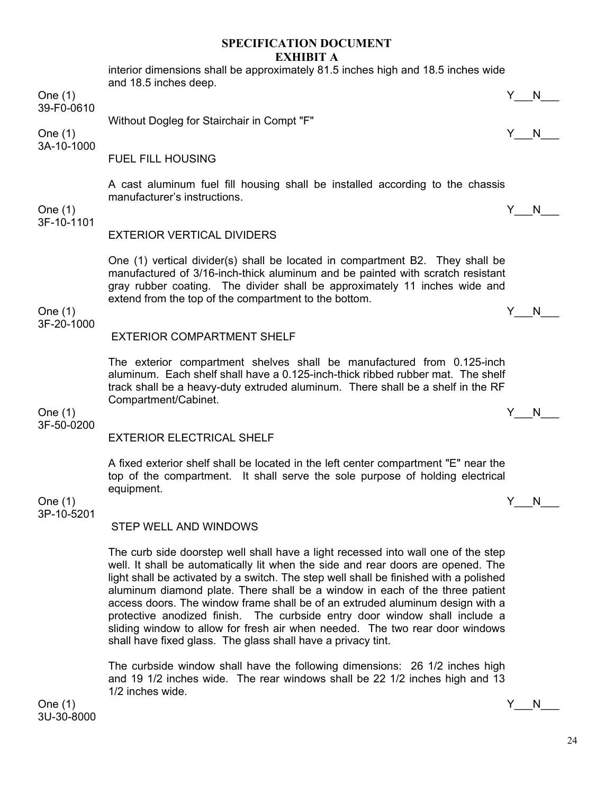interior dimensions shall be approximately 81.5 inches high and 18.5 inches wide and 18.5 inches deep. One (1) Y\_\_\_N\_\_\_ 39-F0-0610 Without Dogleg for Stairchair in Compt "F" One (1)  $Y_N$  N 3A-10-1000 FUEL FILL HOUSING A cast aluminum fuel fill housing shall be installed according to the chassis manufacturer's instructions. One (1)  $Y_N$  N 3F-10-1101 EXTERIOR VERTICAL DIVIDERS One (1) vertical divider(s) shall be located in compartment B2. They shall be manufactured of 3/16-inch-thick aluminum and be painted with scratch resistant gray rubber coating. The divider shall be approximately 11 inches wide and extend from the top of the compartment to the bottom. One (1)  $Y_N$  N 3F-20-1000 EXTERIOR COMPARTMENT SHELF The exterior compartment shelves shall be manufactured from 0.125-inch aluminum. Each shelf shall have a 0.125-inch-thick ribbed rubber mat. The shelf track shall be a heavy-duty extruded aluminum. There shall be a shelf in the RF Compartment/Cabinet. One (1)  $Y_N$  N 3F-50-0200

# EXTERIOR ELECTRICAL SHELF

A fixed exterior shelf shall be located in the left center compartment "E" near the top of the compartment. It shall serve the sole purpose of holding electrical equipment.

One (1)  $Y_N$  N 3P-10-5201

#### STEP WELL AND WINDOWS

The curb side doorstep well shall have a light recessed into wall one of the step well. It shall be automatically lit when the side and rear doors are opened. The light shall be activated by a switch. The step well shall be finished with a polished aluminum diamond plate. There shall be a window in each of the three patient access doors. The window frame shall be of an extruded aluminum design with a protective anodized finish. The curbside entry door window shall include a sliding window to allow for fresh air when needed. The two rear door windows shall have fixed glass. The glass shall have a privacy tint.

The curbside window shall have the following dimensions: 26 1/2 inches high and 19 1/2 inches wide. The rear windows shall be 22 1/2 inches high and 13 1/2 inches wide.

One (1)  $Y_N$  N 3U-30-8000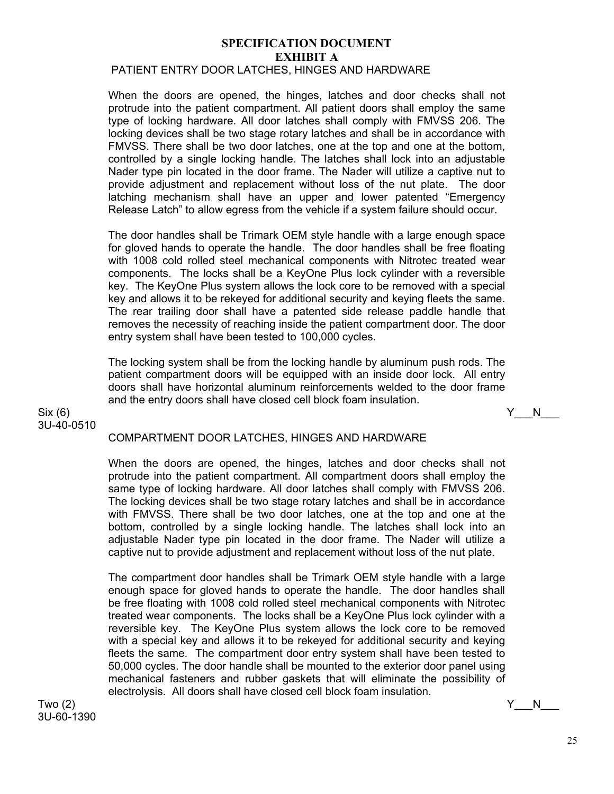# PATIENT ENTRY DOOR LATCHES, HINGES AND HARDWARE

When the doors are opened, the hinges, latches and door checks shall not protrude into the patient compartment. All patient doors shall employ the same type of locking hardware. All door latches shall comply with FMVSS 206. The locking devices shall be two stage rotary latches and shall be in accordance with FMVSS. There shall be two door latches, one at the top and one at the bottom, controlled by a single locking handle. The latches shall lock into an adjustable Nader type pin located in the door frame. The Nader will utilize a captive nut to provide adjustment and replacement without loss of the nut plate. The door latching mechanism shall have an upper and lower patented "Emergency Release Latch" to allow egress from the vehicle if a system failure should occur.

The door handles shall be Trimark OEM style handle with a large enough space for gloved hands to operate the handle. The door handles shall be free floating with 1008 cold rolled steel mechanical components with Nitrotec treated wear components. The locks shall be a KeyOne Plus lock cylinder with a reversible key. The KeyOne Plus system allows the lock core to be removed with a special key and allows it to be rekeyed for additional security and keying fleets the same. The rear trailing door shall have a patented side release paddle handle that removes the necessity of reaching inside the patient compartment door. The door entry system shall have been tested to 100,000 cycles.

The locking system shall be from the locking handle by aluminum push rods. The patient compartment doors will be equipped with an inside door lock. All entry doors shall have horizontal aluminum reinforcements welded to the door frame and the entry doors shall have closed cell block foam insulation.

 $\text{Six } (6)$  Y\_\_\_N\_\_\_ 3U-40-0510

# COMPARTMENT DOOR LATCHES, HINGES AND HARDWARE

When the doors are opened, the hinges, latches and door checks shall not protrude into the patient compartment. All compartment doors shall employ the same type of locking hardware. All door latches shall comply with FMVSS 206. The locking devices shall be two stage rotary latches and shall be in accordance with FMVSS. There shall be two door latches, one at the top and one at the bottom, controlled by a single locking handle. The latches shall lock into an adjustable Nader type pin located in the door frame. The Nader will utilize a captive nut to provide adjustment and replacement without loss of the nut plate.

The compartment door handles shall be Trimark OEM style handle with a large enough space for gloved hands to operate the handle. The door handles shall be free floating with 1008 cold rolled steel mechanical components with Nitrotec treated wear components. The locks shall be a KeyOne Plus lock cylinder with a reversible key. The KeyOne Plus system allows the lock core to be removed with a special key and allows it to be rekeyed for additional security and keying fleets the same. The compartment door entry system shall have been tested to 50,000 cycles. The door handle shall be mounted to the exterior door panel using mechanical fasteners and rubber gaskets that will eliminate the possibility of electrolysis. All doors shall have closed cell block foam insulation.

Two (2)  $\begin{array}{ccccc} \text{Two (2)} & & \text{if} & \text{No} \end{array}$ 3U-60-1390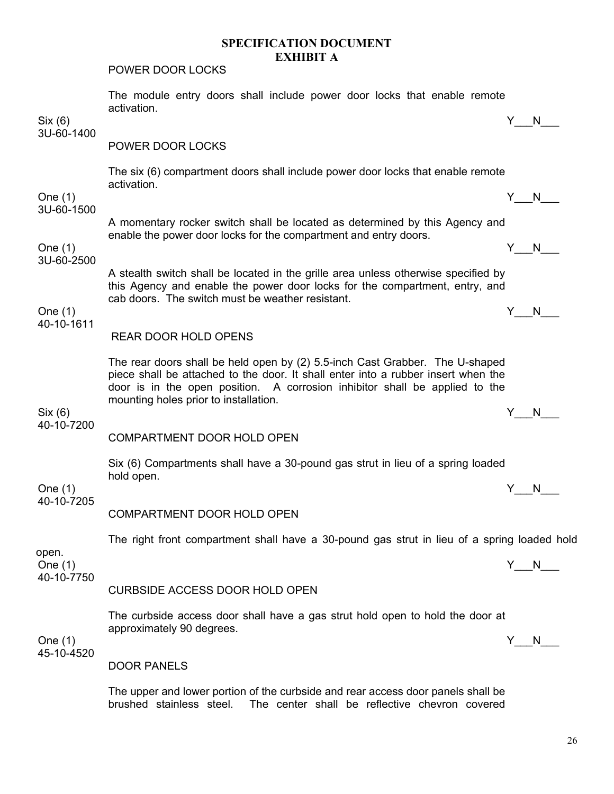POWER DOOR LOCKS

|                         | The module entry doors shall include power door locks that enable remote<br>activation.                                                                                                                                                                                                   |     |                                                                                                                                                                                                                                |  |  |  |
|-------------------------|-------------------------------------------------------------------------------------------------------------------------------------------------------------------------------------------------------------------------------------------------------------------------------------------|-----|--------------------------------------------------------------------------------------------------------------------------------------------------------------------------------------------------------------------------------|--|--|--|
| Six (6)                 |                                                                                                                                                                                                                                                                                           |     | Y N                                                                                                                                                                                                                            |  |  |  |
| 3U-60-1400              | POWER DOOR LOCKS                                                                                                                                                                                                                                                                          |     |                                                                                                                                                                                                                                |  |  |  |
|                         | The six (6) compartment doors shall include power door locks that enable remote<br>activation.                                                                                                                                                                                            |     |                                                                                                                                                                                                                                |  |  |  |
| One $(1)$<br>3U-60-1500 |                                                                                                                                                                                                                                                                                           |     | Y N                                                                                                                                                                                                                            |  |  |  |
| One $(1)$               | A momentary rocker switch shall be located as determined by this Agency and<br>enable the power door locks for the compartment and entry doors.                                                                                                                                           | Y . | N and the set of the set of the set of the set of the set of the set of the set of the set of the set of the set of the set of the set of the set of the set of the set of the set of the set of the set of the set of the set |  |  |  |
| 3U-60-2500              | A stealth switch shall be located in the grille area unless otherwise specified by                                                                                                                                                                                                        |     |                                                                                                                                                                                                                                |  |  |  |
| One $(1)$<br>40-10-1611 | this Agency and enable the power door locks for the compartment, entry, and<br>cab doors. The switch must be weather resistant.                                                                                                                                                           |     |                                                                                                                                                                                                                                |  |  |  |
|                         | <b>REAR DOOR HOLD OPENS</b>                                                                                                                                                                                                                                                               |     | Y N                                                                                                                                                                                                                            |  |  |  |
|                         | The rear doors shall be held open by (2) 5.5-inch Cast Grabber. The U-shaped<br>piece shall be attached to the door. It shall enter into a rubber insert when the<br>door is in the open position. A corrosion inhibitor shall be applied to the<br>mounting holes prior to installation. |     |                                                                                                                                                                                                                                |  |  |  |
| Six (6)                 |                                                                                                                                                                                                                                                                                           |     | N                                                                                                                                                                                                                              |  |  |  |
| 40-10-7200              | COMPARTMENT DOOR HOLD OPEN                                                                                                                                                                                                                                                                |     |                                                                                                                                                                                                                                |  |  |  |
|                         | Six (6) Compartments shall have a 30-pound gas strut in lieu of a spring loaded<br>hold open.                                                                                                                                                                                             |     |                                                                                                                                                                                                                                |  |  |  |
| One $(1)$<br>40-10-7205 |                                                                                                                                                                                                                                                                                           | Y.  | N.                                                                                                                                                                                                                             |  |  |  |
|                         | COMPARTMENT DOOR HOLD OPEN                                                                                                                                                                                                                                                                |     |                                                                                                                                                                                                                                |  |  |  |
| open.                   | The right front compartment shall have a 30-pound gas strut in lieu of a spring loaded hold                                                                                                                                                                                               |     |                                                                                                                                                                                                                                |  |  |  |
| One $(1)$<br>40-10-7750 |                                                                                                                                                                                                                                                                                           | Y N |                                                                                                                                                                                                                                |  |  |  |
|                         | <b>CURBSIDE ACCESS DOOR HOLD OPEN</b>                                                                                                                                                                                                                                                     |     |                                                                                                                                                                                                                                |  |  |  |
| One $(1)$<br>45-10-4520 | The curbside access door shall have a gas strut hold open to hold the door at<br>approximately 90 degrees.                                                                                                                                                                                | Y.  | N.                                                                                                                                                                                                                             |  |  |  |
|                         | <b>DOOR PANELS</b>                                                                                                                                                                                                                                                                        |     |                                                                                                                                                                                                                                |  |  |  |
|                         | The upper and lower portion of the curbside and rear access door panels shall be<br>brushed stainless steel.<br>The center shall be reflective chevron covered                                                                                                                            |     |                                                                                                                                                                                                                                |  |  |  |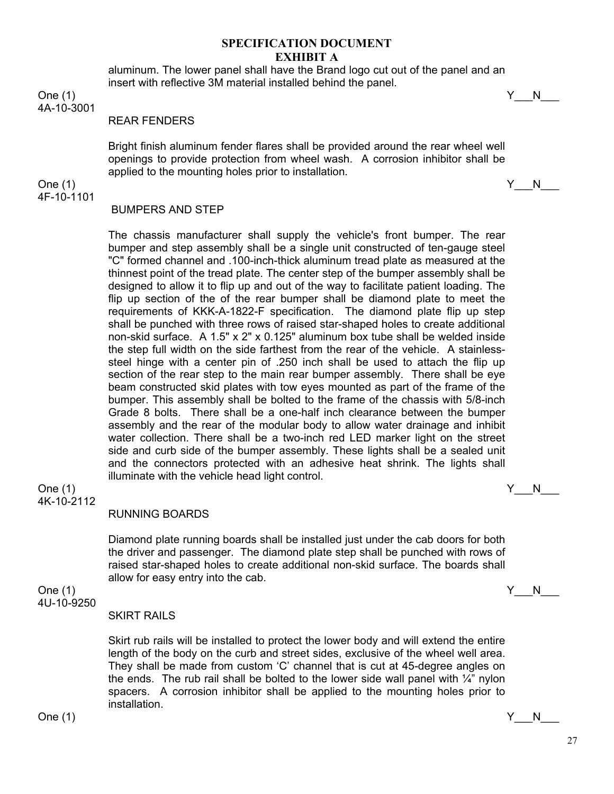aluminum. The lower panel shall have the Brand logo cut out of the panel and an insert with reflective 3M material installed behind the panel.

One (1) Y\_\_\_N\_\_\_

4A-10-3001

#### REAR FENDERS

Bright finish aluminum fender flares shall be provided around the rear wheel well openings to provide protection from wheel wash. A corrosion inhibitor shall be applied to the mounting holes prior to installation.

One (1)  $Y_N$  N 4F-10-1101

#### BUMPERS AND STEP

The chassis manufacturer shall supply the vehicle's front bumper. The rear bumper and step assembly shall be a single unit constructed of ten-gauge steel "C" formed channel and .100-inch-thick aluminum tread plate as measured at the thinnest point of the tread plate. The center step of the bumper assembly shall be designed to allow it to flip up and out of the way to facilitate patient loading. The flip up section of the of the rear bumper shall be diamond plate to meet the requirements of KKK-A-1822-F specification. The diamond plate flip up step shall be punched with three rows of raised star-shaped holes to create additional non-skid surface. A 1.5" x 2" x 0.125" aluminum box tube shall be welded inside the step full width on the side farthest from the rear of the vehicle. A stainlesssteel hinge with a center pin of .250 inch shall be used to attach the flip up section of the rear step to the main rear bumper assembly. There shall be eye beam constructed skid plates with tow eyes mounted as part of the frame of the bumper. This assembly shall be bolted to the frame of the chassis with 5/8-inch Grade 8 bolts. There shall be a one-half inch clearance between the bumper assembly and the rear of the modular body to allow water drainage and inhibit water collection. There shall be a two-inch red LED marker light on the street side and curb side of the bumper assembly. These lights shall be a sealed unit and the connectors protected with an adhesive heat shrink. The lights shall illuminate with the vehicle head light control.

#### One (1)  $Y_N$  N 4K-10-2112

#### RUNNING BOARDS

Diamond plate running boards shall be installed just under the cab doors for both the driver and passenger. The diamond plate step shall be punched with rows of raised star-shaped holes to create additional non-skid surface. The boards shall allow for easy entry into the cab.

One (1)  $Y_N$  N 4U-10-9250

#### SKIRT RAILS

Skirt rub rails will be installed to protect the lower body and will extend the entire length of the body on the curb and street sides, exclusive of the wheel well area. They shall be made from custom 'C' channel that is cut at 45-degree angles on the ends. The rub rail shall be bolted to the lower side wall panel with  $\frac{1}{4}$ " nylon spacers. A corrosion inhibitor shall be applied to the mounting holes prior to installation.

One (1)  $Y_N$  N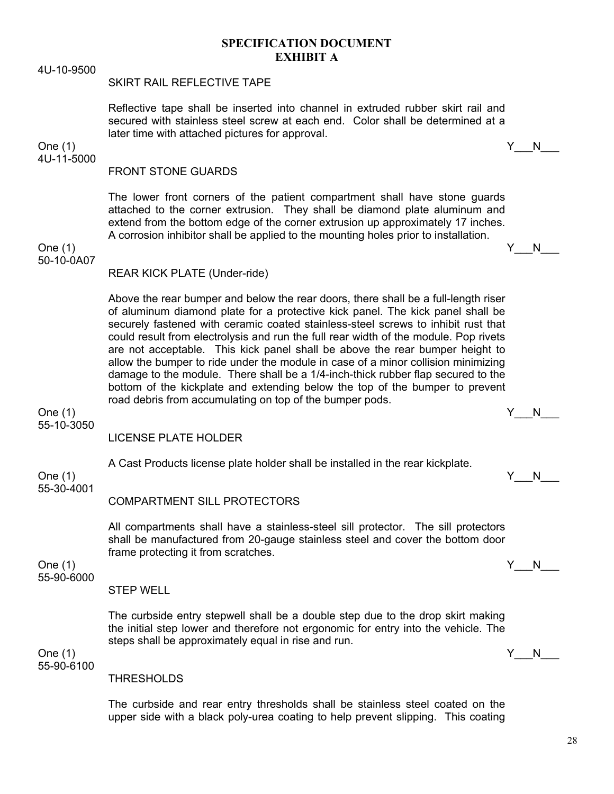4U-10-9500

#### SKIRT RAIL REFLECTIVE TAPE

Reflective tape shall be inserted into channel in extruded rubber skirt rail and secured with stainless steel screw at each end. Color shall be determined at a later time with attached pictures for approval.

One (1)  $Y_N$  N 4U-11-5000

# FRONT STONE GUARDS

The lower front corners of the patient compartment shall have stone guards attached to the corner extrusion. They shall be diamond plate aluminum and extend from the bottom edge of the corner extrusion up approximately 17 inches. A corrosion inhibitor shall be applied to the mounting holes prior to installation.

One (1)  $Y_N$  N 50-10-0A07

REAR KICK PLATE (Under-ride)

Above the rear bumper and below the rear doors, there shall be a full-length riser of aluminum diamond plate for a protective kick panel. The kick panel shall be securely fastened with ceramic coated stainless-steel screws to inhibit rust that could result from electrolysis and run the full rear width of the module. Pop rivets are not acceptable. This kick panel shall be above the rear bumper height to allow the bumper to ride under the module in case of a minor collision minimizing damage to the module. There shall be a 1/4-inch-thick rubber flap secured to the bottom of the kickplate and extending below the top of the bumper to prevent road debris from accumulating on top of the bumper pods.

One (1)  $Y_N$  N 55-10-3050

LICENSE PLATE HOLDER

A Cast Products license plate holder shall be installed in the rear kickplate.

55-30-4001

#### COMPARTMENT SILL PROTECTORS

All compartments shall have a stainless-steel sill protector. The sill protectors shall be manufactured from 20-gauge stainless steel and cover the bottom door frame protecting it from scratches.

One (1)  $Y_N$  N 55-90-6000

#### STEP WELL

The curbside entry stepwell shall be a double step due to the drop skirt making the initial step lower and therefore not ergonomic for entry into the vehicle. The steps shall be approximately equal in rise and run.

55-90-6100

**THRESHOLDS** 

The curbside and rear entry thresholds shall be stainless steel coated on the upper side with a black poly-urea coating to help prevent slipping. This coating

$$
f_{\rm{max}}
$$

One (1) Y\_\_\_N\_\_\_

One (1)  $Y_N$  N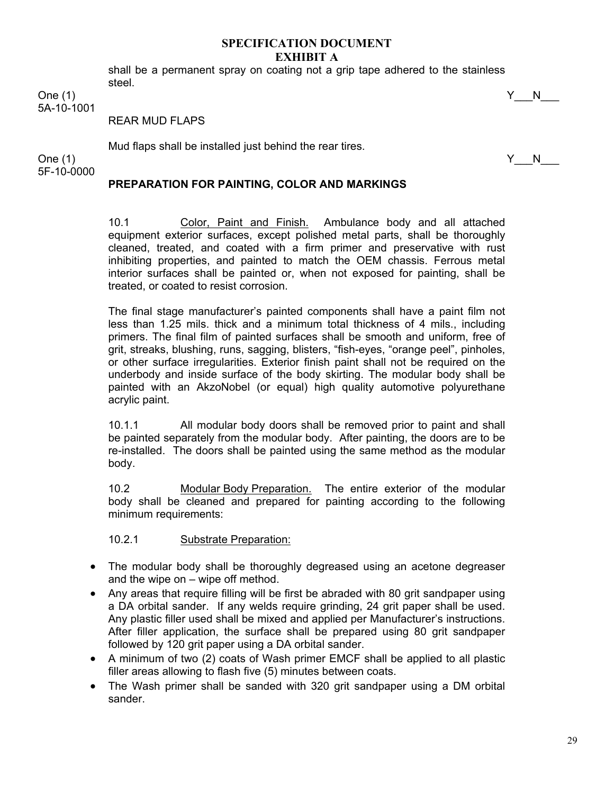shall be a permanent spray on coating not a grip tape adhered to the stainless steel.

One (1) Y\_\_\_N\_\_\_ 5A-10-1001

REAR MUD FLAPS

Mud flaps shall be installed just behind the rear tires.

One (1)  $Y_N$ 5F-10-0000

# **PREPARATION FOR PAINTING, COLOR AND MARKINGS**

10.1 Color, Paint and Finish. Ambulance body and all attached equipment exterior surfaces, except polished metal parts, shall be thoroughly cleaned, treated, and coated with a firm primer and preservative with rust inhibiting properties, and painted to match the OEM chassis. Ferrous metal interior surfaces shall be painted or, when not exposed for painting, shall be treated, or coated to resist corrosion.

The final stage manufacturer's painted components shall have a paint film not less than 1.25 mils. thick and a minimum total thickness of 4 mils., including primers. The final film of painted surfaces shall be smooth and uniform, free of grit, streaks, blushing, runs, sagging, blisters, "fish-eyes, "orange peel", pinholes, or other surface irregularities. Exterior finish paint shall not be required on the underbody and inside surface of the body skirting. The modular body shall be painted with an AkzoNobel (or equal) high quality automotive polyurethane acrylic paint.

10.1.1 All modular body doors shall be removed prior to paint and shall be painted separately from the modular body. After painting, the doors are to be re-installed. The doors shall be painted using the same method as the modular body.

10.2 Modular Body Preparation. The entire exterior of the modular body shall be cleaned and prepared for painting according to the following minimum requirements:

10.2.1 Substrate Preparation:

- The modular body shall be thoroughly degreased using an acetone degreaser and the wipe on – wipe off method.
- Any areas that require filling will be first be abraded with 80 grit sandpaper using a DA orbital sander. If any welds require grinding, 24 grit paper shall be used. Any plastic filler used shall be mixed and applied per Manufacturer's instructions. After filler application, the surface shall be prepared using 80 grit sandpaper followed by 120 grit paper using a DA orbital sander.
- A minimum of two (2) coats of Wash primer EMCF shall be applied to all plastic filler areas allowing to flash five (5) minutes between coats.
- The Wash primer shall be sanded with 320 grit sandpaper using a DM orbital sander.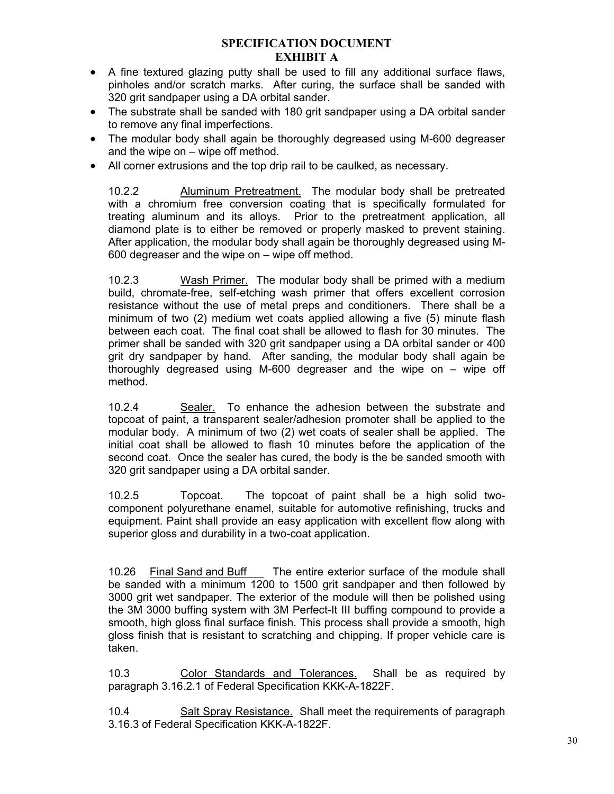- A fine textured glazing putty shall be used to fill any additional surface flaws, pinholes and/or scratch marks. After curing, the surface shall be sanded with 320 grit sandpaper using a DA orbital sander.
- The substrate shall be sanded with 180 grit sandpaper using a DA orbital sander to remove any final imperfections.
- The modular body shall again be thoroughly degreased using M-600 degreaser and the wipe on – wipe off method.
- All corner extrusions and the top drip rail to be caulked, as necessary.

10.2.2 Aluminum Pretreatment. The modular body shall be pretreated with a chromium free conversion coating that is specifically formulated for treating aluminum and its alloys. Prior to the pretreatment application, all diamond plate is to either be removed or properly masked to prevent staining. After application, the modular body shall again be thoroughly degreased using M-600 degreaser and the wipe on – wipe off method.

10.2.3 Wash Primer. The modular body shall be primed with a medium build, chromate-free, self-etching wash primer that offers excellent corrosion resistance without the use of metal preps and conditioners. There shall be a minimum of two (2) medium wet coats applied allowing a five (5) minute flash between each coat. The final coat shall be allowed to flash for 30 minutes. The primer shall be sanded with 320 grit sandpaper using a DA orbital sander or 400 grit dry sandpaper by hand. After sanding, the modular body shall again be thoroughly degreased using M-600 degreaser and the wipe on – wipe off method.

10.2.4 Sealer. To enhance the adhesion between the substrate and topcoat of paint, a transparent sealer/adhesion promoter shall be applied to the modular body. A minimum of two (2) wet coats of sealer shall be applied. The initial coat shall be allowed to flash 10 minutes before the application of the second coat. Once the sealer has cured, the body is the be sanded smooth with 320 grit sandpaper using a DA orbital sander.

10.2.5 Topcoat. The topcoat of paint shall be a high solid twocomponent polyurethane enamel, suitable for automotive refinishing, trucks and equipment. Paint shall provide an easy application with excellent flow along with superior gloss and durability in a two-coat application.

10.26 Final Sand and Buff The entire exterior surface of the module shall be sanded with a minimum 1200 to 1500 grit sandpaper and then followed by 3000 grit wet sandpaper. The exterior of the module will then be polished using the 3M 3000 buffing system with 3M Perfect-It III buffing compound to provide a smooth, high gloss final surface finish. This process shall provide a smooth, high gloss finish that is resistant to scratching and chipping. If proper vehicle care is taken.

10.3 Color Standards and Tolerances. Shall be as required by paragraph 3.16.2.1 of Federal Specification KKK-A-1822F.

10.4 Salt Spray Resistance. Shall meet the requirements of paragraph 3.16.3 of Federal Specification KKK-A-1822F.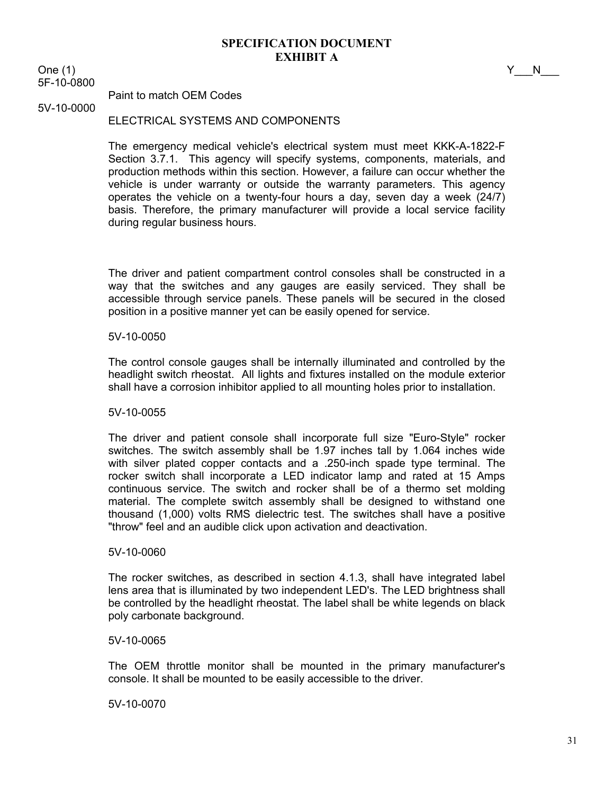One (1)  $Y_N$ 5F-10-0800

5V-10-0000

Paint to match OEM Codes

# ELECTRICAL SYSTEMS AND COMPONENTS

The emergency medical vehicle's electrical system must meet KKK-A-1822-F Section 3.7.1. This agency will specify systems, components, materials, and production methods within this section. However, a failure can occur whether the vehicle is under warranty or outside the warranty parameters. This agency operates the vehicle on a twenty-four hours a day, seven day a week (24/7) basis. Therefore, the primary manufacturer will provide a local service facility during regular business hours.

The driver and patient compartment control consoles shall be constructed in a way that the switches and any gauges are easily serviced. They shall be accessible through service panels. These panels will be secured in the closed position in a positive manner yet can be easily opened for service.

#### 5V-10-0050

The control console gauges shall be internally illuminated and controlled by the headlight switch rheostat. All lights and fixtures installed on the module exterior shall have a corrosion inhibitor applied to all mounting holes prior to installation.

#### 5V-10-0055

The driver and patient console shall incorporate full size "Euro-Style" rocker switches. The switch assembly shall be 1.97 inches tall by 1.064 inches wide with silver plated copper contacts and a .250-inch spade type terminal. The rocker switch shall incorporate a LED indicator lamp and rated at 15 Amps continuous service. The switch and rocker shall be of a thermo set molding material. The complete switch assembly shall be designed to withstand one thousand (1,000) volts RMS dielectric test. The switches shall have a positive "throw" feel and an audible click upon activation and deactivation.

#### 5V-10-0060

The rocker switches, as described in section 4.1.3, shall have integrated label lens area that is illuminated by two independent LED's. The LED brightness shall be controlled by the headlight rheostat. The label shall be white legends on black poly carbonate background.

#### 5V-10-0065

The OEM throttle monitor shall be mounted in the primary manufacturer's console. It shall be mounted to be easily accessible to the driver.

5V-10-0070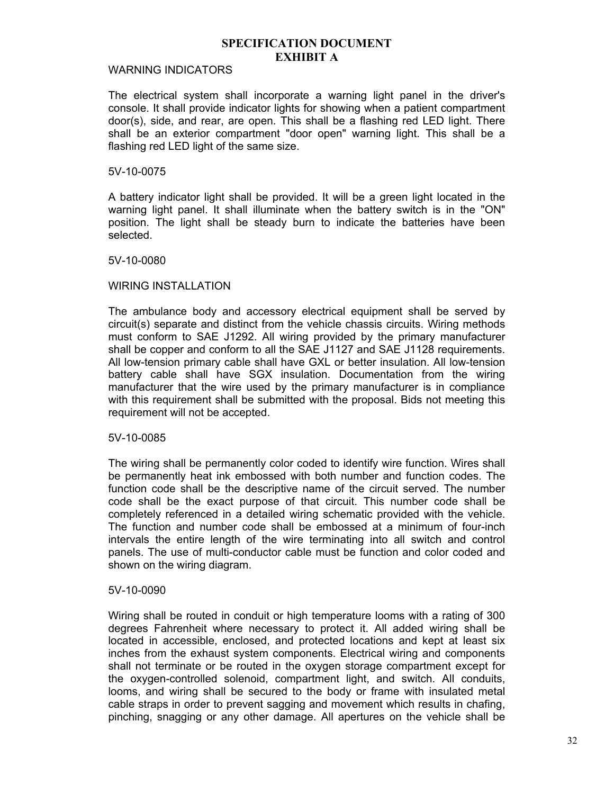#### WARNING INDICATORS

The electrical system shall incorporate a warning light panel in the driver's console. It shall provide indicator lights for showing when a patient compartment door(s), side, and rear, are open. This shall be a flashing red LED light. There shall be an exterior compartment "door open" warning light. This shall be a flashing red LED light of the same size.

#### 5V-10-0075

A battery indicator light shall be provided. It will be a green light located in the warning light panel. It shall illuminate when the battery switch is in the "ON" position. The light shall be steady burn to indicate the batteries have been selected.

#### 5V-10-0080

#### WIRING INSTALLATION

The ambulance body and accessory electrical equipment shall be served by circuit(s) separate and distinct from the vehicle chassis circuits. Wiring methods must conform to SAE J1292. All wiring provided by the primary manufacturer shall be copper and conform to all the SAE J1127 and SAE J1128 requirements. All low-tension primary cable shall have GXL or better insulation. All low-tension battery cable shall have SGX insulation. Documentation from the wiring manufacturer that the wire used by the primary manufacturer is in compliance with this requirement shall be submitted with the proposal. Bids not meeting this requirement will not be accepted.

#### 5V-10-0085

The wiring shall be permanently color coded to identify wire function. Wires shall be permanently heat ink embossed with both number and function codes. The function code shall be the descriptive name of the circuit served. The number code shall be the exact purpose of that circuit. This number code shall be completely referenced in a detailed wiring schematic provided with the vehicle. The function and number code shall be embossed at a minimum of four-inch intervals the entire length of the wire terminating into all switch and control panels. The use of multi-conductor cable must be function and color coded and shown on the wiring diagram.

#### 5V-10-0090

Wiring shall be routed in conduit or high temperature looms with a rating of 300 degrees Fahrenheit where necessary to protect it. All added wiring shall be located in accessible, enclosed, and protected locations and kept at least six inches from the exhaust system components. Electrical wiring and components shall not terminate or be routed in the oxygen storage compartment except for the oxygen-controlled solenoid, compartment light, and switch. All conduits, looms, and wiring shall be secured to the body or frame with insulated metal cable straps in order to prevent sagging and movement which results in chafing, pinching, snagging or any other damage. All apertures on the vehicle shall be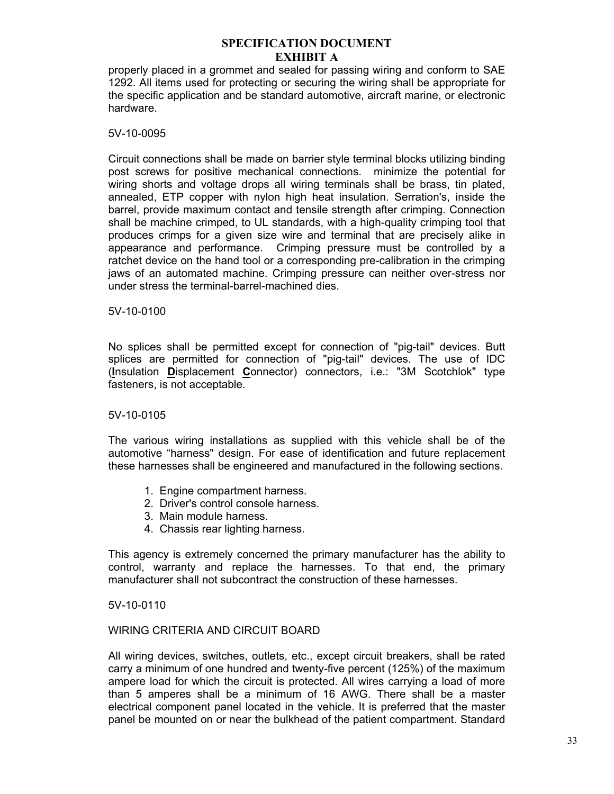properly placed in a grommet and sealed for passing wiring and conform to SAE 1292. All items used for protecting or securing the wiring shall be appropriate for the specific application and be standard automotive, aircraft marine, or electronic hardware.

### 5V-10-0095

Circuit connections shall be made on barrier style terminal blocks utilizing binding post screws for positive mechanical connections. minimize the potential for wiring shorts and voltage drops all wiring terminals shall be brass, tin plated, annealed, ETP copper with nylon high heat insulation. Serration's, inside the barrel, provide maximum contact and tensile strength after crimping. Connection shall be machine crimped, to UL standards, with a high-quality crimping tool that produces crimps for a given size wire and terminal that are precisely alike in appearance and performance. Crimping pressure must be controlled by a ratchet device on the hand tool or a corresponding pre-calibration in the crimping jaws of an automated machine. Crimping pressure can neither over-stress nor under stress the terminal-barrel-machined dies.

# 5V-10-0100

No splices shall be permitted except for connection of "pig-tail" devices. Butt splices are permitted for connection of "pig-tail" devices. The use of IDC (**I**nsulation **D**isplacement **C**onnector) connectors, i.e.: "3M Scotchlok" type fasteners, is not acceptable.

#### 5V-10-0105

The various wiring installations as supplied with this vehicle shall be of the automotive "harness" design. For ease of identification and future replacement these harnesses shall be engineered and manufactured in the following sections.

- 1. Engine compartment harness.
- 2. Driver's control console harness.
- 3. Main module harness.
- 4. Chassis rear lighting harness.

This agency is extremely concerned the primary manufacturer has the ability to control, warranty and replace the harnesses. To that end, the primary manufacturer shall not subcontract the construction of these harnesses.

#### 5V-10-0110

#### WIRING CRITERIA AND CIRCUIT BOARD

All wiring devices, switches, outlets, etc., except circuit breakers, shall be rated carry a minimum of one hundred and twenty-five percent (125%) of the maximum ampere load for which the circuit is protected. All wires carrying a load of more than 5 amperes shall be a minimum of 16 AWG. There shall be a master electrical component panel located in the vehicle. It is preferred that the master panel be mounted on or near the bulkhead of the patient compartment. Standard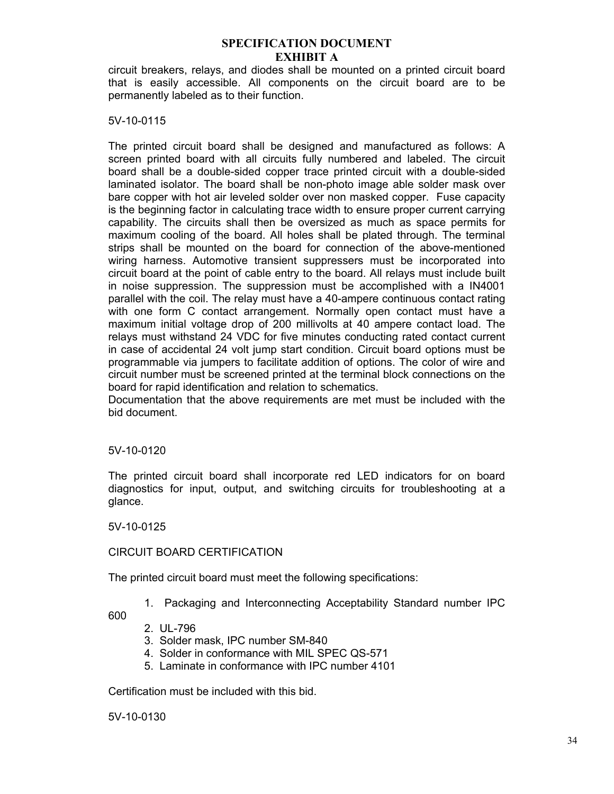circuit breakers, relays, and diodes shall be mounted on a printed circuit board that is easily accessible. All components on the circuit board are to be permanently labeled as to their function.

#### 5V-10-0115

The printed circuit board shall be designed and manufactured as follows: A screen printed board with all circuits fully numbered and labeled. The circuit board shall be a double-sided copper trace printed circuit with a double-sided laminated isolator. The board shall be non-photo image able solder mask over bare copper with hot air leveled solder over non masked copper. Fuse capacity is the beginning factor in calculating trace width to ensure proper current carrying capability. The circuits shall then be oversized as much as space permits for maximum cooling of the board. All holes shall be plated through. The terminal strips shall be mounted on the board for connection of the above-mentioned wiring harness. Automotive transient suppressers must be incorporated into circuit board at the point of cable entry to the board. All relays must include built in noise suppression. The suppression must be accomplished with a IN4001 parallel with the coil. The relay must have a 40-ampere continuous contact rating with one form C contact arrangement. Normally open contact must have a maximum initial voltage drop of 200 millivolts at 40 ampere contact load. The relays must withstand 24 VDC for five minutes conducting rated contact current in case of accidental 24 volt jump start condition. Circuit board options must be programmable via jumpers to facilitate addition of options. The color of wire and circuit number must be screened printed at the terminal block connections on the board for rapid identification and relation to schematics.

Documentation that the above requirements are met must be included with the bid document.

#### 5V-10-0120

The printed circuit board shall incorporate red LED indicators for on board diagnostics for input, output, and switching circuits for troubleshooting at a glance.

5V-10-0125

# CIRCUIT BOARD CERTIFICATION

The printed circuit board must meet the following specifications:

1. Packaging and Interconnecting Acceptability Standard number IPC

600

#### 2. UL-796

- 3. Solder mask, IPC number SM-840
- 4. Solder in conformance with MIL SPEC QS-571
- 5. Laminate in conformance with IPC number 4101

Certification must be included with this bid.

5V-10-0130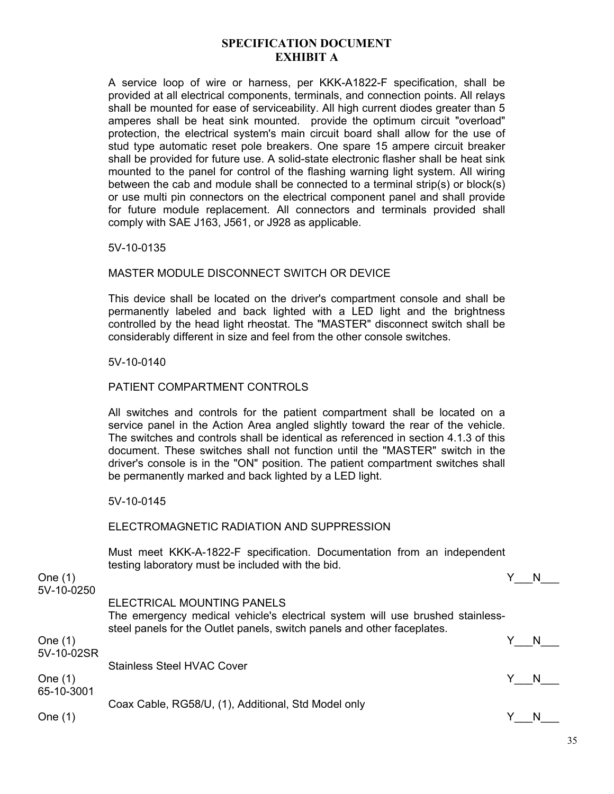A service loop of wire or harness, per KKK-A1822-F specification, shall be provided at all electrical components, terminals, and connection points. All relays shall be mounted for ease of serviceability. All high current diodes greater than 5 amperes shall be heat sink mounted. provide the optimum circuit "overload" protection, the electrical system's main circuit board shall allow for the use of stud type automatic reset pole breakers. One spare 15 ampere circuit breaker shall be provided for future use. A solid-state electronic flasher shall be heat sink mounted to the panel for control of the flashing warning light system. All wiring between the cab and module shall be connected to a terminal strip(s) or block(s) or use multi pin connectors on the electrical component panel and shall provide for future module replacement. All connectors and terminals provided shall comply with SAE J163, J561, or J928 as applicable.

5V-10-0135

# MASTER MODULE DISCONNECT SWITCH OR DEVICE

This device shall be located on the driver's compartment console and shall be permanently labeled and back lighted with a LED light and the brightness controlled by the head light rheostat. The "MASTER" disconnect switch shall be considerably different in size and feel from the other console switches.

5V-10-0140

# PATIENT COMPARTMENT CONTROLS

All switches and controls for the patient compartment shall be located on a service panel in the Action Area angled slightly toward the rear of the vehicle. The switches and controls shall be identical as referenced in section 4.1.3 of this document. These switches shall not function until the "MASTER" switch in the driver's console is in the "ON" position. The patient compartment switches shall be permanently marked and back lighted by a LED light.

5V-10-0145

#### ELECTROMAGNETIC RADIATION AND SUPPRESSION

Must meet KKK-A-1822-F specification. Documentation from an independent testing laboratory must be included with the bid.

One (1)  $Y_N$  N 5V-10-0250 ELECTRICAL MOUNTING PANELS The emergency medical vehicle's electrical system will use brushed stainlesssteel panels for the Outlet panels, switch panels and other faceplates. One (1)  $Y_N$  N 5V-10-02SR Stainless Steel HVAC Cover One (1)  $Y_N$  N 65-10-3001 Coax Cable, RG58/U, (1), Additional, Std Model only One (1)  $Y_N$  N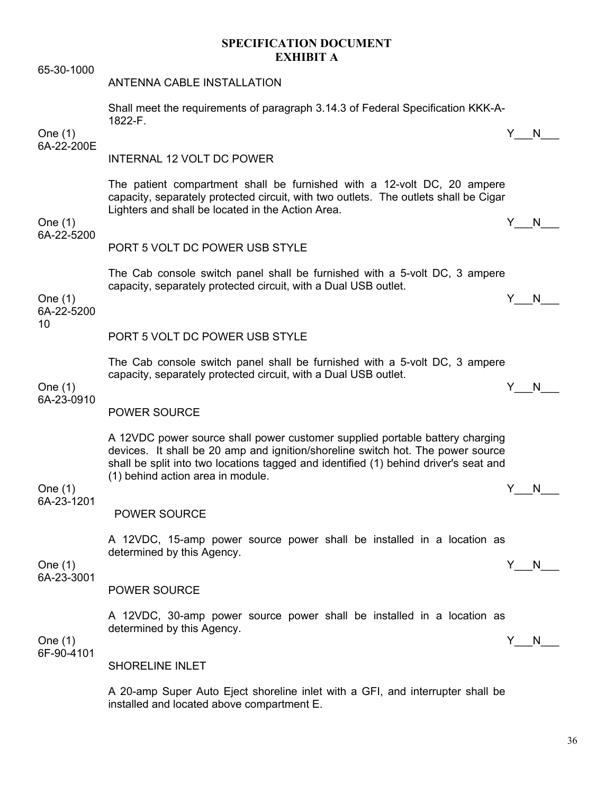65-30-1000 ANTENNA CABLE INSTALLATION Shall meet the requirements of paragraph 3.14.3 of Federal Specification KKK-A-1822-F. One (1)  $Y_N$  N 6A-22-200E INTERNAL 12 VOLT DC POWER The patient compartment shall be furnished with a 12-volt DC, 20 ampere capacity, separately protected circuit, with two outlets. The outlets shall be Cigar Lighters and shall be located in the Action Area. One (1)  $Y_N$ 6A-22-5200 PORT 5 VOLT DC POWER USB STYLE The Cab console switch panel shall be furnished with a 5-volt DC, 3 ampere capacity, separately protected circuit, with a Dual USB outlet. One (1)  $Y_N$  N 6A-22-5200 10 PORT 5 VOLT DC POWER USB STYLE The Cab console switch panel shall be furnished with a 5-volt DC, 3 ampere capacity, separately protected circuit, with a Dual USB outlet. One (1)  $Y_N$  N 6A-23-0910 POWER SOURCE A 12VDC power source shall power customer supplied portable battery charging devices. It shall be 20 amp and ignition/shoreline switch hot. The power source shall be split into two locations tagged and identified (1) behind driver's seat and (1) behind action area in module. One (1)  $Y_N$  N 6A-23-1201 POWER SOURCE A 12VDC, 15-amp power source power shall be installed in a location as determined by this Agency. One (1)  $Y_N$  N 6A-23-3001 POWER SOURCE A 12VDC, 30-amp power source power shall be installed in a location as determined by this Agency. One (1)  $Y_N$  N 6F-90-4101 SHORELINE INLET

> A 20-amp Super Auto Eject shoreline inlet with a GFI, and interrupter shall be installed and located above compartment E.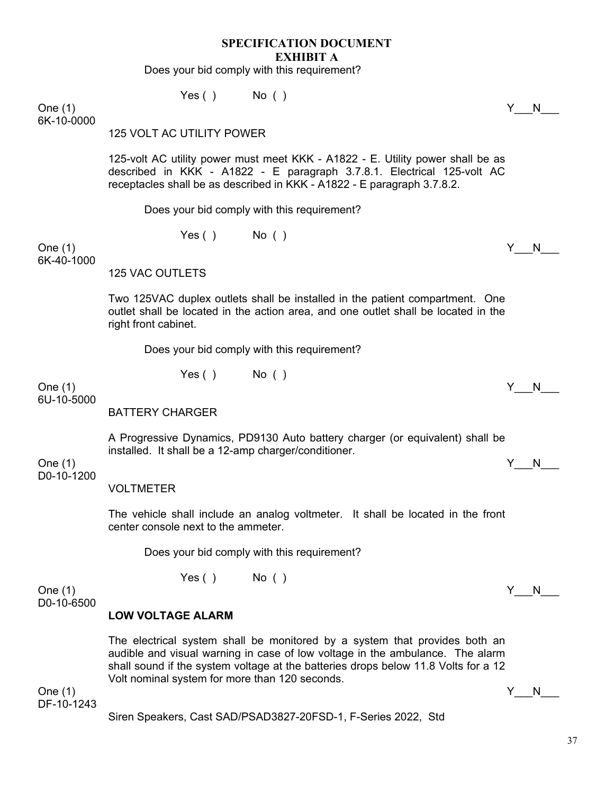Does your bid comply with this requirement?

 $Yes()$  No ( )

One (1)  $Y_N$  N 6K-10-0000

#### 125 VOLT AC UTILITY POWER

125-volt AC utility power must meet KKK - A1822 - E. Utility power shall be as described in KKK - A1822 - E paragraph 3.7.8.1. Electrical 125-volt AC receptacles shall be as described in KKK - A1822 - E paragraph 3.7.8.2.

Does your bid comply with this requirement?

Yes ( ) No ( )

One (1)  $Y_N$  N 6K-40-1000

125 VAC OUTLETS

Two 125VAC duplex outlets shall be installed in the patient compartment. One outlet shall be located in the action area, and one outlet shall be located in the right front cabinet.

Does your bid comply with this requirement?

 $Yes()$  No ( )

One (1)  $Y_N$  N 6U-10-5000

BATTERY CHARGER

A Progressive Dynamics, PD9130 Auto battery charger (or equivalent) shall be installed. It shall be a 12-amp charger/conditioner.

One (1)  $Y_N$  N D0-10-1200

VOLTMETER

The vehicle shall include an analog voltmeter. It shall be located in the front center console next to the ammeter.

Does your bid comply with this requirement?

Yes ( ) No ( )

One (1)  $Y_N$  N D0-10-6500

#### **LOW VOLTAGE ALARM**

The electrical system shall be monitored by a system that provides both an audible and visual warning in case of low voltage in the ambulance. The alarm shall sound if the system voltage at the batteries drops below 11.8 Volts for a 12 Volt nominal system for more than 120 seconds.

One (1)  $Y_N$  N DF-10-1243

Siren Speakers, Cast SAD/PSAD3827-20FSD-1, F-Series 2022, Std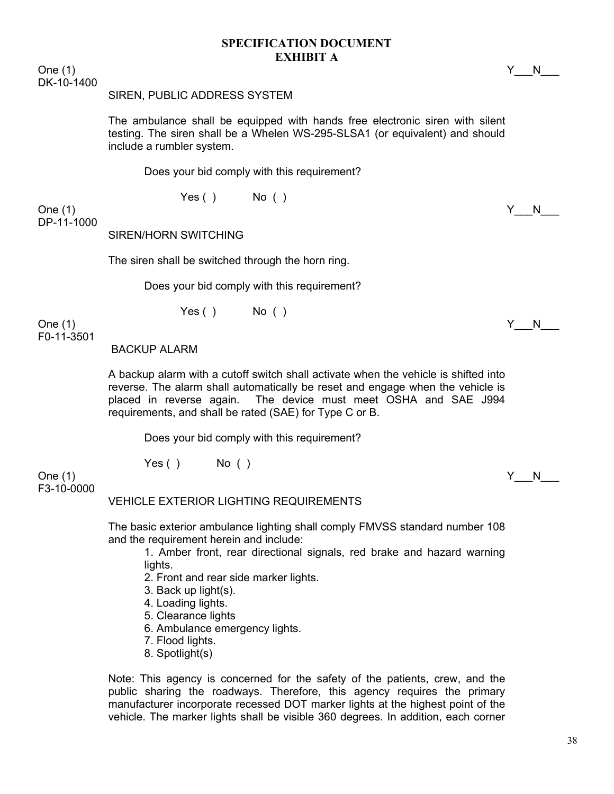One (1)  $Y_N$  N DK-10-1400

#### SIREN, PUBLIC ADDRESS SYSTEM

The ambulance shall be equipped with hands free electronic siren with silent testing. The siren shall be a Whelen WS-295-SLSA1 (or equivalent) and should include a rumbler system.

Does your bid comply with this requirement?

Yes ( ) No ( )

One (1)  $Y_N$  N DP-11-1000

SIREN/HORN SWITCHING

The siren shall be switched through the horn ring.

Does your bid comply with this requirement?

 $Yes()$  No ( )

One (1)  $Y_N$  N F0-11-3501

BACKUP ALARM

A backup alarm with a cutoff switch shall activate when the vehicle is shifted into reverse. The alarm shall automatically be reset and engage when the vehicle is placed in reverse again. The device must meet OSHA and SAE J994 requirements, and shall be rated (SAE) for Type C or B.

Does your bid comply with this requirement?

Yes ( ) No ( )

One (1) Y\_\_\_N\_\_\_ F3-10-0000

#### VEHICLE EXTERIOR LIGHTING REQUIREMENTS

The basic exterior ambulance lighting shall comply FMVSS standard number 108 and the requirement herein and include:

1. Amber front, rear directional signals, red brake and hazard warning lights.

2. Front and rear side marker lights.

3. Back up light(s).

4. Loading lights.

5. Clearance lights

6. Ambulance emergency lights.

7. Flood lights.

8. Spotlight(s)

Note: This agency is concerned for the safety of the patients, crew, and the public sharing the roadways. Therefore, this agency requires the primary manufacturer incorporate recessed DOT marker lights at the highest point of the vehicle. The marker lights shall be visible 360 degrees. In addition, each corner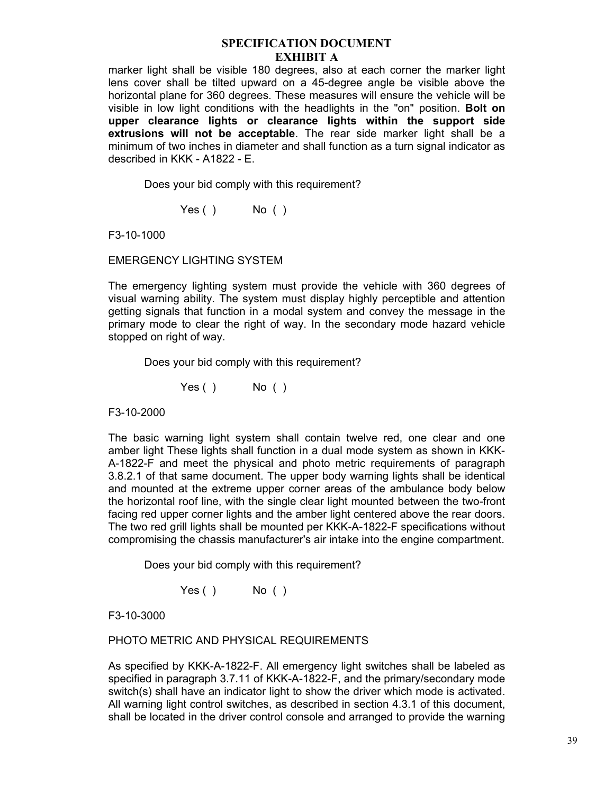marker light shall be visible 180 degrees, also at each corner the marker light lens cover shall be tilted upward on a 45-degree angle be visible above the horizontal plane for 360 degrees. These measures will ensure the vehicle will be visible in low light conditions with the headlights in the "on" position. **Bolt on upper clearance lights or clearance lights within the support side extrusions will not be acceptable**. The rear side marker light shall be a minimum of two inches in diameter and shall function as a turn signal indicator as described in KKK - A1822 - E.

Does your bid comply with this requirement?

Yes ( ) No ( )

F3-10-1000

EMERGENCY LIGHTING SYSTEM

The emergency lighting system must provide the vehicle with 360 degrees of visual warning ability. The system must display highly perceptible and attention getting signals that function in a modal system and convey the message in the primary mode to clear the right of way. In the secondary mode hazard vehicle stopped on right of way.

Does your bid comply with this requirement?

Yes ( ) No ( )

F3-10-2000

The basic warning light system shall contain twelve red, one clear and one amber light These lights shall function in a dual mode system as shown in KKK-A-1822-F and meet the physical and photo metric requirements of paragraph 3.8.2.1 of that same document. The upper body warning lights shall be identical and mounted at the extreme upper corner areas of the ambulance body below the horizontal roof line, with the single clear light mounted between the two-front facing red upper corner lights and the amber light centered above the rear doors. The two red grill lights shall be mounted per KKK-A-1822-F specifications without compromising the chassis manufacturer's air intake into the engine compartment.

Does your bid comply with this requirement?

Yes ( ) No ( )

F3-10-3000

PHOTO METRIC AND PHYSICAL REQUIREMENTS

As specified by KKK-A-1822-F. All emergency light switches shall be labeled as specified in paragraph 3.7.11 of KKK-A-1822-F, and the primary/secondary mode switch(s) shall have an indicator light to show the driver which mode is activated. All warning light control switches, as described in section 4.3.1 of this document, shall be located in the driver control console and arranged to provide the warning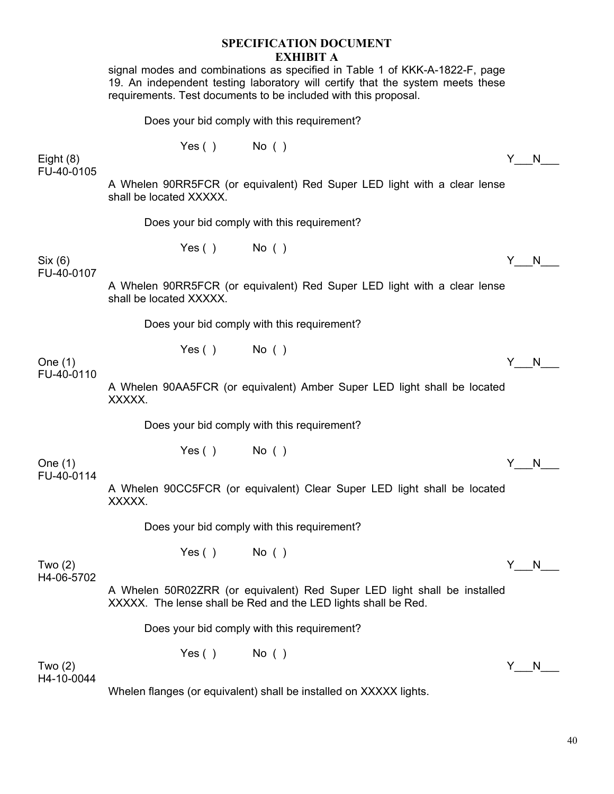|                           |                                                                                                                                            | <b>EXHIBIT A</b><br>signal modes and combinations as specified in Table 1 of KKK-A-1822-F, page<br>19. An independent testing laboratory will certify that the system meets these<br>requirements. Test documents to be included with this proposal. |     |    |  |
|---------------------------|--------------------------------------------------------------------------------------------------------------------------------------------|------------------------------------------------------------------------------------------------------------------------------------------------------------------------------------------------------------------------------------------------------|-----|----|--|
|                           |                                                                                                                                            | Does your bid comply with this requirement?                                                                                                                                                                                                          |     |    |  |
| Eight $(8)$<br>FU-40-0105 | $Yes()$ No ()                                                                                                                              |                                                                                                                                                                                                                                                      | Y N |    |  |
|                           | shall be located XXXXX.                                                                                                                    | A Whelen 90RR5FCR (or equivalent) Red Super LED light with a clear lense                                                                                                                                                                             |     |    |  |
|                           |                                                                                                                                            | Does your bid comply with this requirement?                                                                                                                                                                                                          |     |    |  |
| Six (6)<br>FU-40-0107     | $Yes()$ No ()                                                                                                                              |                                                                                                                                                                                                                                                      | Y N |    |  |
|                           | A Whelen 90RR5FCR (or equivalent) Red Super LED light with a clear lense<br>shall be located XXXXX.                                        |                                                                                                                                                                                                                                                      |     |    |  |
|                           |                                                                                                                                            | Does your bid comply with this requirement?                                                                                                                                                                                                          |     |    |  |
| One (1)                   | $Yes()$ No ()                                                                                                                              |                                                                                                                                                                                                                                                      | Y N |    |  |
| FU-40-0110                | XXXXX.                                                                                                                                     | A Whelen 90AA5FCR (or equivalent) Amber Super LED light shall be located                                                                                                                                                                             |     |    |  |
|                           |                                                                                                                                            | Does your bid comply with this requirement?                                                                                                                                                                                                          |     |    |  |
| One (1)<br>FU-40-0114     | $Yes()$ No ()                                                                                                                              |                                                                                                                                                                                                                                                      | Y.  | N  |  |
|                           | XXXXX.                                                                                                                                     | A Whelen 90CC5FCR (or equivalent) Clear Super LED light shall be located                                                                                                                                                                             |     |    |  |
|                           |                                                                                                                                            | Does your bid comply with this requirement?                                                                                                                                                                                                          |     |    |  |
| Two $(2)$                 | $Yes()$ No ()                                                                                                                              |                                                                                                                                                                                                                                                      | Y.  | N. |  |
| H4-06-5702                | A Whelen 50R02ZRR (or equivalent) Red Super LED light shall be installed<br>XXXXX. The lense shall be Red and the LED lights shall be Red. |                                                                                                                                                                                                                                                      |     |    |  |
|                           |                                                                                                                                            | Does your bid comply with this requirement?                                                                                                                                                                                                          |     |    |  |
| Two (2)<br>H4-10-0044     | $Yes()$ No ()                                                                                                                              |                                                                                                                                                                                                                                                      | Y.  | N  |  |
|                           |                                                                                                                                            | Whelen flanges (or equivalent) shall be installed on XXXXX lights.                                                                                                                                                                                   |     |    |  |

**SPECIFICATION DOCUMENT** 

40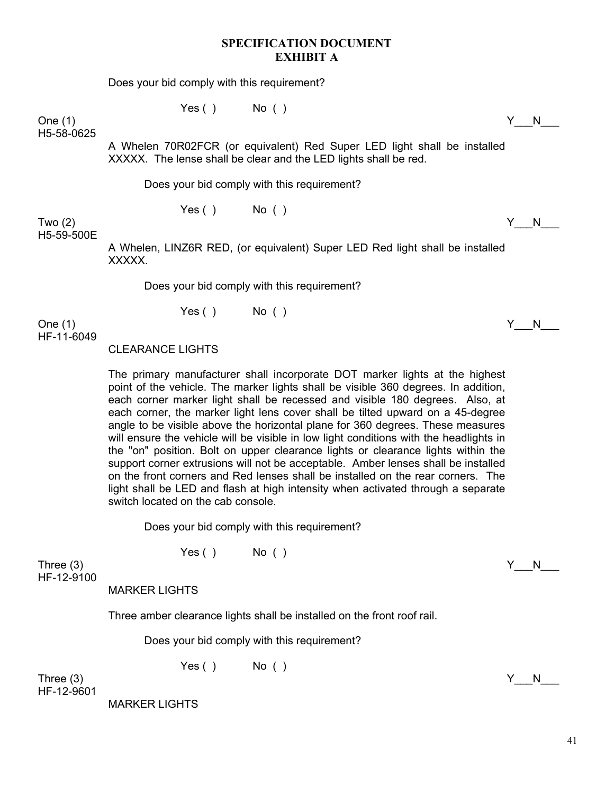Does your bid comply with this requirement?

 $Yes()$  No ( )

One (1)  $Y_N$  N H5-58-0625

> A Whelen 70R02FCR (or equivalent) Red Super LED light shall be installed XXXXX. The lense shall be clear and the LED lights shall be red.

Does your bid comply with this requirement?

Yes ( ) No ( )

Two (2)  $\begin{array}{ccccc} \text{Two (2)} & & \text{if} & \text{No} \end{array}$ H5-59-500E

> A Whelen, LINZ6R RED, (or equivalent) Super LED Red light shall be installed XXXXX.

Does your bid comply with this requirement?

 $Yes()$  No ( )

One (1)  $Y_N$  N HF-11-6049

CLEARANCE LIGHTS

The primary manufacturer shall incorporate DOT marker lights at the highest point of the vehicle. The marker lights shall be visible 360 degrees. In addition, each corner marker light shall be recessed and visible 180 degrees. Also, at each corner, the marker light lens cover shall be tilted upward on a 45-degree angle to be visible above the horizontal plane for 360 degrees. These measures will ensure the vehicle will be visible in low light conditions with the headlights in the "on" position. Bolt on upper clearance lights or clearance lights within the support corner extrusions will not be acceptable. Amber lenses shall be installed on the front corners and Red lenses shall be installed on the rear corners. The light shall be LED and flash at high intensity when activated through a separate switch located on the cab console.

Does your bid comply with this requirement?

 $Yes()$  No ( )

Three (3)  $\begin{array}{ccccc} \text{Three (3)} & & \text{Y} & \text{N} \end{array}$ HF-12-9100

MARKER LIGHTS

Three amber clearance lights shall be installed on the front roof rail.

Does your bid comply with this requirement?

 $Yes()$  No ( )

Three (3)  $\begin{array}{ccccc} & & & \text{Y} & \text{N} \end{array}$ HF-12-9601

MARKER LIGHTS

41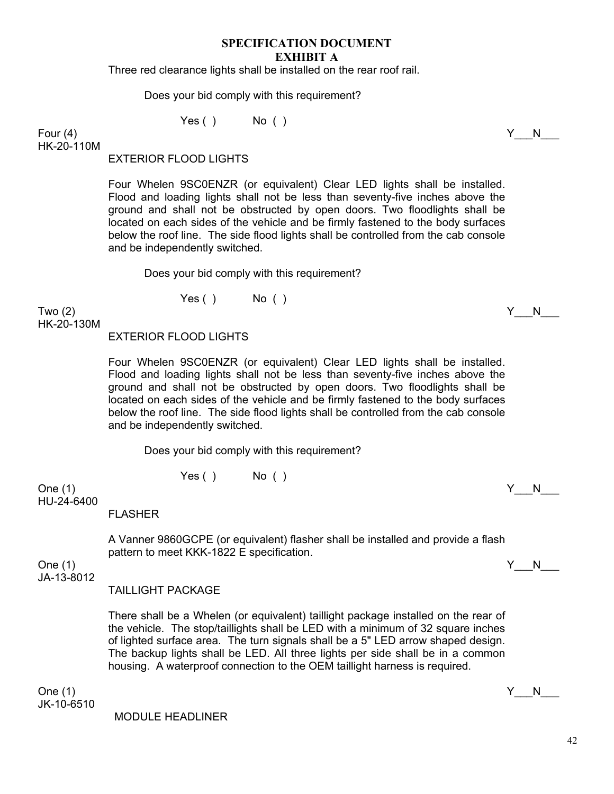Three red clearance lights shall be installed on the rear roof rail.

Does your bid comply with this requirement?

 $Yes()$  No ()

Four (4)  $\begin{array}{ccccc} \text{Four (4)} & & \text{Y} & \text{N} \end{array}$ HK-20-110M

EXTERIOR FLOOD LIGHTS

Four Whelen 9SC0ENZR (or equivalent) Clear LED lights shall be installed. Flood and loading lights shall not be less than seventy-five inches above the ground and shall not be obstructed by open doors. Two floodlights shall be located on each sides of the vehicle and be firmly fastened to the body surfaces below the roof line. The side flood lights shall be controlled from the cab console and be independently switched.

Does your bid comply with this requirement?

 $Yes()$  No ( )

Two (2)  $\begin{array}{ccccc} \text{Two (2)} & & \text{if} & \text{No} \end{array}$ HK-20-130M

EXTERIOR FLOOD LIGHTS

Four Whelen 9SC0ENZR (or equivalent) Clear LED lights shall be installed. Flood and loading lights shall not be less than seventy-five inches above the ground and shall not be obstructed by open doors. Two floodlights shall be located on each sides of the vehicle and be firmly fastened to the body surfaces below the roof line. The side flood lights shall be controlled from the cab console and be independently switched.

Does your bid comply with this requirement?

 $Yes()$  No ( )

One (1)  $Y_N$  N HU-24-6400

FLASHER

A Vanner 9860GCPE (or equivalent) flasher shall be installed and provide a flash pattern to meet KKK-1822 E specification.

JA-13-8012

TAILLIGHT PACKAGE

There shall be a Whelen (or equivalent) taillight package installed on the rear of the vehicle. The stop/taillights shall be LED with a minimum of 32 square inches of lighted surface area. The turn signals shall be a 5" LED arrow shaped design. The backup lights shall be LED. All three lights per side shall be in a common housing. A waterproof connection to the OEM taillight harness is required.

One (1)  $Y_N$  N JK-10-6510

MODULE HEADLINER

One (1)  $Y_N$  N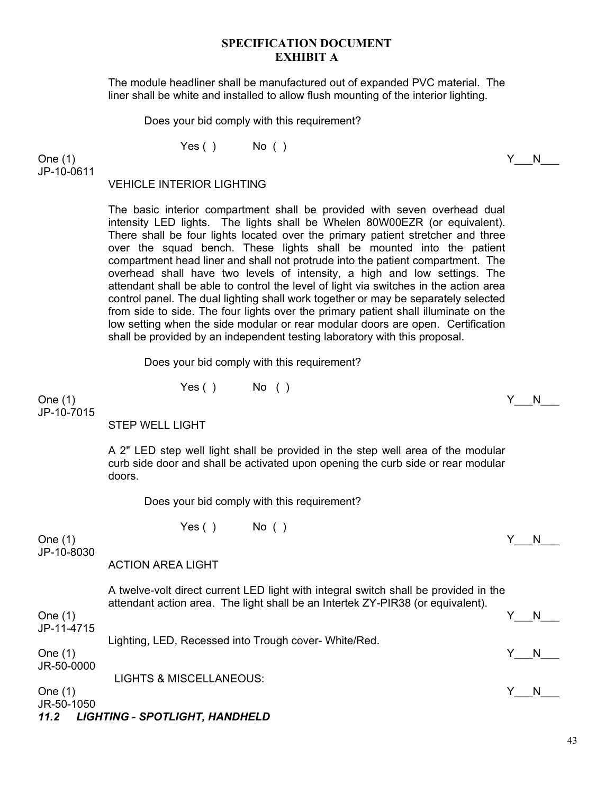The module headliner shall be manufactured out of expanded PVC material. The liner shall be white and installed to allow flush mounting of the interior lighting.

Does your bid comply with this requirement?

 $Yes()$  No ( )

One (1)  $Y_N$  N JP-10-0611

#### VEHICLE INTERIOR LIGHTING

The basic interior compartment shall be provided with seven overhead dual intensity LED lights. The lights shall be Whelen 80W00EZR (or equivalent). There shall be four lights located over the primary patient stretcher and three over the squad bench. These lights shall be mounted into the patient compartment head liner and shall not protrude into the patient compartment. The overhead shall have two levels of intensity, a high and low settings. The attendant shall be able to control the level of light via switches in the action area control panel. The dual lighting shall work together or may be separately selected from side to side. The four lights over the primary patient shall illuminate on the low setting when the side modular or rear modular doors are open. Certification shall be provided by an independent testing laboratory with this proposal.

Does your bid comply with this requirement?

Yes ( ) No ( )

One (1)  $Y_N$  N JP-10-7015

STEP WELL LIGHT

A 2" LED step well light shall be provided in the step well area of the modular curb side door and shall be activated upon opening the curb side or rear modular doors.

Does your bid comply with this requirement?

 $Yes()$  No ()

One (1)  $Y_N$  N JP-10-8030

#### ACTION AREA LIGHT

A twelve-volt direct current LED light with integral switch shall be provided in the attendant action area. The light shall be an Intertek ZY-PIR38 (or equivalent).

One (1)  $Y_N$  N JP-11-4715

Lighting, LED, Recessed into Trough cover- White/Red.

One (1)  $Y_N$  N

JR-50-0000

LIGHTS & MISCELLANEOUS:

One (1)  $Y_N$  N

JR-50-1050

*11.2 LIGHTING - SPOTLIGHT, HANDHELD* 

43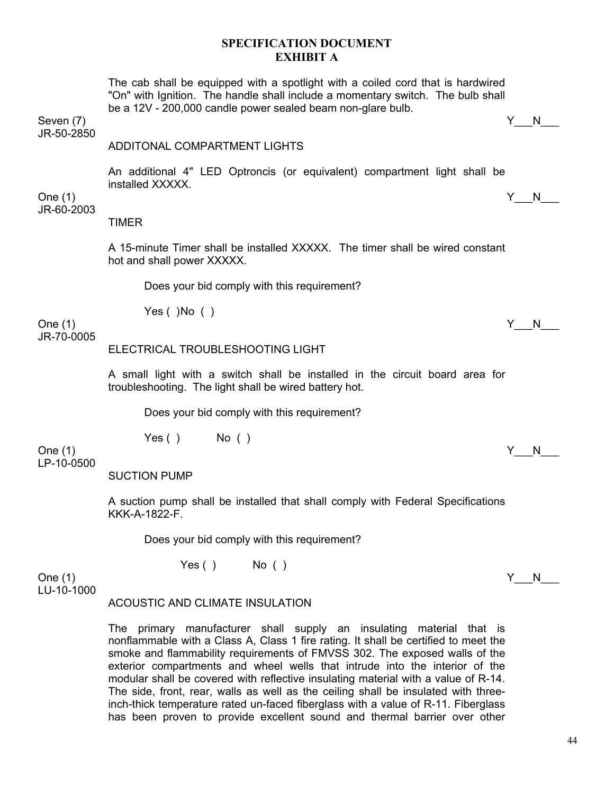The cab shall be equipped with a spotlight with a coiled cord that is hardwired "On" with Ignition. The handle shall include a momentary switch. The bulb shall be a 12V - 200,000 candle power sealed beam non-glare bulb.

Seven (7)  $\begin{array}{ccccc} & & & \text{Y} & \text{N} \end{array}$ 

JR-50-2850

# ADDITONAL COMPARTMENT LIGHTS

An additional 4" LED Optroncis (or equivalent) compartment light shall be installed XXXXX.

One (1)  $Y_N$  N JR-60-2003

TIMER

A 15-minute Timer shall be installed XXXXX. The timer shall be wired constant hot and shall power XXXXX.

Does your bid comply with this requirement?

Yes  $( )$  No  $( )$ 

One (1)  $Y_N$  N JR-70-0005

#### ELECTRICAL TROUBLESHOOTING LIGHT

A small light with a switch shall be installed in the circuit board area for troubleshooting. The light shall be wired battery hot.

Does your bid comply with this requirement?

 $Yes()$  No ()

One (1)  $Y_N$  N LP-10-0500

SUCTION PUMP

A suction pump shall be installed that shall comply with Federal Specifications KKK-A-1822-F.

Does your bid comply with this requirement?

One (1)  $Y_N$  N

 $Yes()$  No ( )

LU-10-1000

# ACOUSTIC AND CLIMATE INSULATION

The primary manufacturer shall supply an insulating material that is nonflammable with a Class A, Class 1 fire rating. It shall be certified to meet the smoke and flammability requirements of FMVSS 302. The exposed walls of the exterior compartments and wheel wells that intrude into the interior of the modular shall be covered with reflective insulating material with a value of R-14. The side, front, rear, walls as well as the ceiling shall be insulated with threeinch-thick temperature rated un-faced fiberglass with a value of R-11. Fiberglass has been proven to provide excellent sound and thermal barrier over other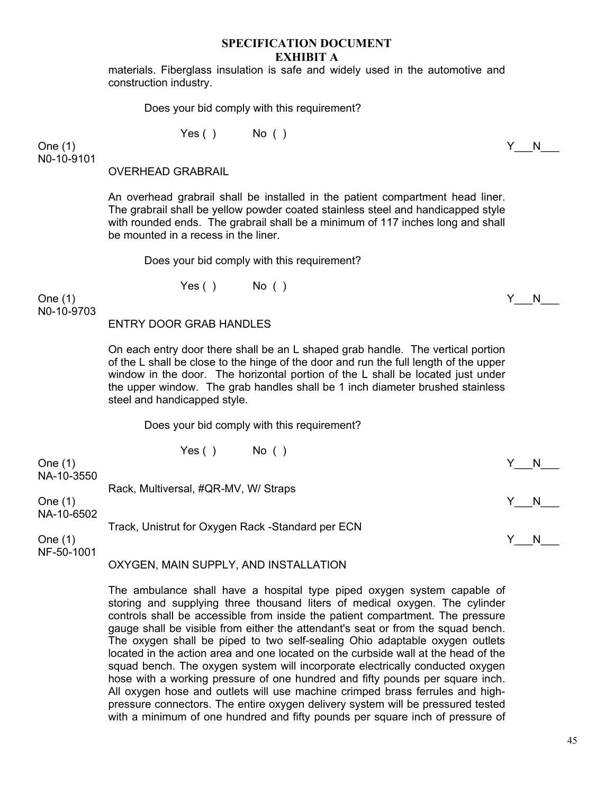materials. Fiberglass insulation is safe and widely used in the automotive and construction industry.

Does your bid comply with this requirement?

Yes ( ) No ( )

One (1)  $Y_N$  N N0-10-9101

OVERHEAD GRABRAIL

An overhead grabrail shall be installed in the patient compartment head liner. The grabrail shall be yellow powder coated stainless steel and handicapped style with rounded ends. The grabrail shall be a minimum of 117 inches long and shall be mounted in a recess in the liner.

Does your bid comply with this requirement?

 $Yes()$  No ( )

One (1)  $Y_N$  N N0-10-9703

#### ENTRY DOOR GRAB HANDLES

On each entry door there shall be an L shaped grab handle. The vertical portion of the L shall be close to the hinge of the door and run the full length of the upper window in the door. The horizontal portion of the L shall be located just under the upper window. The grab handles shall be 1 inch diameter brushed stainless steel and handicapped style.

Does your bid comply with this requirement?

| One $(1)$               | Yes (<br>No( )                                    |  |
|-------------------------|---------------------------------------------------|--|
| NA-10-3550              | Rack, Multiversal, #QR-MV, W/ Straps              |  |
| One $(1)$<br>NA-10-6502 |                                                   |  |
|                         | Track, Unistrut for Oxygen Rack -Standard per ECN |  |
| One $(1)$               |                                                   |  |

 $NF-50-1001$ 

# OXYGEN, MAIN SUPPLY, AND INSTALLATION

The ambulance shall have a hospital type piped oxygen system capable of storing and supplying three thousand liters of medical oxygen. The cylinder controls shall be accessible from inside the patient compartment. The pressure gauge shall be visible from either the attendant's seat or from the squad bench. The oxygen shall be piped to two self-sealing Ohio adaptable oxygen outlets located in the action area and one located on the curbside wall at the head of the squad bench. The oxygen system will incorporate electrically conducted oxygen hose with a working pressure of one hundred and fifty pounds per square inch. All oxygen hose and outlets will use machine crimped brass ferrules and highpressure connectors. The entire oxygen delivery system will be pressured tested with a minimum of one hundred and fifty pounds per square inch of pressure of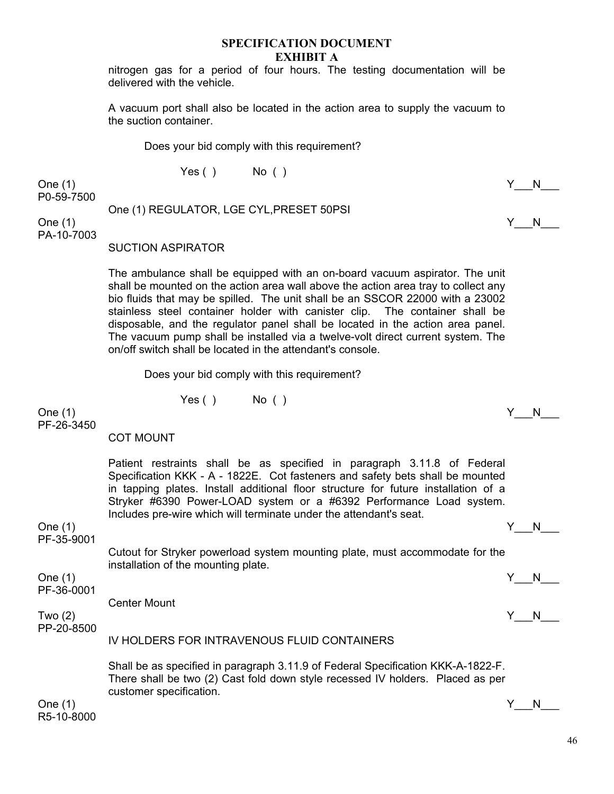nitrogen gas for a period of four hours. The testing documentation will be delivered with the vehicle.

A vacuum port shall also be located in the action area to supply the vacuum to the suction container.

Does your bid comply with this requirement?

 $Yes()$  No ( )

One (1)  $Y_N$  N P0-59-7500

One (1) REGULATOR, LGE CYL,PRESET 50PSI One (1)  $Y_N = N_N$ 

PA-10-7003

SUCTION ASPIRATOR

The ambulance shall be equipped with an on-board vacuum aspirator. The unit shall be mounted on the action area wall above the action area tray to collect any bio fluids that may be spilled. The unit shall be an SSCOR 22000 with a 23002 stainless steel container holder with canister clip. The container shall be disposable, and the regulator panel shall be located in the action area panel. The vacuum pump shall be installed via a twelve-volt direct current system. The on/off switch shall be located in the attendant's console.

Does your bid comply with this requirement?

 $Yes()$  No ( )

One (1)  $Y_N = N_N$ PF-26-3450

COT MOUNT

Patient restraints shall be as specified in paragraph 3.11.8 of Federal Specification KKK - A - 1822E. Cot fasteners and safety bets shall be mounted in tapping plates. Install additional floor structure for future installation of a Stryker #6390 Power-LOAD system or a #6392 Performance Load system. Includes pre-wire which will terminate under the attendant's seat.

One (1)  $Y_N$  N

PF-35-9001

Cutout for Stryker powerload system mounting plate, must accommodate for the installation of the mounting plate.

One (1)  $Y_N$ PF-36-0001

Center Mount

Two (2)  $\begin{array}{ccccc} \text{Two (2)} & & \text{if} & \text{No} \end{array}$ 

PP-20-8500

IV HOLDERS FOR INTRAVENOUS FLUID CONTAINERS

Shall be as specified in paragraph 3.11.9 of Federal Specification KKK-A-1822-F. There shall be two (2) Cast fold down style recessed IV holders. Placed as per customer specification.

One (1)  $Y_N$  N R5-10-8000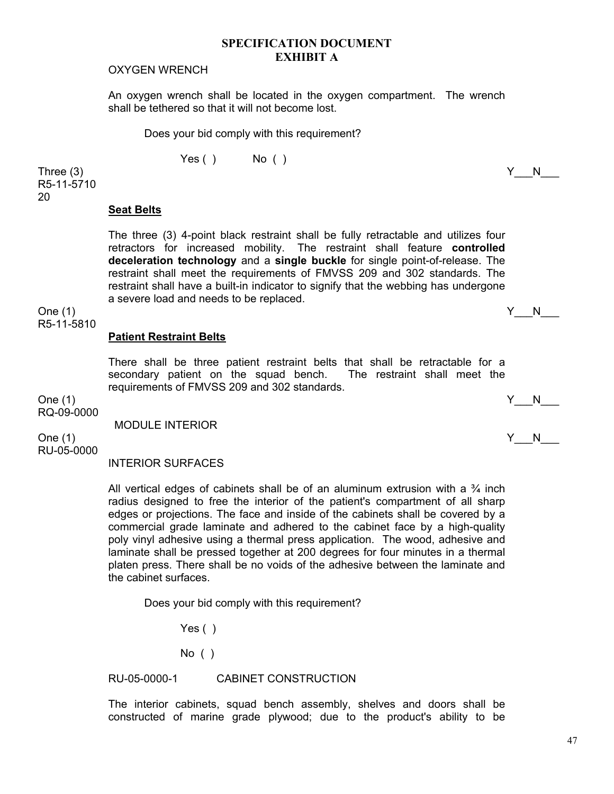#### OXYGEN WRENCH

An oxygen wrench shall be located in the oxygen compartment. The wrench shall be tethered so that it will not become lost.

Does your bid comply with this requirement?

Yes ( ) No ( )

Three (3)  $\begin{array}{ccccc} \text{Three (3)} & & \text{Y} & \text{N} \end{array}$ R5-11-5710 20

#### **Seat Belts**

The three (3) 4-point black restraint shall be fully retractable and utilizes four retractors for increased mobility. The restraint shall feature **controlled deceleration technology** and a **single buckle** for single point-of-release. The restraint shall meet the requirements of FMVSS 209 and 302 standards. The restraint shall have a built-in indicator to signify that the webbing has undergone a severe load and needs to be replaced.

One (1)  $Y_N$  N R5-11-5810

#### **Patient Restraint Belts**

There shall be three patient restraint belts that shall be retractable for a secondary patient on the squad bench. The restraint shall meet the requirements of FMVSS 209 and 302 standards.

RQ-09-0000

MODULE INTERIOR

RU-05-0000

#### INTERIOR SURFACES

All vertical edges of cabinets shall be of an aluminum extrusion with a  $\frac{3}{4}$  inch radius designed to free the interior of the patient's compartment of all sharp edges or projections. The face and inside of the cabinets shall be covered by a commercial grade laminate and adhered to the cabinet face by a high-quality poly vinyl adhesive using a thermal press application. The wood, adhesive and laminate shall be pressed together at 200 degrees for four minutes in a thermal platen press. There shall be no voids of the adhesive between the laminate and the cabinet surfaces.

Does your bid comply with this requirement?

Yes ( )

No ( )

RU-05-0000-1 CABINET CONSTRUCTION

The interior cabinets, squad bench assembly, shelves and doors shall be constructed of marine grade plywood; due to the product's ability to be

One (1)  $Y_N$  N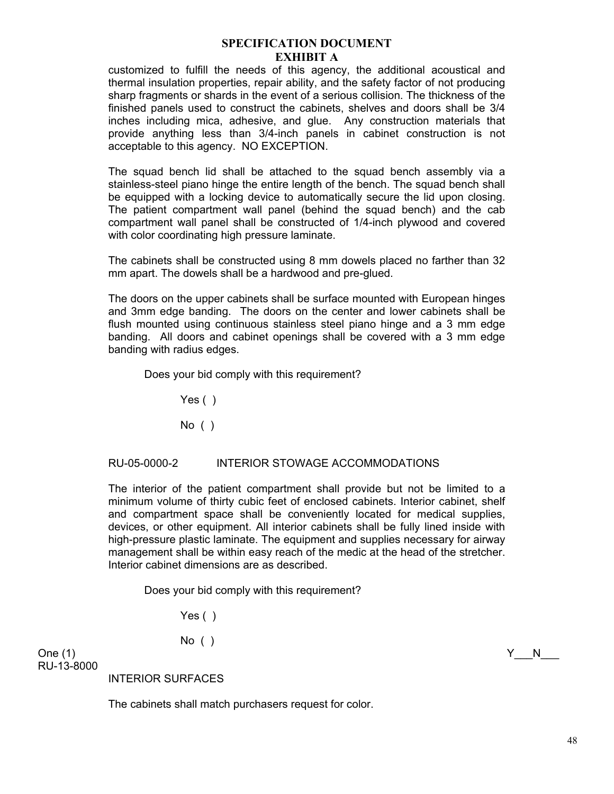customized to fulfill the needs of this agency, the additional acoustical and thermal insulation properties, repair ability, and the safety factor of not producing sharp fragments or shards in the event of a serious collision. The thickness of the finished panels used to construct the cabinets, shelves and doors shall be 3/4 inches including mica, adhesive, and glue. Any construction materials that provide anything less than 3/4-inch panels in cabinet construction is not acceptable to this agency. NO EXCEPTION.

The squad bench lid shall be attached to the squad bench assembly via a stainless-steel piano hinge the entire length of the bench. The squad bench shall be equipped with a locking device to automatically secure the lid upon closing. The patient compartment wall panel (behind the squad bench) and the cab compartment wall panel shall be constructed of 1/4-inch plywood and covered with color coordinating high pressure laminate.

The cabinets shall be constructed using 8 mm dowels placed no farther than 32 mm apart. The dowels shall be a hardwood and pre-glued.

The doors on the upper cabinets shall be surface mounted with European hinges and 3mm edge banding. The doors on the center and lower cabinets shall be flush mounted using continuous stainless steel piano hinge and a 3 mm edge banding. All doors and cabinet openings shall be covered with a 3 mm edge banding with radius edges.

Does your bid comply with this requirement?

Yes ()

No ( )

# RU-05-0000-2 INTERIOR STOWAGE ACCOMMODATIONS

The interior of the patient compartment shall provide but not be limited to a minimum volume of thirty cubic feet of enclosed cabinets. Interior cabinet, shelf and compartment space shall be conveniently located for medical supplies, devices, or other equipment. All interior cabinets shall be fully lined inside with high-pressure plastic laminate. The equipment and supplies necessary for airway management shall be within easy reach of the medic at the head of the stretcher. Interior cabinet dimensions are as described.

Does your bid comply with this requirement?

Yes ()

No ( )

One (1)  $Y_N$  N RU-13-8000

INTERIOR SURFACES

The cabinets shall match purchasers request for color.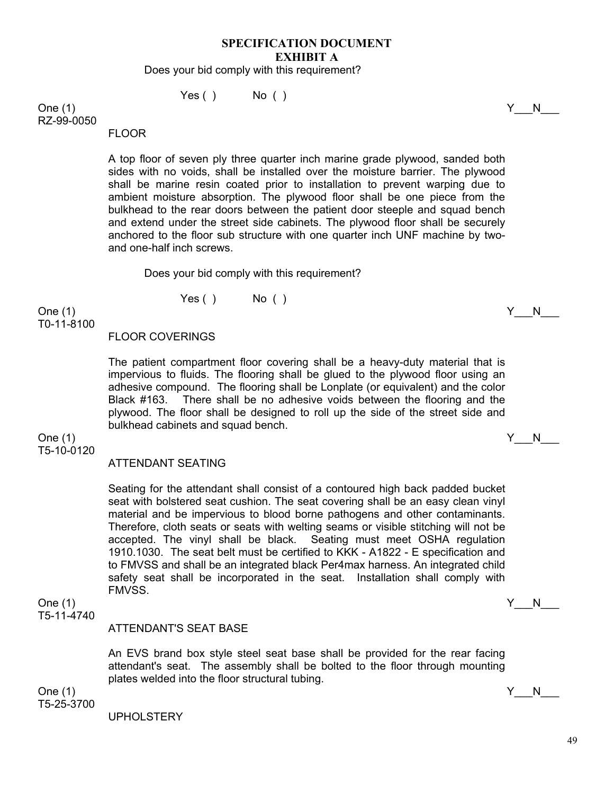Does your bid comply with this requirement?

 $Yes()$  No ()

One (1)  $Y_N$  N RZ-99-0050

FLOOR

A top floor of seven ply three quarter inch marine grade plywood, sanded both sides with no voids, shall be installed over the moisture barrier. The plywood shall be marine resin coated prior to installation to prevent warping due to ambient moisture absorption. The plywood floor shall be one piece from the bulkhead to the rear doors between the patient door steeple and squad bench and extend under the street side cabinets. The plywood floor shall be securely anchored to the floor sub structure with one quarter inch UNF machine by twoand one-half inch screws.

Does your bid comply with this requirement?

 $Yes()$  No ( )

One (1)  $Y_N$  N T0-11-8100

#### FLOOR COVERINGS

The patient compartment floor covering shall be a heavy-duty material that is impervious to fluids. The flooring shall be glued to the plywood floor using an adhesive compound. The flooring shall be Lonplate (or equivalent) and the color Black #163. There shall be no adhesive voids between the flooring and the plywood. The floor shall be designed to roll up the side of the street side and bulkhead cabinets and squad bench.

One (1)  $Y_N$  N T5-10-0120

#### ATTENDANT SEATING

Seating for the attendant shall consist of a contoured high back padded bucket seat with bolstered seat cushion. The seat covering shall be an easy clean vinyl material and be impervious to blood borne pathogens and other contaminants. Therefore, cloth seats or seats with welting seams or visible stitching will not be accepted. The vinyl shall be black. Seating must meet OSHA regulation 1910.1030. The seat belt must be certified to KKK - A1822 - E specification and to FMVSS and shall be an integrated black Per4max harness. An integrated child safety seat shall be incorporated in the seat. Installation shall comply with FMVSS.

T5-11-4740

# ATTENDANT'S SEAT BASE

An EVS brand box style steel seat base shall be provided for the rear facing attendant's seat. The assembly shall be bolted to the floor through mounting plates welded into the floor structural tubing.

One (1)  $Y_N$ T5-25-3700

UPHOLSTERY

One (1)  $Y_N$  N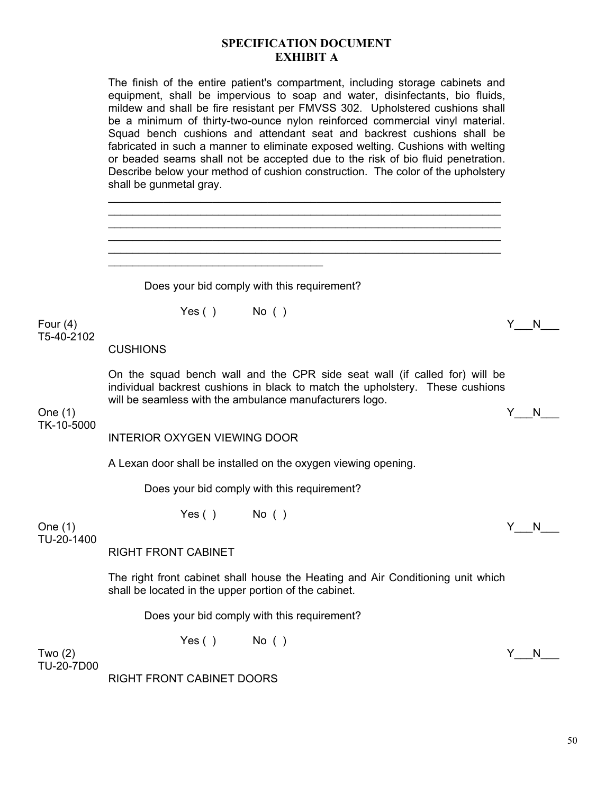| The finish of the entire patient's compartment, including storage cabinets and  |
|---------------------------------------------------------------------------------|
| equipment, shall be impervious to soap and water, disinfectants, bio fluids,    |
| mildew and shall be fire resistant per FMVSS 302. Upholstered cushions shall    |
| be a minimum of thirty-two-ounce nylon reinforced commercial vinyl material.    |
| Squad bench cushions and attendant seat and backrest cushions shall be          |
| fabricated in such a manner to eliminate exposed welting. Cushions with welting |
| or beaded seams shall not be accepted due to the risk of bio fluid penetration. |
| Describe below your method of cushion construction. The color of the upholstery |
| shall be gunmetal gray.                                                         |

 $\mathcal{L}_\text{max}$  and  $\mathcal{L}_\text{max}$  and  $\mathcal{L}_\text{max}$  and  $\mathcal{L}_\text{max}$  and  $\mathcal{L}_\text{max}$  and  $\mathcal{L}_\text{max}$ 

 $\mathcal{L}_\text{max}$  and  $\mathcal{L}_\text{max}$  and  $\mathcal{L}_\text{max}$  and  $\mathcal{L}_\text{max}$  and  $\mathcal{L}_\text{max}$  and  $\mathcal{L}_\text{max}$  $\mathcal{L}_\text{max}$  and  $\mathcal{L}_\text{max}$  and  $\mathcal{L}_\text{max}$  and  $\mathcal{L}_\text{max}$  and  $\mathcal{L}_\text{max}$  and  $\mathcal{L}_\text{max}$  Does your bid comply with this requirement?  $Yes()$  No () Four  $(4)$  Y\_\_\_N\_\_\_ T5-40-2102 **CUSHIONS** On the squad bench wall and the CPR side seat wall (if called for) will be individual backrest cushions in black to match the upholstery. These cushions will be seamless with the ambulance manufacturers logo. One (1)  $Y_N$ TK-10-5000 INTERIOR OXYGEN VIEWING DOOR A Lexan door shall be installed on the oxygen viewing opening. Does your bid comply with this requirement? Yes ( ) No ( ) One (1)  $Y_N$  N TU-20-1400 RIGHT FRONT CABINET The right front cabinet shall house the Heating and Air Conditioning unit which shall be located in the upper portion of the cabinet. Does your bid comply with this requirement? Yes ( ) No ( ) Two (2)  $\begin{array}{ccccc} \text{Two (2)} & & \text{if} & \text{No} \end{array}$ TU-20-7D00

RIGHT FRONT CABINET DOORS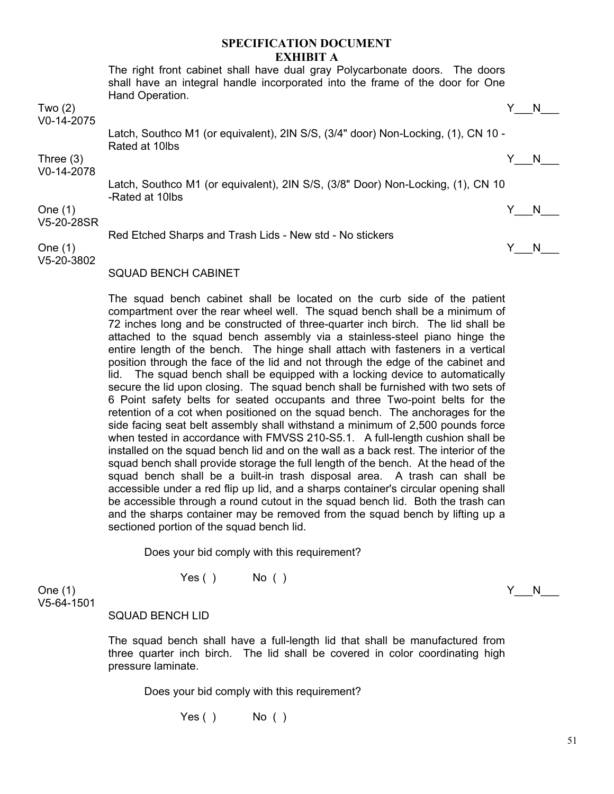The right front cabinet shall have dual gray Polycarbonate doors. The doors shall have an integral handle incorporated into the frame of the door for One Hand Operation.

Two (2)  $\begin{array}{ccccc} \text{Two (2)} & & \text{if} & \text{No} \end{array}$ 

V0-14-2075

Latch, Southco M1 (or equivalent), 2IN S/S, (3/4" door) Non-Locking, (1), CN 10 - Rated at 10lbs

Three (3) Y\_\_\_N\_\_\_

V0-14-2078

Latch, Southco M1 (or equivalent), 2IN S/S, (3/8" Door) Non-Locking, (1), CN 10 -Rated at 10lbs

One (1)  $Y_N$  N

V5-20-28SR

Red Etched Sharps and Trash Lids - New std - No stickers

One (1)  $Y_N$  N

V5-20-3802

SQUAD BENCH CABINET

The squad bench cabinet shall be located on the curb side of the patient compartment over the rear wheel well. The squad bench shall be a minimum of 72 inches long and be constructed of three-quarter inch birch. The lid shall be attached to the squad bench assembly via a stainless-steel piano hinge the entire length of the bench. The hinge shall attach with fasteners in a vertical position through the face of the lid and not through the edge of the cabinet and lid. The squad bench shall be equipped with a locking device to automatically secure the lid upon closing. The squad bench shall be furnished with two sets of 6 Point safety belts for seated occupants and three Two-point belts for the retention of a cot when positioned on the squad bench. The anchorages for the side facing seat belt assembly shall withstand a minimum of 2,500 pounds force when tested in accordance with FMVSS 210-S5.1. A full-length cushion shall be installed on the squad bench lid and on the wall as a back rest. The interior of the squad bench shall provide storage the full length of the bench. At the head of the squad bench shall be a built-in trash disposal area. A trash can shall be accessible under a red flip up lid, and a sharps container's circular opening shall be accessible through a round cutout in the squad bench lid. Both the trash can and the sharps container may be removed from the squad bench by lifting up a sectioned portion of the squad bench lid.

Does your bid comply with this requirement?

Yes ( ) No ( )

One (1)  $Y_N$  N V5-64-1501

SQUAD BENCH LID

The squad bench shall have a full-length lid that shall be manufactured from three quarter inch birch. The lid shall be covered in color coordinating high pressure laminate.

Does your bid comply with this requirement?

 $Yes()$  No ()

51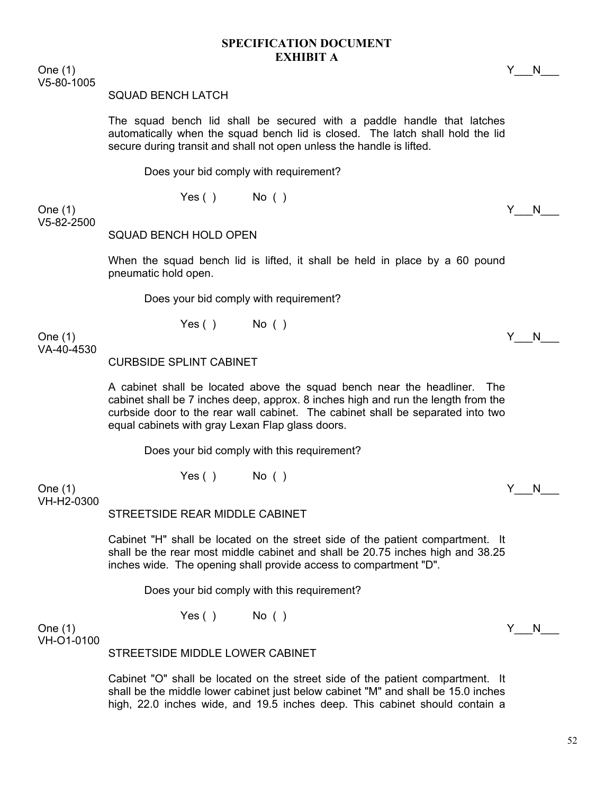One (1)  $Y_N$  N V5-80-1005

#### SQUAD BENCH LATCH

The squad bench lid shall be secured with a paddle handle that latches automatically when the squad bench lid is closed. The latch shall hold the lid secure during transit and shall not open unless the handle is lifted.

Does your bid comply with requirement?

 $Yes()$  No ( )

One (1)  $Y_N$  N V5-82-2500

SQUAD BENCH HOLD OPEN

When the squad bench lid is lifted, it shall be held in place by a 60 pound pneumatic hold open.

Does your bid comply with requirement?

Yes ( ) No ( )

One (1)  $Y_N$  N VA-40-4530

CURBSIDE SPLINT CABINET

A cabinet shall be located above the squad bench near the headliner. The cabinet shall be 7 inches deep, approx. 8 inches high and run the length from the curbside door to the rear wall cabinet. The cabinet shall be separated into two equal cabinets with gray Lexan Flap glass doors.

Does your bid comply with this requirement?

Yes ( ) No ( )

One (1)  $Y_N$  N VH-H2-0300

STREETSIDE REAR MIDDLE CABINET

Cabinet "H" shall be located on the street side of the patient compartment. It shall be the rear most middle cabinet and shall be 20.75 inches high and 38.25 inches wide. The opening shall provide access to compartment "D".

Does your bid comply with this requirement?

 $Yes()$  No ( )

One (1)  $Y_N$  N VH-O1-0100

STREETSIDE MIDDLE LOWER CABINET

Cabinet "O" shall be located on the street side of the patient compartment. It shall be the middle lower cabinet just below cabinet "M" and shall be 15.0 inches high, 22.0 inches wide, and 19.5 inches deep. This cabinet should contain a

52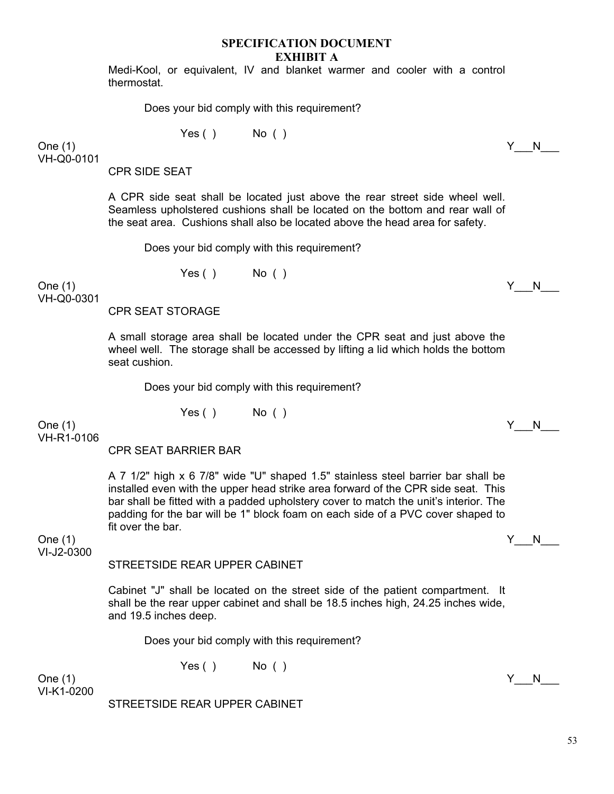Medi-Kool, or equivalent, IV and blanket warmer and cooler with a control thermostat.

Does your bid comply with this requirement?

Yes ( ) No ( )

One (1)  $Y_N$  N VH-Q0-0101

CPR SIDE SEAT

A CPR side seat shall be located just above the rear street side wheel well. Seamless upholstered cushions shall be located on the bottom and rear wall of the seat area. Cushions shall also be located above the head area for safety.

Does your bid comply with this requirement?

 $Yes()$  No ( )

One (1)  $Y_N$ VH-Q0-0301

CPR SEAT STORAGE

A small storage area shall be located under the CPR seat and just above the wheel well. The storage shall be accessed by lifting a lid which holds the bottom seat cushion.

Does your bid comply with this requirement?

 $Yes()$  No ( )

One (1)  $Y_N$  N VH-R1-0106

CPR SEAT BARRIER BAR

A 7 1/2" high x 6 7/8" wide "U" shaped 1.5" stainless steel barrier bar shall be installed even with the upper head strike area forward of the CPR side seat. This bar shall be fitted with a padded upholstery cover to match the unit's interior. The padding for the bar will be 1" block foam on each side of a PVC cover shaped to fit over the bar.

One (1)  $Y_N$  N VI-J2-0300

#### STREETSIDE REAR UPPER CABINET

Cabinet "J" shall be located on the street side of the patient compartment. It shall be the rear upper cabinet and shall be 18.5 inches high, 24.25 inches wide, and 19.5 inches deep.

Does your bid comply with this requirement?

 $Yes()$  No ( )

One (1)  $Y_N$  N VI-K1-0200

STREETSIDE REAR UPPER CABINET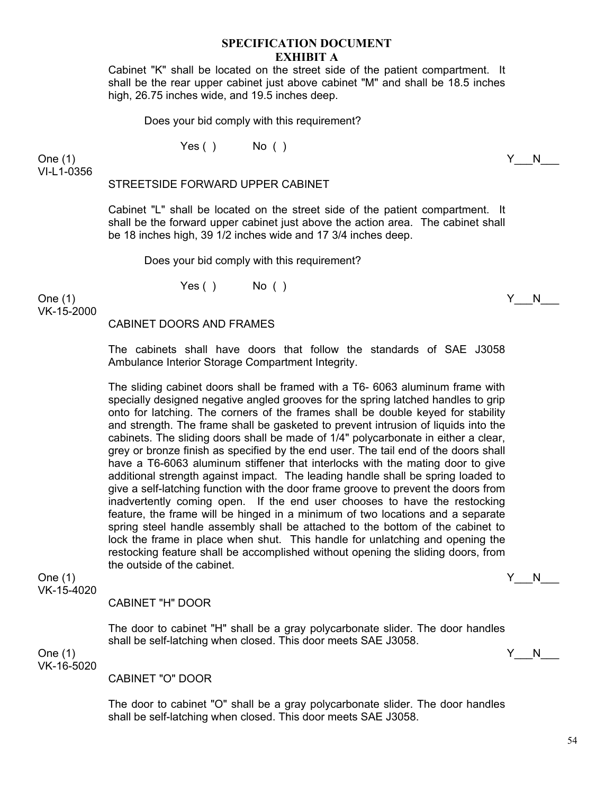Cabinet "K" shall be located on the street side of the patient compartment. It shall be the rear upper cabinet just above cabinet "M" and shall be 18.5 inches high, 26.75 inches wide, and 19.5 inches deep.

Does your bid comply with this requirement?

 $Yes()$  No ( )

One (1)  $Y_N$  N VI-L1-0356

STREETSIDE FORWARD UPPER CABINET

Cabinet "L" shall be located on the street side of the patient compartment. It shall be the forward upper cabinet just above the action area. The cabinet shall be 18 inches high, 39 1/2 inches wide and 17 3/4 inches deep.

Does your bid comply with this requirement?

 $Yes()$  No ( )

One (1)  $Y_N$  N VK-15-2000

#### CABINET DOORS AND FRAMES

The cabinets shall have doors that follow the standards of SAE J3058 Ambulance Interior Storage Compartment Integrity.

The sliding cabinet doors shall be framed with a T6- 6063 aluminum frame with specially designed negative angled grooves for the spring latched handles to grip onto for latching. The corners of the frames shall be double keyed for stability and strength. The frame shall be gasketed to prevent intrusion of liquids into the cabinets. The sliding doors shall be made of 1/4" polycarbonate in either a clear, grey or bronze finish as specified by the end user. The tail end of the doors shall have a T6-6063 aluminum stiffener that interlocks with the mating door to give additional strength against impact. The leading handle shall be spring loaded to give a self-latching function with the door frame groove to prevent the doors from inadvertently coming open. If the end user chooses to have the restocking feature, the frame will be hinged in a minimum of two locations and a separate spring steel handle assembly shall be attached to the bottom of the cabinet to lock the frame in place when shut. This handle for unlatching and opening the restocking feature shall be accomplished without opening the sliding doors, from the outside of the cabinet.

One (1)  $Y_N$  N VK-15-4020

CABINET "H" DOOR

The door to cabinet "H" shall be a gray polycarbonate slider. The door handles shall be self-latching when closed. This door meets SAE J3058.

One (1)  $Y_N$  N VK-16-5020

CABINET "O" DOOR

The door to cabinet "O" shall be a gray polycarbonate slider. The door handles shall be self-latching when closed. This door meets SAE J3058.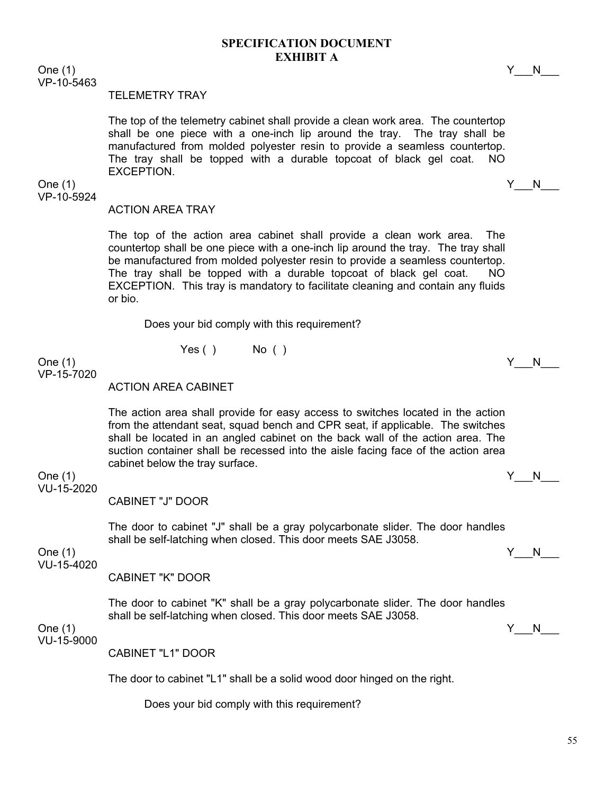One (1)  $Y_N$  N VP-10-5463

#### TELEMETRY TRAY

The top of the telemetry cabinet shall provide a clean work area. The countertop shall be one piece with a one-inch lip around the tray. The tray shall be manufactured from molded polyester resin to provide a seamless countertop. The tray shall be topped with a durable topcoat of black gel coat. NO EXCEPTION.

VP-10-5924

#### One (1)  $Y_N$  N

#### ACTION AREA TRAY

The top of the action area cabinet shall provide a clean work area. The countertop shall be one piece with a one-inch lip around the tray. The tray shall be manufactured from molded polyester resin to provide a seamless countertop. The tray shall be topped with a durable topcoat of black gel coat. NO EXCEPTION. This tray is mandatory to facilitate cleaning and contain any fluids or bio.

Does your bid comply with this requirement?

 $Yes()$  No ()

One (1)  $Y_N$  N VP-15-7020

ACTION AREA CABINET

The action area shall provide for easy access to switches located in the action from the attendant seat, squad bench and CPR seat, if applicable. The switches shall be located in an angled cabinet on the back wall of the action area. The suction container shall be recessed into the aisle facing face of the action area cabinet below the tray surface.

#### One (1) Y\_\_\_N\_\_\_ VU-15-2020

CABINET "J" DOOR

The door to cabinet "J" shall be a gray polycarbonate slider. The door handles shall be self-latching when closed. This door meets SAE J3058.

One (1)  $Y_N$  N VU-15-4020

CABINET "K" DOOR

The door to cabinet "K" shall be a gray polycarbonate slider. The door handles shall be self-latching when closed. This door meets SAE J3058.

One (1)  $Y_N$  N VU-15-9000

CABINET "L1" DOOR

The door to cabinet "L1" shall be a solid wood door hinged on the right.

Does your bid comply with this requirement?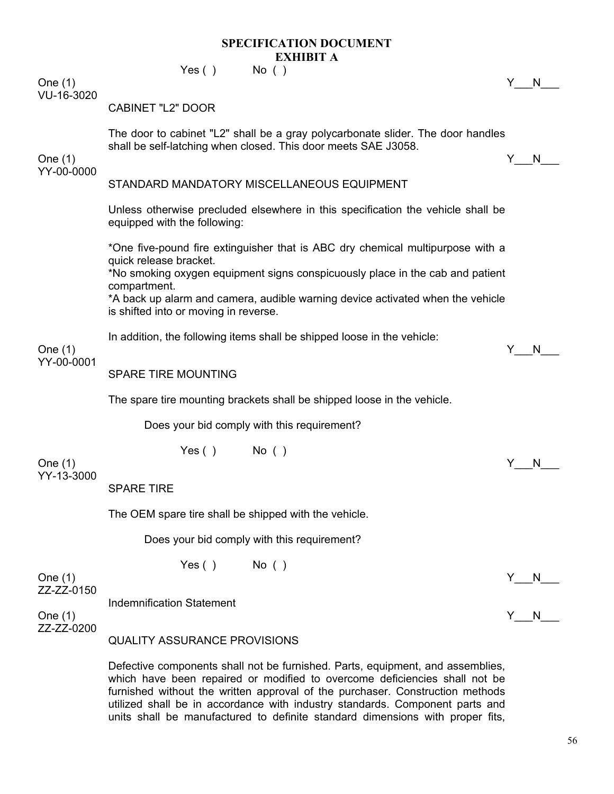$Yes()$  No ()

One (1)  $Y_N$  N VU-16-3020

#### CABINET "L2" DOOR

The door to cabinet "L2" shall be a gray polycarbonate slider. The door handles shall be self-latching when closed. This door meets SAE J3058.

One (1)  $Y_N$  N YY-00-0000

# STANDARD MANDATORY MISCELLANEOUS FOUIPMENT

Unless otherwise precluded elsewhere in this specification the vehicle shall be equipped with the following:

\*One five-pound fire extinguisher that is ABC dry chemical multipurpose with a quick release bracket.

\*No smoking oxygen equipment signs conspicuously place in the cab and patient compartment.

\*A back up alarm and camera, audible warning device activated when the vehicle is shifted into or moving in reverse.

In addition, the following items shall be shipped loose in the vehicle:

#### One (1)  $Y_N$  N YY-00-0001

SPARE TIRE MOUNTING

The spare tire mounting brackets shall be shipped loose in the vehicle.

Does your bid comply with this requirement?

One (1)  $Y_N$  N YY-13-3000

SPARE TIRE

The OEM spare tire shall be shipped with the vehicle.

 $Yes()$  No ( )

 $Yes()$  No ( )

Does your bid comply with this requirement?

One (1)  $Y_N$  N ZZ-ZZ-0150

Indemnification Statement

One (1)  $Y_N$  N ZZ-ZZ-0200

QUALITY ASSURANCE PROVISIONS

Defective components shall not be furnished. Parts, equipment, and assemblies, which have been repaired or modified to overcome deficiencies shall not be furnished without the written approval of the purchaser. Construction methods utilized shall be in accordance with industry standards. Component parts and units shall be manufactured to definite standard dimensions with proper fits,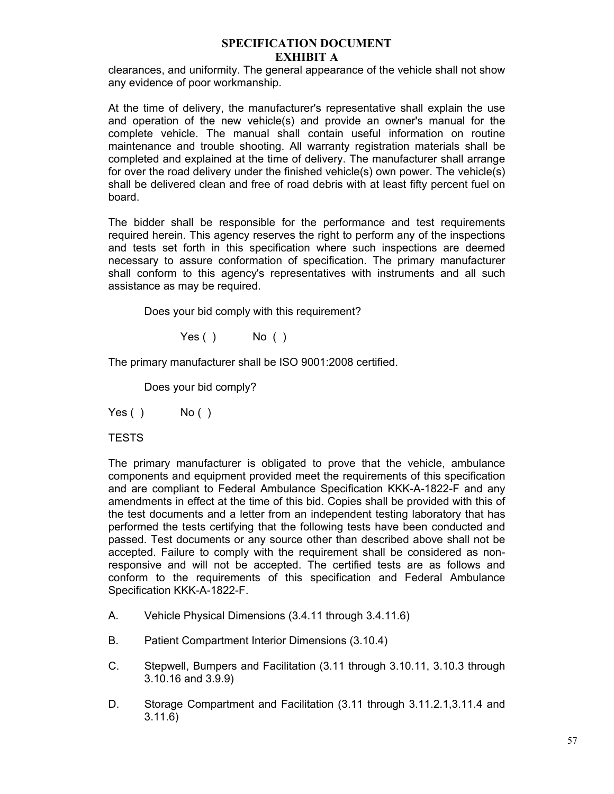clearances, and uniformity. The general appearance of the vehicle shall not show any evidence of poor workmanship.

At the time of delivery, the manufacturer's representative shall explain the use and operation of the new vehicle(s) and provide an owner's manual for the complete vehicle. The manual shall contain useful information on routine maintenance and trouble shooting. All warranty registration materials shall be completed and explained at the time of delivery. The manufacturer shall arrange for over the road delivery under the finished vehicle(s) own power. The vehicle(s) shall be delivered clean and free of road debris with at least fifty percent fuel on board.

The bidder shall be responsible for the performance and test requirements required herein. This agency reserves the right to perform any of the inspections and tests set forth in this specification where such inspections are deemed necessary to assure conformation of specification. The primary manufacturer shall conform to this agency's representatives with instruments and all such assistance as may be required.

Does your bid comply with this requirement?

 $Yes()$  No ()

The primary manufacturer shall be ISO 9001:2008 certified.

Does your bid comply?

 $Yes()$  No ()

**TESTS** 

The primary manufacturer is obligated to prove that the vehicle, ambulance components and equipment provided meet the requirements of this specification and are compliant to Federal Ambulance Specification KKK-A-1822-F and any amendments in effect at the time of this bid. Copies shall be provided with this of the test documents and a letter from an independent testing laboratory that has performed the tests certifying that the following tests have been conducted and passed. Test documents or any source other than described above shall not be accepted. Failure to comply with the requirement shall be considered as nonresponsive and will not be accepted. The certified tests are as follows and conform to the requirements of this specification and Federal Ambulance Specification KKK-A-1822-F.

- A. Vehicle Physical Dimensions (3.4.11 through 3.4.11.6)
- B. Patient Compartment Interior Dimensions (3.10.4)
- C. Stepwell, Bumpers and Facilitation (3.11 through 3.10.11, 3.10.3 through 3.10.16 and 3.9.9)
- D. Storage Compartment and Facilitation (3.11 through 3.11.2.1,3.11.4 and 3.11.6)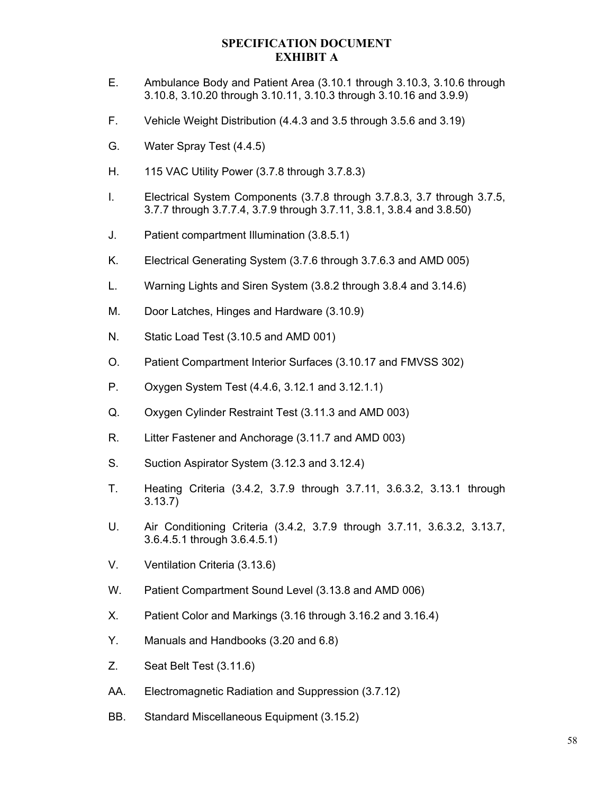- E. Ambulance Body and Patient Area (3.10.1 through 3.10.3, 3.10.6 through 3.10.8, 3.10.20 through 3.10.11, 3.10.3 through 3.10.16 and 3.9.9)
- F. Vehicle Weight Distribution (4.4.3 and 3.5 through 3.5.6 and 3.19)
- G. Water Spray Test (4.4.5)
- H. 115 VAC Utility Power (3.7.8 through 3.7.8.3)
- I. Electrical System Components (3.7.8 through 3.7.8.3, 3.7 through 3.7.5, 3.7.7 through 3.7.7.4, 3.7.9 through 3.7.11, 3.8.1, 3.8.4 and 3.8.50)
- J. Patient compartment Illumination (3.8.5.1)
- K. Electrical Generating System (3.7.6 through 3.7.6.3 and AMD 005)
- L. Warning Lights and Siren System (3.8.2 through 3.8.4 and 3.14.6)
- M. Door Latches, Hinges and Hardware (3.10.9)
- N. Static Load Test (3.10.5 and AMD 001)
- O. Patient Compartment Interior Surfaces (3.10.17 and FMVSS 302)
- P. Oxygen System Test (4.4.6, 3.12.1 and 3.12.1.1)
- Q. Oxygen Cylinder Restraint Test (3.11.3 and AMD 003)
- R. Litter Fastener and Anchorage (3.11.7 and AMD 003)
- S. Suction Aspirator System (3.12.3 and 3.12.4)
- T. Heating Criteria (3.4.2, 3.7.9 through 3.7.11, 3.6.3.2, 3.13.1 through 3.13.7)
- U. Air Conditioning Criteria (3.4.2, 3.7.9 through 3.7.11, 3.6.3.2, 3.13.7, 3.6.4.5.1 through 3.6.4.5.1)
- V. Ventilation Criteria (3.13.6)
- W. Patient Compartment Sound Level (3.13.8 and AMD 006)
- X. Patient Color and Markings (3.16 through 3.16.2 and 3.16.4)
- Y. Manuals and Handbooks (3.20 and 6.8)
- Z. Seat Belt Test (3.11.6)
- AA. Electromagnetic Radiation and Suppression (3.7.12)
- BB. Standard Miscellaneous Equipment (3.15.2)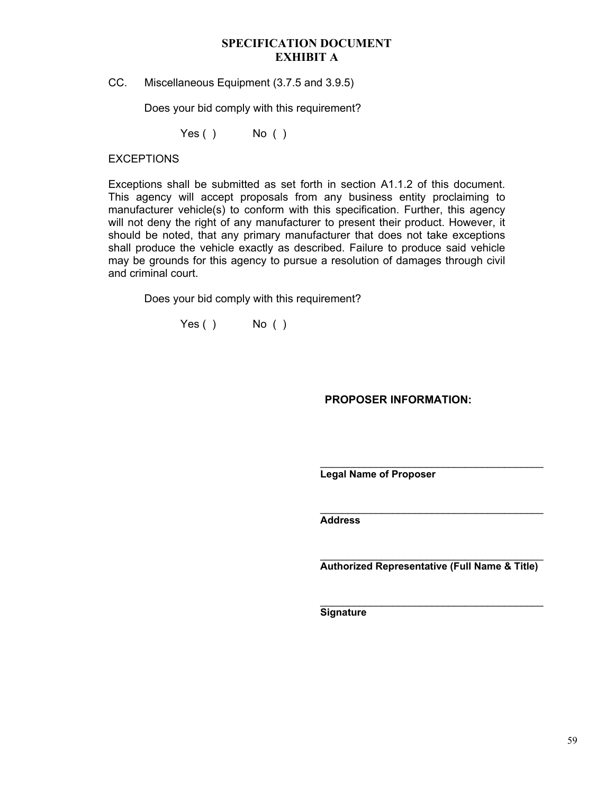CC. Miscellaneous Equipment (3.7.5 and 3.9.5)

Does your bid comply with this requirement?

Yes ( ) No ( )

# **EXCEPTIONS**

Exceptions shall be submitted as set forth in section A1.1.2 of this document. This agency will accept proposals from any business entity proclaiming to manufacturer vehicle(s) to conform with this specification. Further, this agency will not deny the right of any manufacturer to present their product. However, it should be noted, that any primary manufacturer that does not take exceptions shall produce the vehicle exactly as described. Failure to produce said vehicle may be grounds for this agency to pursue a resolution of damages through civil and criminal court.

Does your bid comply with this requirement?

Yes ( ) No ( )

**PROPOSER INFORMATION:** 

**Legal Name of Proposer** 

**Address** 

**Authorized Representative (Full Name & Title)**

\_\_\_\_\_\_\_\_\_\_\_\_\_\_\_\_\_\_\_\_\_\_\_\_\_\_\_\_\_\_\_\_\_\_\_\_\_\_\_\_

\_\_\_\_\_\_\_\_\_\_\_\_\_\_\_\_\_\_\_\_\_\_\_\_\_\_\_\_\_\_\_\_\_\_\_\_\_\_\_\_

 $\mathcal{L}_\text{max}$  and  $\mathcal{L}_\text{max}$  and  $\mathcal{L}_\text{max}$  and  $\mathcal{L}_\text{max}$ 

**Signature**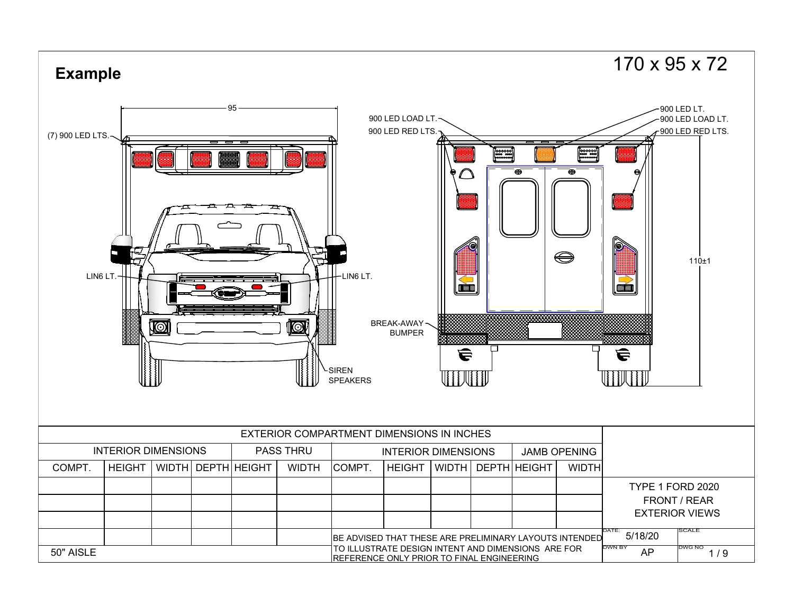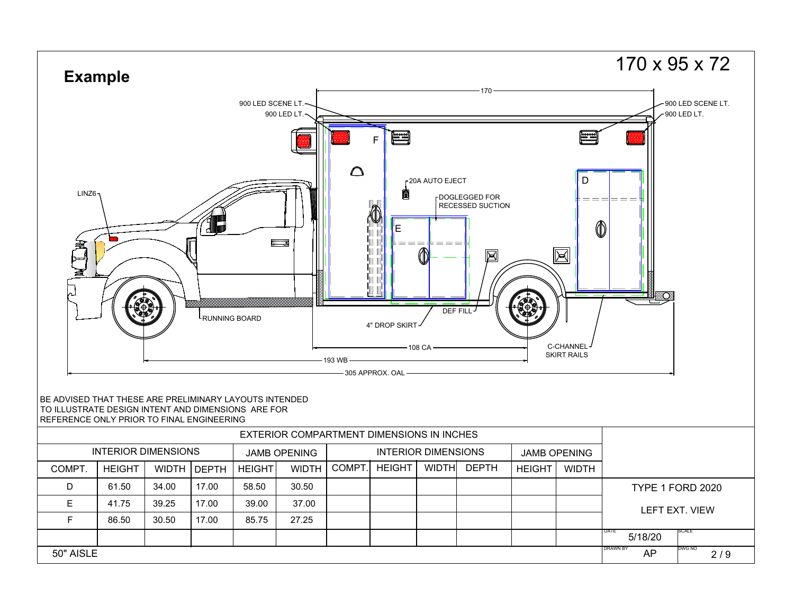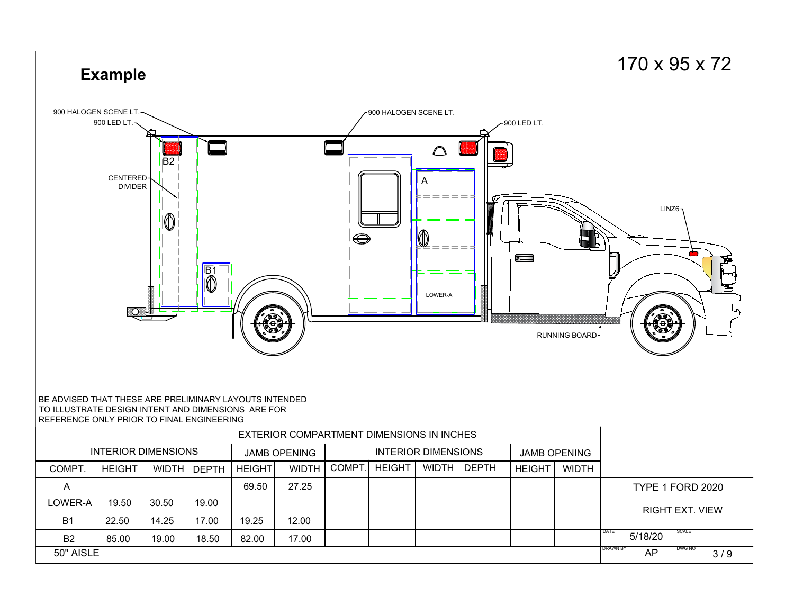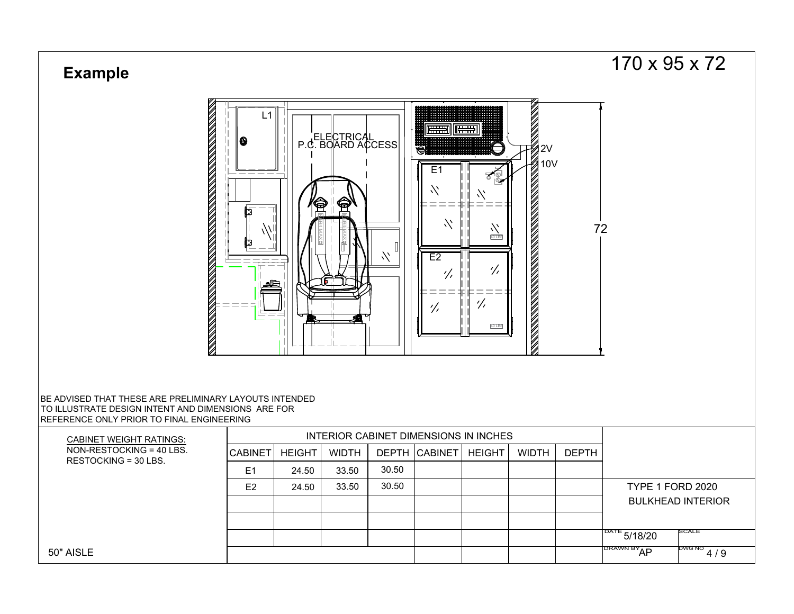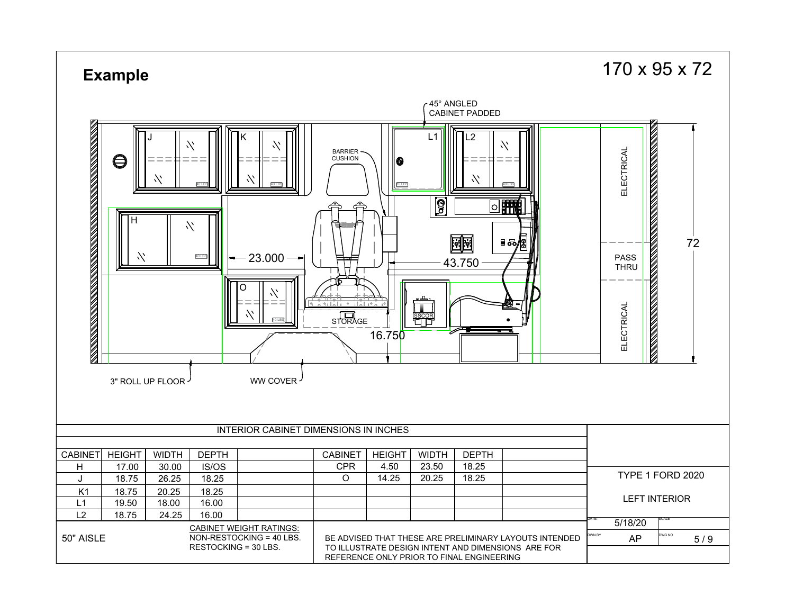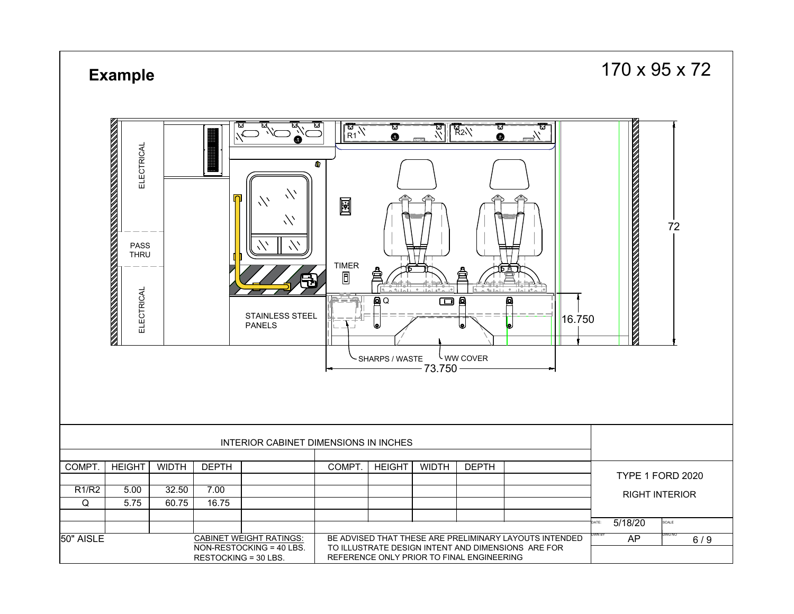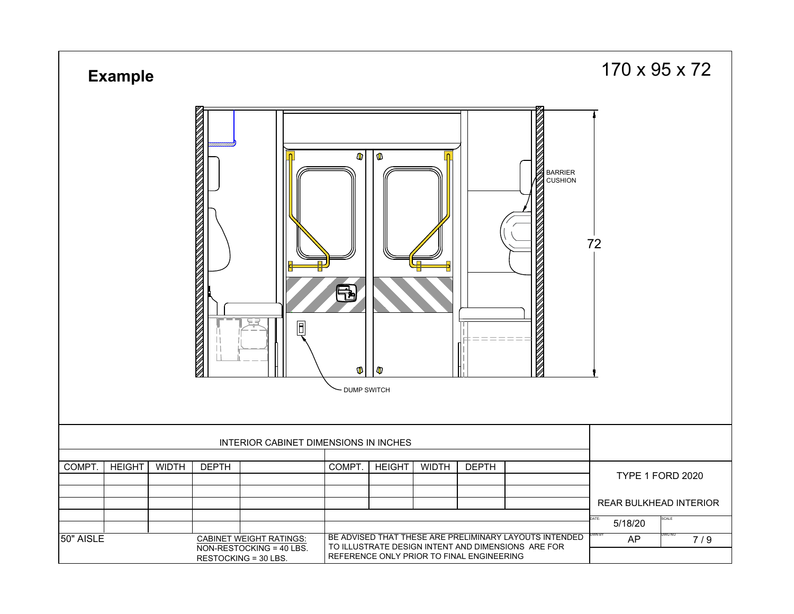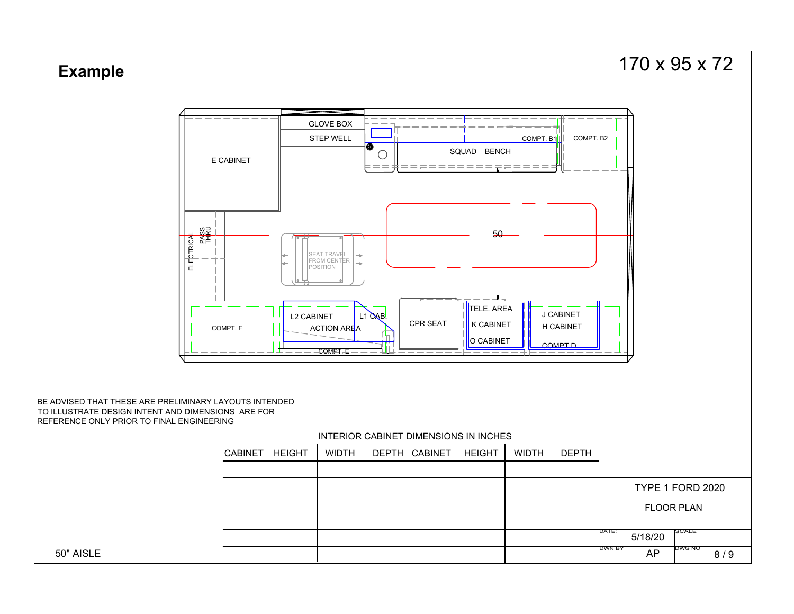